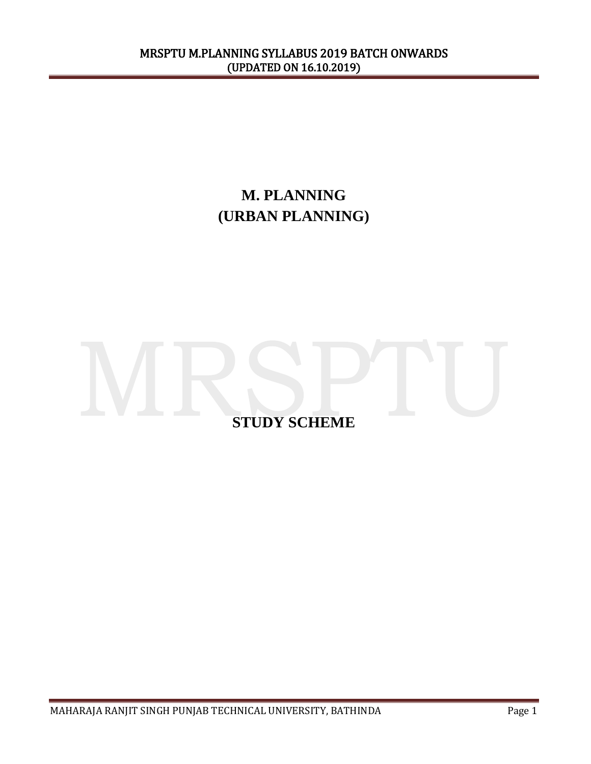# **M. PLANNING (URBAN PLANNING)**

# **STUDY SCHEME**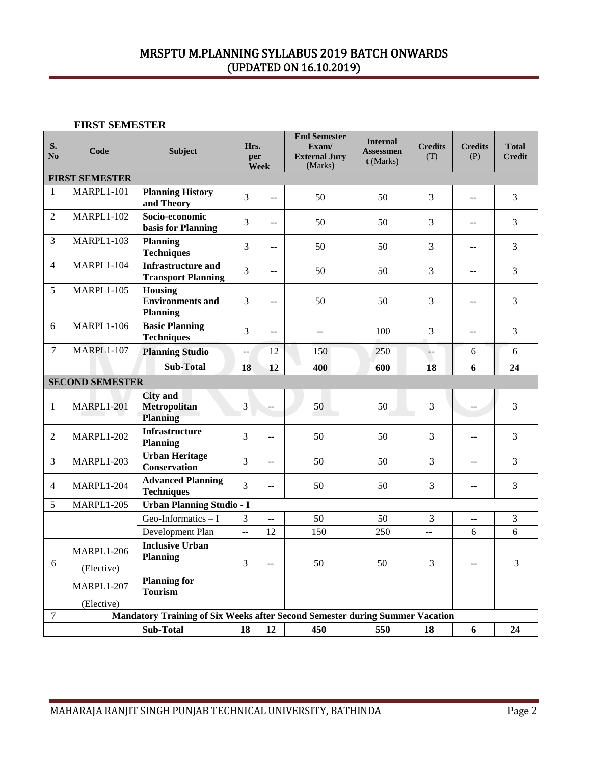**FIRST SEMESTER**

| S.<br>No       | Code                            | <b>Subject</b>                                                               | Hrs.<br>per    | <b>Week</b>               | <b>End Semester</b><br>Exam/<br><b>External Jury</b><br>(Marks) | <b>Internal</b><br><b>Assessmen</b><br>t (Marks) | <b>Credits</b><br>(T) | <b>Credits</b><br>(P)    | <b>Total</b><br><b>Credit</b> |  |
|----------------|---------------------------------|------------------------------------------------------------------------------|----------------|---------------------------|-----------------------------------------------------------------|--------------------------------------------------|-----------------------|--------------------------|-------------------------------|--|
|                | <b>FIRST SEMESTER</b>           |                                                                              |                |                           |                                                                 |                                                  |                       |                          |                               |  |
| $\mathbf{1}$   | MARPL1-101                      | <b>Planning History</b><br>and Theory                                        | $\overline{3}$ | $\overline{a}$            | 50                                                              | 50                                               | 3                     | $\overline{a}$           | 3                             |  |
| 2              | <b>MARPL1-102</b>               | Socio-economic<br>basis for Planning                                         | 3              | --                        | 50                                                              | 50                                               | 3                     | $-$                      | 3                             |  |
| 3              | <b>MARPL1-103</b>               | <b>Planning</b><br><b>Techniques</b>                                         | 3              | $\mathbb{L}^{\mathbb{L}}$ | 50                                                              | 50                                               | 3                     | $\overline{a}$           | 3                             |  |
| $\overline{4}$ | <b>MARPL1-104</b>               | <b>Infrastructure and</b><br><b>Transport Planning</b>                       | 3              | $-$                       | 50                                                              | 50                                               | 3                     | $-$                      | 3                             |  |
| 5              | <b>MARPL1-105</b>               | Housing<br><b>Environments and</b><br><b>Planning</b>                        | 3              | $\mathbf{u}$              | 50                                                              | 50                                               | 3                     | $-$                      | 3                             |  |
| 6              | <b>MARPL1-106</b>               | <b>Basic Planning</b><br><b>Techniques</b>                                   | 3              | $\overline{a}$            | $-$                                                             | 100                                              | 3                     | $\mathbf{u}$             | 3                             |  |
| $\overline{7}$ | <b>MARPL1-107</b>               | <b>Planning Studio</b>                                                       | $-$            | 12                        | 150                                                             | 250                                              | $\perp$               | 6                        | 6                             |  |
|                | <b>Sub-Total</b>                |                                                                              |                | 12                        | 400                                                             | 600                                              | 18                    | 6                        | 24                            |  |
|                | <b>SECOND SEMESTER</b>          |                                                                              |                |                           |                                                                 |                                                  |                       |                          |                               |  |
| $\mathbf{1}$   | <b>MARPL1-201</b>               | <b>City</b> and<br>Metropolitan<br><b>Planning</b>                           | 3              | --                        | 50                                                              | 50                                               | 3                     |                          | 3                             |  |
| 2              | <b>MARPL1-202</b>               | <b>Infrastructure</b><br><b>Planning</b>                                     | 3              | --                        | 50                                                              | 50                                               | 3                     |                          | 3                             |  |
| 3              | <b>MARPL1-203</b>               | <b>Urban Heritage</b><br><b>Conservation</b>                                 | 3              | --                        | 50                                                              | 50                                               | 3                     | $\overline{\phantom{a}}$ | 3                             |  |
| $\overline{4}$ | <b>MARPL1-204</b>               | <b>Advanced Planning</b><br><b>Techniques</b>                                | 3              | $\overline{a}$            | 50                                                              | 50                                               | 3                     | $\overline{a}$           | 3                             |  |
| 5              | <b>MARPL1-205</b>               | <b>Urban Planning Studio - I</b>                                             |                |                           |                                                                 |                                                  |                       |                          |                               |  |
|                |                                 | Geo-Informatics $-1$                                                         | 3              | $\frac{1}{2}$             | 50                                                              | 50                                               | 3                     | $\overline{\phantom{a}}$ | 3                             |  |
|                |                                 | Development Plan                                                             | $\overline{a}$ | 12                        | 150                                                             | 250                                              | $- -$                 | 6                        | 6                             |  |
| 6              | <b>MARPL1-206</b><br>(Elective) | <b>Inclusive Urban</b><br><b>Planning</b>                                    | 3              | $\overline{\phantom{a}}$  | 50                                                              | 50                                               | 3                     |                          | 3                             |  |
|                | <b>MARPL1-207</b>               | <b>Planning for</b><br><b>Tourism</b>                                        |                |                           |                                                                 |                                                  |                       |                          |                               |  |
| $\tau$         | (Elective)                      | Mandatory Training of Six Weeks after Second Semester during Summer Vacation |                |                           |                                                                 |                                                  |                       |                          |                               |  |
|                |                                 | <b>Sub-Total</b>                                                             | 18             | 12                        | 450                                                             | 550                                              | 18                    | 6                        | 24                            |  |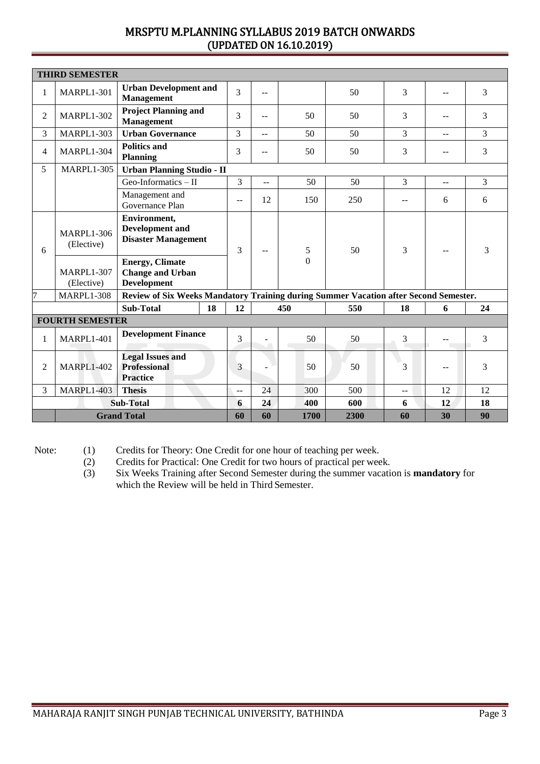|                    | <b>THIRD SEMESTER</b>           |                                                                                                |                |                          |                     |      |               |                |    |
|--------------------|---------------------------------|------------------------------------------------------------------------------------------------|----------------|--------------------------|---------------------|------|---------------|----------------|----|
| $\mathbf{1}$       | <b>MARPL1-301</b>               | <b>Urban Development and</b><br><b>Management</b>                                              | 3              | $-$                      |                     | 50   | 3             |                | 3  |
| 2                  | <b>MARPL1-302</b>               | <b>Project Planning and</b><br><b>Management</b>                                               | 3              | $-$                      | 50                  | 50   | 3             | $\overline{a}$ | 3  |
| 3                  | <b>MARPL1-303</b>               | <b>Urban Governance</b>                                                                        | 3              | $-$                      | 50                  | 50   | 3             | $-$            | 3  |
| $\overline{4}$     | <b>MARPL1-304</b>               | <b>Politics and</b><br><b>Planning</b>                                                         | 3              | $\sim$                   | 50                  | 50   | 3             |                | 3  |
| 5                  | <b>MARPL1-305</b>               | <b>Urban Planning Studio - II</b>                                                              |                |                          |                     |      |               |                |    |
|                    |                                 | Geo-Informatics $-$ II                                                                         | 3              | $\overline{a}$           | 50                  | 50   | 3             | --             | 3  |
|                    |                                 | Management and<br>Governance Plan                                                              | --             | 12                       | 150                 | 250  | --            | 6              | 6  |
| 6                  | <b>MARPL1-306</b><br>(Elective) | Environment,<br><b>Development</b> and<br><b>Disaster Management</b><br><b>Energy, Climate</b> | 3              | $\overline{\phantom{m}}$ | 5<br>$\overline{0}$ | 50   | 3             |                | 3  |
|                    | <b>MARPL1-307</b><br>(Elective) | <b>Change and Urban</b><br><b>Development</b>                                                  |                |                          |                     |      |               |                |    |
| 7                  | <b>MARPL1-308</b>               | Review of Six Weeks Mandatory Training during Summer Vacation after Second Semester.           |                |                          |                     |      |               |                |    |
|                    |                                 | <b>Sub-Total</b><br>18                                                                         | 12             |                          | 450                 | 550  | 18            | 6              | 24 |
|                    | <b>FOURTH SEMESTER</b>          |                                                                                                |                |                          |                     |      |               |                |    |
| $\mathbf{1}$       | <b>MARPL1-401</b>               | <b>Development Finance</b>                                                                     | 3              |                          | 50                  | 50   | 3             |                | 3  |
| $\overline{2}$     | <b>MARPL1-402</b>               | <b>Legal Issues and</b><br><b>Professional</b><br><b>Practice</b>                              | 3              |                          | 50                  | 50   | 3             | $\overline{a}$ | 3  |
| 3                  | <b>MARPL1-403</b>               | <b>Thesis</b>                                                                                  | $\overline{a}$ | 24                       | 300                 | 500  | $\sim$ $\sim$ | 12             | 12 |
|                    |                                 | <b>Sub-Total</b>                                                                               | 6              | 24                       | 400                 | 600  | 6             | 12             | 18 |
| <b>Grand Total</b> |                                 |                                                                                                | 60             | 60                       | 1700                | 2300 | 60            | 30             | 90 |

Note: (1) Credits for Theory: One Credit for one hour of teaching per week.

(2) Credits for Practical: One Credit for two hours of practical per week.

(3) Six Weeks Training after Second Semester during the summer vacation is **mandatory** for which the Review will be held in Third Semester.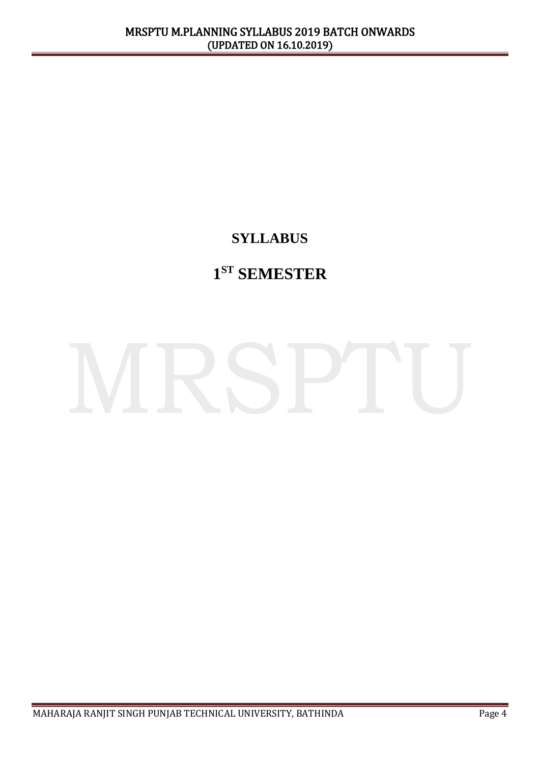# **SYLLABUS**

# **1 ST SEMESTER**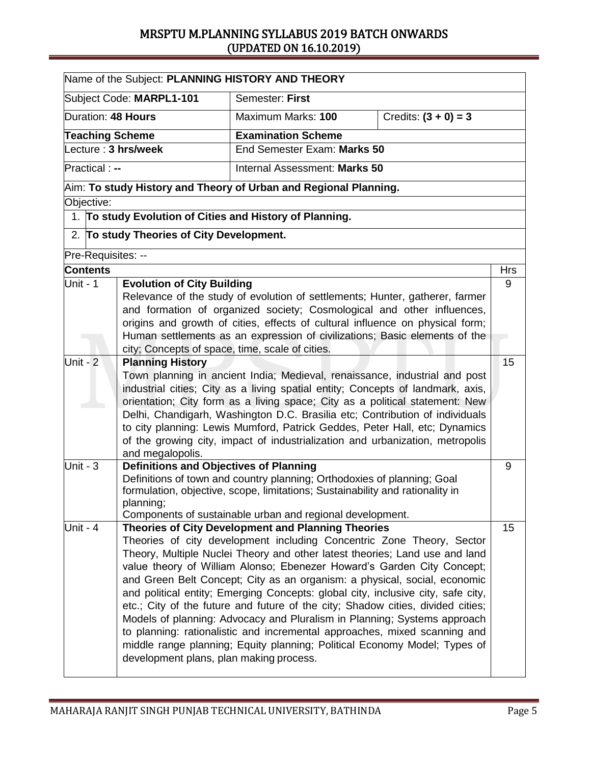|                                         |                                                                                                                                                               | Name of the Subject: PLANNING HISTORY AND THEORY                                                                                                      |                        |            |  |  |
|-----------------------------------------|---------------------------------------------------------------------------------------------------------------------------------------------------------------|-------------------------------------------------------------------------------------------------------------------------------------------------------|------------------------|------------|--|--|
|                                         | Subject Code: MARPL1-101                                                                                                                                      | Semester: First                                                                                                                                       |                        |            |  |  |
| Duration: 48 Hours                      |                                                                                                                                                               | Maximum Marks: 100                                                                                                                                    | Credits: $(3 + 0) = 3$ |            |  |  |
| <b>Teaching Scheme</b>                  |                                                                                                                                                               | <b>Examination Scheme</b>                                                                                                                             |                        |            |  |  |
| Lecture: 3 hrs/week                     |                                                                                                                                                               | End Semester Exam: Marks 50                                                                                                                           |                        |            |  |  |
| Practical : --                          |                                                                                                                                                               | Internal Assessment: Marks 50                                                                                                                         |                        |            |  |  |
|                                         |                                                                                                                                                               | Aim: To study History and Theory of Urban and Regional Planning.                                                                                      |                        |            |  |  |
| Objective:                              |                                                                                                                                                               |                                                                                                                                                       |                        |            |  |  |
|                                         |                                                                                                                                                               | 1. To study Evolution of Cities and History of Planning.                                                                                              |                        |            |  |  |
|                                         | 2. To study Theories of City Development.                                                                                                                     |                                                                                                                                                       |                        |            |  |  |
| Pre-Requisites: --                      |                                                                                                                                                               |                                                                                                                                                       |                        |            |  |  |
| <b>Contents</b>                         |                                                                                                                                                               |                                                                                                                                                       |                        | <b>Hrs</b> |  |  |
| Unit - 1                                | <b>Evolution of City Building</b>                                                                                                                             |                                                                                                                                                       |                        | 9          |  |  |
|                                         |                                                                                                                                                               | Relevance of the study of evolution of settlements; Hunter, gatherer, farmer                                                                          |                        |            |  |  |
|                                         |                                                                                                                                                               | and formation of organized society; Cosmological and other influences,                                                                                |                        |            |  |  |
|                                         |                                                                                                                                                               | origins and growth of cities, effects of cultural influence on physical form;                                                                         |                        |            |  |  |
|                                         |                                                                                                                                                               | Human settlements as an expression of civilizations; Basic elements of the                                                                            |                        |            |  |  |
| Unit - $2$                              | city; Concepts of space, time, scale of cities.                                                                                                               |                                                                                                                                                       |                        | 15         |  |  |
|                                         | <b>Planning History</b>                                                                                                                                       | Town planning in ancient India; Medieval, renaissance, industrial and post                                                                            |                        |            |  |  |
|                                         |                                                                                                                                                               | industrial cities; City as a living spatial entity; Concepts of landmark, axis,                                                                       |                        |            |  |  |
|                                         |                                                                                                                                                               | orientation; City form as a living space; City as a political statement: New                                                                          |                        |            |  |  |
|                                         |                                                                                                                                                               | Delhi, Chandigarh, Washington D.C. Brasilia etc; Contribution of individuals                                                                          |                        |            |  |  |
|                                         |                                                                                                                                                               | to city planning: Lewis Mumford, Patrick Geddes, Peter Hall, etc; Dynamics                                                                            |                        |            |  |  |
|                                         |                                                                                                                                                               | of the growing city, impact of industrialization and urbanization, metropolis                                                                         |                        |            |  |  |
|                                         | and megalopolis.                                                                                                                                              |                                                                                                                                                       |                        |            |  |  |
| Unit - $3$                              | <b>Definitions and Objectives of Planning</b>                                                                                                                 |                                                                                                                                                       |                        | 9          |  |  |
|                                         |                                                                                                                                                               | Definitions of town and country planning; Orthodoxies of planning; Goal                                                                               |                        |            |  |  |
|                                         |                                                                                                                                                               | formulation, objective, scope, limitations; Sustainability and rationality in                                                                         |                        |            |  |  |
|                                         | planning;                                                                                                                                                     |                                                                                                                                                       |                        |            |  |  |
|                                         |                                                                                                                                                               | Components of sustainable urban and regional development.                                                                                             |                        |            |  |  |
| Unit - $4$                              |                                                                                                                                                               | <b>Theories of City Development and Planning Theories</b>                                                                                             |                        | 15         |  |  |
|                                         |                                                                                                                                                               | Theories of city development including Concentric Zone Theory, Sector                                                                                 |                        |            |  |  |
|                                         |                                                                                                                                                               | Theory, Multiple Nuclei Theory and other latest theories; Land use and land<br>value theory of William Alonso; Ebenezer Howard's Garden City Concept; |                        |            |  |  |
|                                         |                                                                                                                                                               |                                                                                                                                                       |                        |            |  |  |
|                                         | and Green Belt Concept; City as an organism: a physical, social, economic<br>and political entity; Emerging Concepts: global city, inclusive city, safe city, |                                                                                                                                                       |                        |            |  |  |
|                                         |                                                                                                                                                               | etc.; City of the future and future of the city; Shadow cities, divided cities;                                                                       |                        |            |  |  |
|                                         |                                                                                                                                                               | Models of planning: Advocacy and Pluralism in Planning; Systems approach                                                                              |                        |            |  |  |
|                                         |                                                                                                                                                               | to planning: rationalistic and incremental approaches, mixed scanning and                                                                             |                        |            |  |  |
|                                         |                                                                                                                                                               | middle range planning; Equity planning; Political Economy Model; Types of                                                                             |                        |            |  |  |
|                                         |                                                                                                                                                               |                                                                                                                                                       |                        |            |  |  |
| development plans, plan making process. |                                                                                                                                                               |                                                                                                                                                       |                        |            |  |  |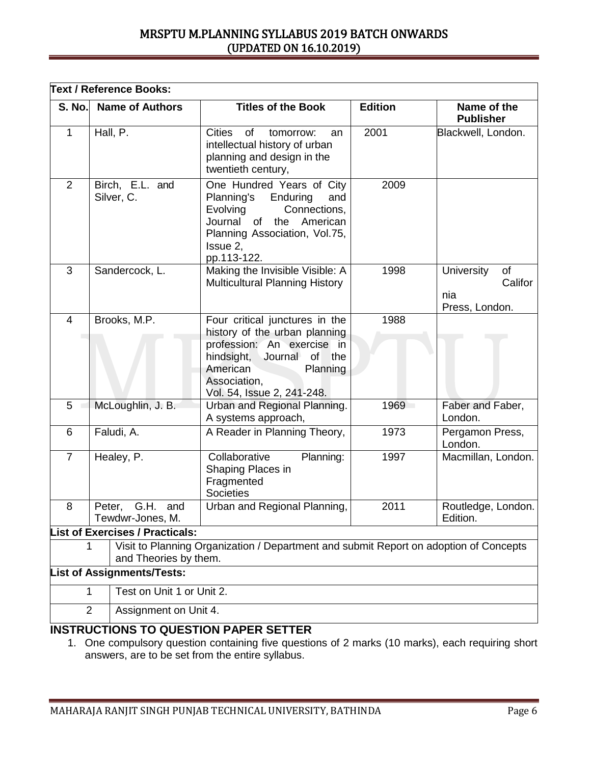| <b>S. No.</b>  | <b>Name of Authors</b>                    | <b>Titles of the Book</b>                                                                                                                                                                                        | <b>Edition</b> | Name of the<br><b>Publisher</b>                             |
|----------------|-------------------------------------------|------------------------------------------------------------------------------------------------------------------------------------------------------------------------------------------------------------------|----------------|-------------------------------------------------------------|
| $\mathbf{1}$   | Hall, P.                                  | <b>Cities</b><br>of<br>tomorrow:<br>an<br>intellectual history of urban<br>planning and design in the<br>twentieth century,                                                                                      | 2001           | Blackwell, London.                                          |
| 2              | Birch, E.L. and<br>Silver, C.             | One Hundred Years of City<br>Planning's<br>Enduring<br>and<br>Evolving<br>Connections,<br>American<br>Journal<br>of<br>the<br>Planning Association, Vol.75,<br>Issue 2,<br>pp.113-122.                           | 2009           |                                                             |
| 3              | Sandercock, L.                            | Making the Invisible Visible: A<br><b>Multicultural Planning History</b>                                                                                                                                         | 1998           | <b>University</b><br>of<br>Califor<br>nia<br>Press, London. |
| $\overline{4}$ | Brooks, M.P.                              | Four critical junctures in the<br>history of the urban planning<br>profession: An exercise in<br>hindsight,<br>Journal<br><b>of</b><br>the<br>American<br>Planning<br>Association,<br>Vol. 54, Issue 2, 241-248. | 1988           |                                                             |
| 5              | McLoughlin, J. B.                         | Urban and Regional Planning.<br>A systems approach,                                                                                                                                                              | 1969           | Faber and Faber,<br>London.                                 |
| 6              | Faludi, A.                                | A Reader in Planning Theory,                                                                                                                                                                                     | 1973           | Pergamon Press,<br>London.                                  |
| $\overline{7}$ | Healey, P.                                | Collaborative<br>Planning:<br>Shaping Places in<br>Fragmented<br><b>Societies</b>                                                                                                                                | 1997           | Macmillan, London.                                          |
| 8              | G.H.<br>Peter,<br>and<br>Tewdwr-Jones, M. | Urban and Regional Planning,                                                                                                                                                                                     | 2011           | Routledge, London.<br>Edition.                              |
|                | <b>List of Exercises / Practicals:</b>    |                                                                                                                                                                                                                  |                |                                                             |
|                | and Theories by them.                     | Visit to Planning Organization / Department and submit Report on adoption of Concepts                                                                                                                            |                |                                                             |
|                | <b>List of Assignments/Tests:</b>         |                                                                                                                                                                                                                  |                |                                                             |
| 1              | Test on Unit 1 or Unit 2.                 |                                                                                                                                                                                                                  |                |                                                             |
| $\overline{2}$ | Assignment on Unit 4.                     |                                                                                                                                                                                                                  |                |                                                             |

### 1. One compulsory question containing five questions of 2 marks (10 marks), each requiring short answers, are to be set from the entire syllabus.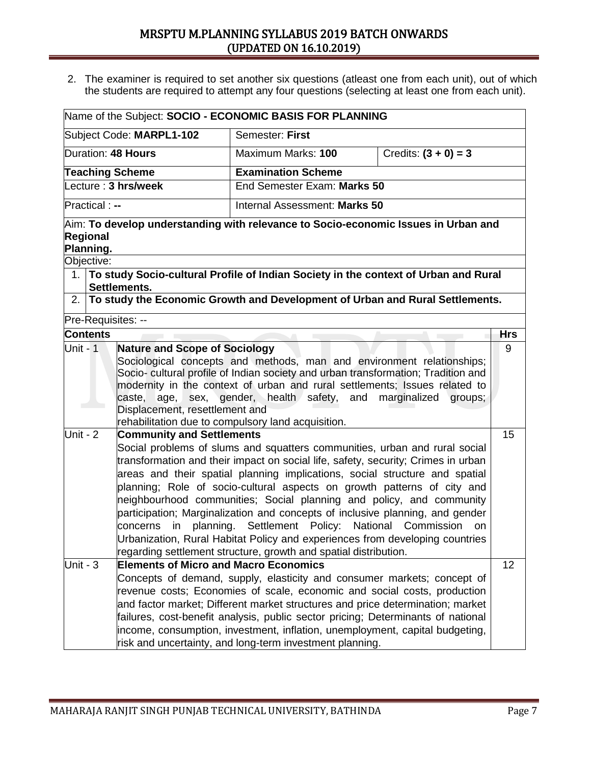2. The examiner is required to set another six questions (atleast one from each unit), out of which the students are required to attempt any four questions (selecting at least one from each unit).

|                                                                                                                                                                                                                                                                                                                                                                                                                                                                                                                                                                                                                                                                                                            |                          | Name of the Subject: SOCIO - ECONOMIC BASIS FOR PLANNING                                |                        |            |
|------------------------------------------------------------------------------------------------------------------------------------------------------------------------------------------------------------------------------------------------------------------------------------------------------------------------------------------------------------------------------------------------------------------------------------------------------------------------------------------------------------------------------------------------------------------------------------------------------------------------------------------------------------------------------------------------------------|--------------------------|-----------------------------------------------------------------------------------------|------------------------|------------|
|                                                                                                                                                                                                                                                                                                                                                                                                                                                                                                                                                                                                                                                                                                            | Subject Code: MARPL1-102 | Semester: First                                                                         |                        |            |
| Duration: 48 Hours                                                                                                                                                                                                                                                                                                                                                                                                                                                                                                                                                                                                                                                                                         |                          | Maximum Marks: 100                                                                      | Credits: $(3 + 0) = 3$ |            |
| <b>Teaching Scheme</b>                                                                                                                                                                                                                                                                                                                                                                                                                                                                                                                                                                                                                                                                                     |                          | <b>Examination Scheme</b>                                                               |                        |            |
|                                                                                                                                                                                                                                                                                                                                                                                                                                                                                                                                                                                                                                                                                                            | Lecture: 3 hrs/week      | End Semester Exam: Marks 50                                                             |                        |            |
| Practical : --                                                                                                                                                                                                                                                                                                                                                                                                                                                                                                                                                                                                                                                                                             |                          | Internal Assessment: Marks 50                                                           |                        |            |
| Regional<br>Planning.                                                                                                                                                                                                                                                                                                                                                                                                                                                                                                                                                                                                                                                                                      |                          | $\!$ Aim: To develop understanding with relevance to Socio-economic Issues in Urban and |                        |            |
| Objective:                                                                                                                                                                                                                                                                                                                                                                                                                                                                                                                                                                                                                                                                                                 |                          |                                                                                         |                        |            |
|                                                                                                                                                                                                                                                                                                                                                                                                                                                                                                                                                                                                                                                                                                            | Settlements.             | 1. To study Socio-cultural Profile of Indian Society in the context of Urban and Rural  |                        |            |
| 2.                                                                                                                                                                                                                                                                                                                                                                                                                                                                                                                                                                                                                                                                                                         |                          | To study the Economic Growth and Development of Urban and Rural Settlements.            |                        |            |
| Pre-Requisites: --                                                                                                                                                                                                                                                                                                                                                                                                                                                                                                                                                                                                                                                                                         |                          |                                                                                         |                        |            |
| <b>Contents</b>                                                                                                                                                                                                                                                                                                                                                                                                                                                                                                                                                                                                                                                                                            |                          |                                                                                         |                        | <b>Hrs</b> |
| <b>Nature and Scope of Sociology</b><br>Sociological concepts and methods, man and environment relationships;<br>Socio- cultural profile of Indian society and urban transformation; Tradition and<br>modernity in the context of urban and rural settlements; Issues related to<br>caste, age, sex, gender, health safety,<br>and<br>marginalized<br>groups;<br>Displacement, resettlement and<br>rehabilitation due to compulsory land acquisition.                                                                                                                                                                                                                                                      |                          |                                                                                         |                        |            |
| Unit - $2$<br><b>Community and Settlements</b><br>Social problems of slums and squatters communities, urban and rural social<br>transformation and their impact on social life, safety, security; Crimes in urban<br>areas and their spatial planning implications, social structure and spatial<br>planning; Role of socio-cultural aspects on growth patterns of city and<br>neighbourhood communities; Social planning and policy, and community<br>participation; Marginalization and concepts of inclusive planning, and gender<br>Settlement Policy: National Commission<br>concerns<br>planning.<br>in<br><b>on</b><br>Urbanization, Rural Habitat Policy and experiences from developing countries |                          |                                                                                         |                        | 15         |
| regarding settlement structure, growth and spatial distribution.<br>Unit - $3$<br><b>Elements of Micro and Macro Economics</b><br>Concepts of demand, supply, elasticity and consumer markets; concept of<br>revenue costs; Economies of scale, economic and social costs, production<br>and factor market; Different market structures and price determination; market<br>failures, cost-benefit analysis, public sector pricing; Determinants of national<br>income, consumption, investment, inflation, unemployment, capital budgeting,<br>risk and uncertainty, and long-term investment planning.                                                                                                    |                          |                                                                                         |                        |            |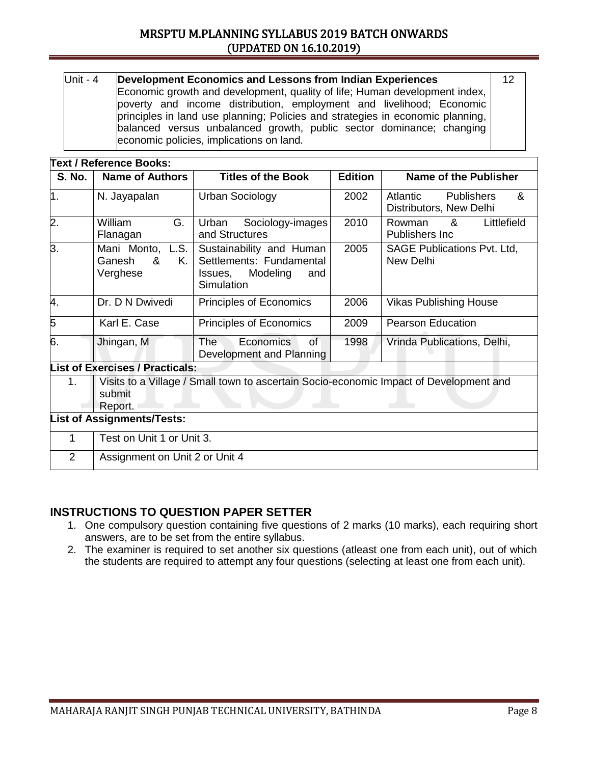| Unit - $4$                                                                                                                                                                                                                                                                 | Development Economics and Lessons from Indian Experiences                  |  |  |  |  |  |
|----------------------------------------------------------------------------------------------------------------------------------------------------------------------------------------------------------------------------------------------------------------------------|----------------------------------------------------------------------------|--|--|--|--|--|
|                                                                                                                                                                                                                                                                            | Economic growth and development, quality of life; Human development index, |  |  |  |  |  |
| poverty and income distribution, employment and livelihood; Economic<br>principles in land use planning; Policies and strategies in economic planning,<br>balanced versus unbalanced growth, public sector dominance; changing<br>economic policies, implications on land. |                                                                            |  |  |  |  |  |

|                  | <b>Text / Reference Books:</b>                                                                              |                                                                                                  |                |                                                               |  |  |  |
|------------------|-------------------------------------------------------------------------------------------------------------|--------------------------------------------------------------------------------------------------|----------------|---------------------------------------------------------------|--|--|--|
| <b>S. No.</b>    | <b>Name of Authors</b>                                                                                      | <b>Titles of the Book</b>                                                                        | <b>Edition</b> | Name of the Publisher                                         |  |  |  |
| 1.               | N. Jayapalan                                                                                                | Urban Sociology                                                                                  | 2002           | <b>Publishers</b><br>&<br>Atlantic<br>Distributors, New Delhi |  |  |  |
| $\overline{2}$ . | G.<br>William<br>Flanagan                                                                                   | Sociology-images<br>Urban<br>and Structures                                                      | 2010           | Littlefield<br>Rowman<br>&<br>Publishers Inc                  |  |  |  |
| 3.               | Mani Monto, L.S.<br>Κ.<br>Ganesh<br>&<br>Verghese                                                           | Sustainability and Human<br>Settlements: Fundamental<br>Modeling<br>Issues,<br>and<br>Simulation | 2005           | <b>SAGE Publications Pvt. Ltd.</b><br>New Delhi               |  |  |  |
| 4.               | Dr. D N Dwivedi                                                                                             | Principles of Economics                                                                          | 2006           | <b>Vikas Publishing House</b>                                 |  |  |  |
| 5                | Karl E. Case                                                                                                | Principles of Economics                                                                          | 2009           | <b>Pearson Education</b>                                      |  |  |  |
| 6.               | Jhingan, M                                                                                                  | Economics<br>The⊹<br>0f<br>Development and Planning                                              | 1998           | Vrinda Publications, Delhi,                                   |  |  |  |
|                  | <b>List of Exercises / Practicals:</b>                                                                      |                                                                                                  |                |                                                               |  |  |  |
| 1.               | Visits to a Village / Small town to ascertain Socio-economic Impact of Development and<br>submit<br>Report. |                                                                                                  |                |                                                               |  |  |  |
|                  | <b>List of Assignments/Tests:</b>                                                                           |                                                                                                  |                |                                                               |  |  |  |
| 1                | Test on Unit 1 or Unit 3.                                                                                   |                                                                                                  |                |                                                               |  |  |  |
| 2                | Assignment on Unit 2 or Unit 4                                                                              |                                                                                                  |                |                                                               |  |  |  |

- 1. One compulsory question containing five questions of 2 marks (10 marks), each requiring short answers, are to be set from the entire syllabus.
- 2. The examiner is required to set another six questions (atleast one from each unit), out of which the students are required to attempt any four questions (selecting at least one from each unit).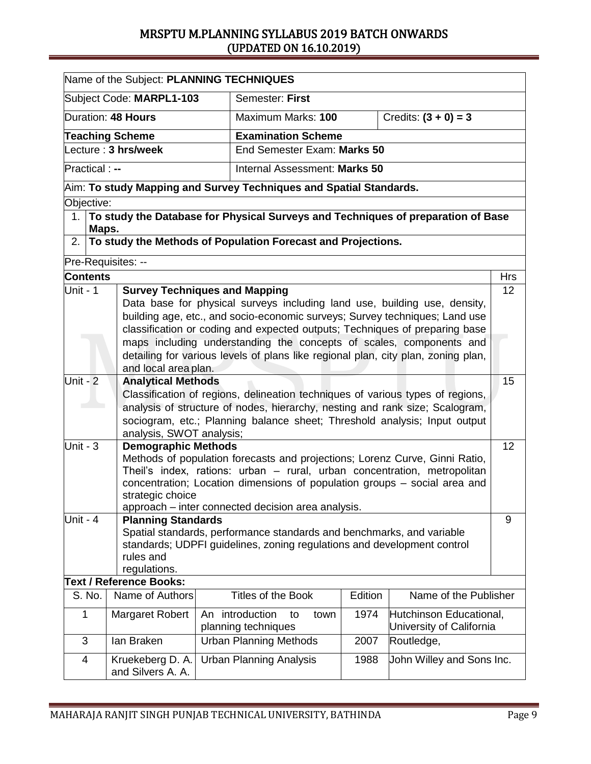| Name of the Subject: PLANNING TECHNIQUES                                             |       |                                                                                                                                                                |                                                                           |                                                                                                                                                          |      |         |                                                                                     |            |
|--------------------------------------------------------------------------------------|-------|----------------------------------------------------------------------------------------------------------------------------------------------------------------|---------------------------------------------------------------------------|----------------------------------------------------------------------------------------------------------------------------------------------------------|------|---------|-------------------------------------------------------------------------------------|------------|
|                                                                                      |       | Subject Code: MARPL1-103                                                                                                                                       |                                                                           | Semester: First                                                                                                                                          |      |         |                                                                                     |            |
|                                                                                      |       | Duration: 48 Hours                                                                                                                                             |                                                                           | Credits: $(3 + 0) = 3$<br>Maximum Marks: 100                                                                                                             |      |         |                                                                                     |            |
|                                                                                      |       | <b>Teaching Scheme</b>                                                                                                                                         |                                                                           | <b>Examination Scheme</b>                                                                                                                                |      |         |                                                                                     |            |
|                                                                                      |       | $\overline{\mathsf{ect}}$ ure : 3 hrs/week                                                                                                                     |                                                                           | End Semester Exam: Marks 50                                                                                                                              |      |         |                                                                                     |            |
| Practical : --<br>Internal Assessment: Marks 50                                      |       |                                                                                                                                                                |                                                                           |                                                                                                                                                          |      |         |                                                                                     |            |
|                                                                                      |       | $\,$ Aim: To study Mapping and Survey Techniques and Spatial Standards.                                                                                        |                                                                           |                                                                                                                                                          |      |         |                                                                                     |            |
| Objective:                                                                           |       |                                                                                                                                                                |                                                                           |                                                                                                                                                          |      |         |                                                                                     |            |
|                                                                                      | Maps. |                                                                                                                                                                |                                                                           |                                                                                                                                                          |      |         | 1. To study the Database for Physical Surveys and Techniques of preparation of Base |            |
| 2.                                                                                   |       | To study the Methods of Population Forecast and Projections.                                                                                                   |                                                                           |                                                                                                                                                          |      |         |                                                                                     |            |
|                                                                                      |       | Pre-Requisites: --                                                                                                                                             |                                                                           |                                                                                                                                                          |      |         |                                                                                     |            |
| <b>Contents</b>                                                                      |       |                                                                                                                                                                |                                                                           |                                                                                                                                                          |      |         |                                                                                     | <b>Hrs</b> |
| Unit - 1                                                                             |       | <b>Survey Techniques and Mapping</b>                                                                                                                           |                                                                           |                                                                                                                                                          |      |         |                                                                                     | 12         |
|                                                                                      |       |                                                                                                                                                                |                                                                           |                                                                                                                                                          |      |         | Data base for physical surveys including land use, building use, density,           |            |
|                                                                                      |       |                                                                                                                                                                |                                                                           |                                                                                                                                                          |      |         | building age, etc., and socio-economic surveys; Survey techniques; Land use         |            |
|                                                                                      |       |                                                                                                                                                                |                                                                           |                                                                                                                                                          |      |         | classification or coding and expected outputs; Techniques of preparing base         |            |
|                                                                                      |       |                                                                                                                                                                |                                                                           | maps including understanding the concepts of scales, components and<br>detailing for various levels of plans like regional plan, city plan, zoning plan, |      |         |                                                                                     |            |
|                                                                                      |       | and local area plan.                                                                                                                                           |                                                                           |                                                                                                                                                          |      |         |                                                                                     |            |
| Unit - $2$                                                                           |       | <b>Analytical Methods</b>                                                                                                                                      |                                                                           |                                                                                                                                                          |      |         |                                                                                     | 15         |
|                                                                                      |       |                                                                                                                                                                |                                                                           |                                                                                                                                                          |      |         |                                                                                     |            |
|                                                                                      |       | Classification of regions, delineation techniques of various types of regions,<br>analysis of structure of nodes, hierarchy, nesting and rank size; Scalogram, |                                                                           |                                                                                                                                                          |      |         |                                                                                     |            |
|                                                                                      |       |                                                                                                                                                                |                                                                           |                                                                                                                                                          |      |         | sociogram, etc.; Planning balance sheet; Threshold analysis; Input output           |            |
|                                                                                      |       | analysis, SWOT analysis;                                                                                                                                       |                                                                           |                                                                                                                                                          |      |         |                                                                                     |            |
| $Unit - 3$                                                                           |       | <b>Demographic Methods</b>                                                                                                                                     |                                                                           |                                                                                                                                                          |      |         |                                                                                     | 12         |
|                                                                                      |       | Methods of population forecasts and projections; Lorenz Curve, Ginni Ratio,                                                                                    |                                                                           |                                                                                                                                                          |      |         |                                                                                     |            |
|                                                                                      |       | Theil's index, rations: urban - rural, urban concentration, metropolitan                                                                                       |                                                                           |                                                                                                                                                          |      |         |                                                                                     |            |
|                                                                                      |       | strategic choice                                                                                                                                               | concentration; Location dimensions of population groups – social area and |                                                                                                                                                          |      |         |                                                                                     |            |
|                                                                                      |       |                                                                                                                                                                |                                                                           | approach – inter connected decision area analysis.                                                                                                       |      |         |                                                                                     |            |
| Unit - $4$                                                                           |       | <b>Planning Standards</b>                                                                                                                                      |                                                                           |                                                                                                                                                          |      |         |                                                                                     | 9          |
|                                                                                      |       |                                                                                                                                                                |                                                                           |                                                                                                                                                          |      |         | Spatial standards, performance standards and benchmarks, and variable               |            |
|                                                                                      |       |                                                                                                                                                                |                                                                           |                                                                                                                                                          |      |         | standards; UDPFI guidelines, zoning regulations and development control             |            |
|                                                                                      |       | rules and                                                                                                                                                      |                                                                           |                                                                                                                                                          |      |         |                                                                                     |            |
|                                                                                      |       | regulations.                                                                                                                                                   |                                                                           |                                                                                                                                                          |      |         |                                                                                     |            |
|                                                                                      |       | <b>Text / Reference Books:</b>                                                                                                                                 |                                                                           |                                                                                                                                                          |      |         |                                                                                     |            |
| S. No.                                                                               |       | Name of Authors                                                                                                                                                |                                                                           | Titles of the Book                                                                                                                                       |      | Edition | Name of the Publisher                                                               |            |
| 1                                                                                    |       | Margaret Robert                                                                                                                                                |                                                                           | An introduction<br>to<br>planning techniques                                                                                                             | town | 1974    | Hutchinson Educational,<br>University of California                                 |            |
| 3                                                                                    |       | lan Braken                                                                                                                                                     |                                                                           | <b>Urban Planning Methods</b>                                                                                                                            |      | 2007    | Routledge,                                                                          |            |
| Kruekeberg D. A.<br><b>Urban Planning Analysis</b><br>1988<br>4<br>and Silvers A. A. |       |                                                                                                                                                                | John Willey and Sons Inc.                                                 |                                                                                                                                                          |      |         |                                                                                     |            |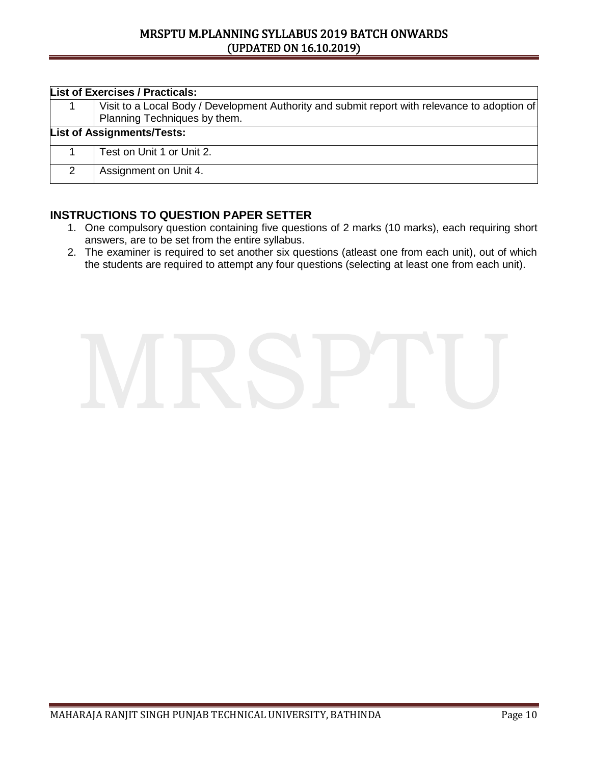| <b>List of Exercises / Practicals:</b>                                                                                        |  |  |  |  |  |
|-------------------------------------------------------------------------------------------------------------------------------|--|--|--|--|--|
| Visit to a Local Body / Development Authority and submit report with relevance to adoption of<br>Planning Techniques by them. |  |  |  |  |  |
| <b>List of Assignments/Tests:</b>                                                                                             |  |  |  |  |  |
| Test on Unit 1 or Unit 2.                                                                                                     |  |  |  |  |  |
| Assignment on Unit 4.                                                                                                         |  |  |  |  |  |

- 1. One compulsory question containing five questions of 2 marks (10 marks), each requiring short answers, are to be set from the entire syllabus.
- 2. The examiner is required to set another six questions (atleast one from each unit), out of which the students are required to attempt any four questions (selecting at least one from each unit).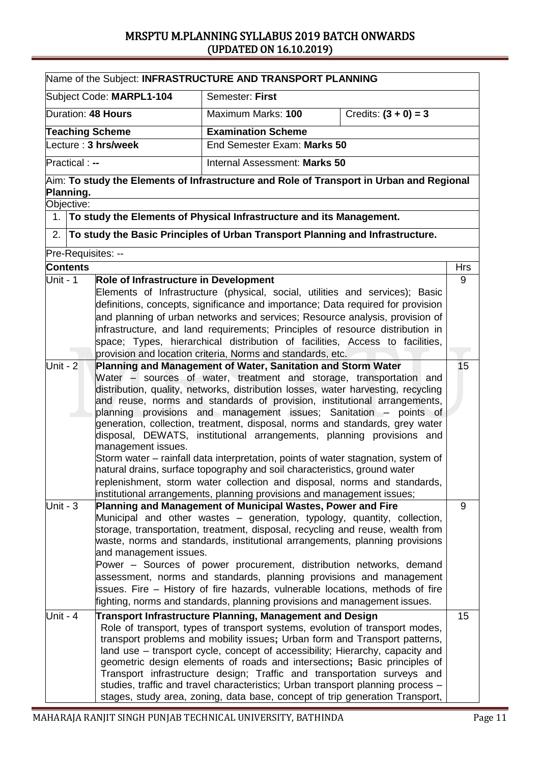| Name of the Subject: INFRASTRUCTURE AND TRANSPORT PLANNING                                  |                                       |                                                                                                                                                                |            |  |  |  |
|---------------------------------------------------------------------------------------------|---------------------------------------|----------------------------------------------------------------------------------------------------------------------------------------------------------------|------------|--|--|--|
|                                                                                             | Subject Code: MARPL1-104              | Semester: First                                                                                                                                                |            |  |  |  |
|                                                                                             | Duration: 48 Hours                    | Credits: $(3 + 0) = 3$<br>Maximum Marks: 100                                                                                                                   |            |  |  |  |
|                                                                                             | <b>Teaching Scheme</b>                | <b>Examination Scheme</b>                                                                                                                                      |            |  |  |  |
| Lecture: 3 hrs/week<br>End Semester Exam: Marks 50                                          |                                       |                                                                                                                                                                |            |  |  |  |
| <b>Practical:</b> --<br>Internal Assessment: Marks 50                                       |                                       |                                                                                                                                                                |            |  |  |  |
| $A$ im: To study the Elements of Infrastructure and Role of Transport in Urban and Regional |                                       |                                                                                                                                                                |            |  |  |  |
| Planning.                                                                                   |                                       |                                                                                                                                                                |            |  |  |  |
| Objective:                                                                                  |                                       |                                                                                                                                                                |            |  |  |  |
|                                                                                             |                                       | 1. To study the Elements of Physical Infrastructure and its Management.                                                                                        |            |  |  |  |
| 2.                                                                                          |                                       | To study the Basic Principles of Urban Transport Planning and Infrastructure.                                                                                  |            |  |  |  |
|                                                                                             | Pre-Requisites: --                    |                                                                                                                                                                |            |  |  |  |
| <b>Contents</b>                                                                             |                                       |                                                                                                                                                                | <b>Hrs</b> |  |  |  |
| Unit - 1                                                                                    | Role of Infrastructure in Development |                                                                                                                                                                | 9          |  |  |  |
|                                                                                             |                                       | Elements of Infrastructure (physical, social, utilities and services); Basic                                                                                   |            |  |  |  |
|                                                                                             |                                       | definitions, concepts, significance and importance; Data required for provision                                                                                |            |  |  |  |
|                                                                                             |                                       | and planning of urban networks and services; Resource analysis, provision of                                                                                   |            |  |  |  |
|                                                                                             |                                       | infrastructure, and land requirements; Principles of resource distribution in                                                                                  |            |  |  |  |
|                                                                                             |                                       | space; Types, hierarchical distribution of facilities, Access to facilities,                                                                                   |            |  |  |  |
|                                                                                             |                                       | provision and location criteria, Norms and standards, etc.                                                                                                     |            |  |  |  |
| Unit - 2                                                                                    |                                       | Planning and Management of Water, Sanitation and Storm Water                                                                                                   | 15         |  |  |  |
|                                                                                             |                                       | Water – sources of water, treatment and storage, transportation and                                                                                            |            |  |  |  |
|                                                                                             |                                       | distribution, quality, networks, distribution losses, water harvesting, recycling                                                                              |            |  |  |  |
|                                                                                             |                                       | and reuse, norms and standards of provision, institutional arrangements,                                                                                       |            |  |  |  |
|                                                                                             |                                       | planning provisions and management issues; Sanitation – points of                                                                                              |            |  |  |  |
|                                                                                             |                                       | generation, collection, treatment, disposal, norms and standards, grey water                                                                                   |            |  |  |  |
|                                                                                             |                                       | disposal, DEWATS, institutional arrangements, planning provisions and                                                                                          |            |  |  |  |
|                                                                                             | management issues.                    |                                                                                                                                                                |            |  |  |  |
|                                                                                             |                                       | Storm water – rainfall data interpretation, points of water stagnation, system of<br>natural drains, surface topography and soil characteristics, ground water |            |  |  |  |
|                                                                                             |                                       |                                                                                                                                                                |            |  |  |  |
|                                                                                             |                                       | replenishment, storm water collection and disposal, norms and standards,<br>institutional arrangements, planning provisions and management issues;             |            |  |  |  |
| Unit - $3$                                                                                  |                                       | Planning and Management of Municipal Wastes, Power and Fire                                                                                                    | 9          |  |  |  |
|                                                                                             |                                       | Municipal and other wastes - generation, typology, quantity, collection,                                                                                       |            |  |  |  |
|                                                                                             |                                       | storage, transportation, treatment, disposal, recycling and reuse, wealth from                                                                                 |            |  |  |  |
|                                                                                             |                                       | waste, norms and standards, institutional arrangements, planning provisions                                                                                    |            |  |  |  |
|                                                                                             | and management issues.                |                                                                                                                                                                |            |  |  |  |
|                                                                                             |                                       | Power - Sources of power procurement, distribution networks, demand                                                                                            |            |  |  |  |
|                                                                                             |                                       | assessment, norms and standards, planning provisions and management                                                                                            |            |  |  |  |
|                                                                                             |                                       | issues. Fire – History of fire hazards, vulnerable locations, methods of fire                                                                                  |            |  |  |  |
|                                                                                             |                                       | fighting, norms and standards, planning provisions and management issues.                                                                                      |            |  |  |  |
| Unit - 4                                                                                    |                                       | Transport Infrastructure Planning, Management and Design                                                                                                       | 15         |  |  |  |
|                                                                                             |                                       | Role of transport, types of transport systems, evolution of transport modes,                                                                                   |            |  |  |  |
|                                                                                             |                                       | transport problems and mobility issues; Urban form and Transport patterns,                                                                                     |            |  |  |  |
|                                                                                             |                                       | land use – transport cycle, concept of accessibility; Hierarchy, capacity and                                                                                  |            |  |  |  |
|                                                                                             |                                       | geometric design elements of roads and intersections; Basic principles of                                                                                      |            |  |  |  |
|                                                                                             |                                       | Transport infrastructure design; Traffic and transportation surveys and                                                                                        |            |  |  |  |
|                                                                                             |                                       | studies, traffic and travel characteristics; Urban transport planning process -                                                                                |            |  |  |  |
|                                                                                             |                                       | stages, study area, zoning, data base, concept of trip generation Transport,                                                                                   |            |  |  |  |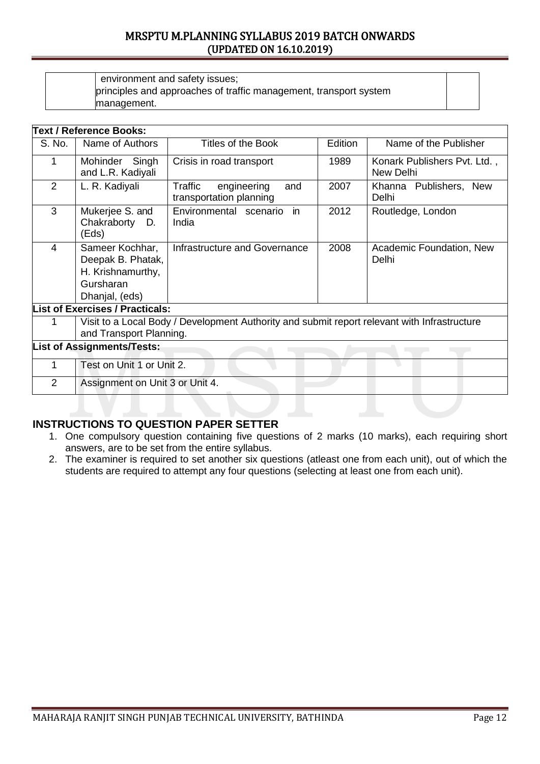| environment and safety issues;                                    |
|-------------------------------------------------------------------|
| principles and approaches of traffic management, transport system |
| management.                                                       |

| Edition<br>S. No.<br>Name of Authors<br>Titles of the Book<br>Name of the Publisher<br>1989<br>Mohinder Singh<br>Konark Publishers Pvt. Ltd.,<br>1<br>Crisis in road transport<br>and L.R. Kadiyali<br>New Delhi<br>2<br>2007<br>L. R. Kadiyali<br>Traffic<br>engineering<br>Khanna Publishers, New<br>and<br>transportation planning<br>Delhi<br>3<br>2012<br>Mukerjee S. and<br>Environmental scenario<br>in<br>Routledge, London<br>Chakraborty D.<br>India<br>(Eds)<br>$\overline{4}$<br>2008<br>Sameer Kochhar,<br>Infrastructure and Governance<br>Academic Foundation, New<br>Deepak B. Phatak,<br>Delhi<br>H. Krishnamurthy,<br>Gursharan<br>Dhanjal, (eds)<br><b>List of Exercises / Practicals:</b><br>Visit to a Local Body / Development Authority and submit report relevant with Infrastructure<br>1<br>and Transport Planning.<br><b>List of Assignments/Tests:</b><br>Test on Unit 1 or Unit 2.<br>1<br>2<br>Assignment on Unit 3 or Unit 4. |  | <b>Text / Reference Books:</b> |  |  |  |  |  |  |
|--------------------------------------------------------------------------------------------------------------------------------------------------------------------------------------------------------------------------------------------------------------------------------------------------------------------------------------------------------------------------------------------------------------------------------------------------------------------------------------------------------------------------------------------------------------------------------------------------------------------------------------------------------------------------------------------------------------------------------------------------------------------------------------------------------------------------------------------------------------------------------------------------------------------------------------------------------------|--|--------------------------------|--|--|--|--|--|--|
|                                                                                                                                                                                                                                                                                                                                                                                                                                                                                                                                                                                                                                                                                                                                                                                                                                                                                                                                                              |  |                                |  |  |  |  |  |  |
|                                                                                                                                                                                                                                                                                                                                                                                                                                                                                                                                                                                                                                                                                                                                                                                                                                                                                                                                                              |  |                                |  |  |  |  |  |  |
|                                                                                                                                                                                                                                                                                                                                                                                                                                                                                                                                                                                                                                                                                                                                                                                                                                                                                                                                                              |  |                                |  |  |  |  |  |  |
|                                                                                                                                                                                                                                                                                                                                                                                                                                                                                                                                                                                                                                                                                                                                                                                                                                                                                                                                                              |  |                                |  |  |  |  |  |  |
|                                                                                                                                                                                                                                                                                                                                                                                                                                                                                                                                                                                                                                                                                                                                                                                                                                                                                                                                                              |  |                                |  |  |  |  |  |  |
|                                                                                                                                                                                                                                                                                                                                                                                                                                                                                                                                                                                                                                                                                                                                                                                                                                                                                                                                                              |  |                                |  |  |  |  |  |  |
|                                                                                                                                                                                                                                                                                                                                                                                                                                                                                                                                                                                                                                                                                                                                                                                                                                                                                                                                                              |  |                                |  |  |  |  |  |  |
|                                                                                                                                                                                                                                                                                                                                                                                                                                                                                                                                                                                                                                                                                                                                                                                                                                                                                                                                                              |  |                                |  |  |  |  |  |  |
|                                                                                                                                                                                                                                                                                                                                                                                                                                                                                                                                                                                                                                                                                                                                                                                                                                                                                                                                                              |  |                                |  |  |  |  |  |  |
|                                                                                                                                                                                                                                                                                                                                                                                                                                                                                                                                                                                                                                                                                                                                                                                                                                                                                                                                                              |  |                                |  |  |  |  |  |  |

- 1. One compulsory question containing five questions of 2 marks (10 marks), each requiring short answers, are to be set from the entire syllabus.
- 2. The examiner is required to set another six questions (atleast one from each unit), out of which the students are required to attempt any four questions (selecting at least one from each unit).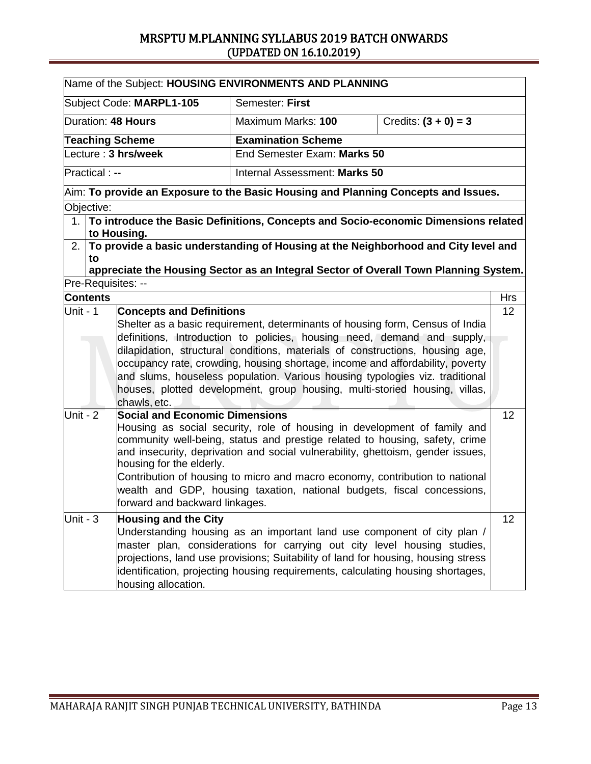| Name of the Subject: HOUSING ENVIRONMENTS AND PLANNING |                                                                                              |                                                                                       |                        |            |  |
|--------------------------------------------------------|----------------------------------------------------------------------------------------------|---------------------------------------------------------------------------------------|------------------------|------------|--|
| Subject Code: MARPL1-105                               |                                                                                              | Semester: First                                                                       |                        |            |  |
| Duration: 48 Hours                                     |                                                                                              | Maximum Marks: 100                                                                    | Credits: $(3 + 0) = 3$ |            |  |
| <b>Teaching Scheme</b>                                 |                                                                                              | <b>Examination Scheme</b>                                                             |                        |            |  |
| Lecture: 3 hrs/week                                    |                                                                                              | End Semester Exam: Marks 50                                                           |                        |            |  |
| <b>Practical:</b> --                                   |                                                                                              | Internal Assessment: Marks 50                                                         |                        |            |  |
|                                                        | $\forall$ Aim: To provide an Exposure to the Basic Housing and Planning Concepts and Issues. |                                                                                       |                        |            |  |
| Objective:                                             |                                                                                              |                                                                                       |                        |            |  |
| to Housing.                                            |                                                                                              | 1. To introduce the Basic Definitions, Concepts and Socio-economic Dimensions related |                        |            |  |
| 2.                                                     |                                                                                              | To provide a basic understanding of Housing at the Neighborhood and City level and    |                        |            |  |
| to                                                     |                                                                                              |                                                                                       |                        |            |  |
|                                                        |                                                                                              | appreciate the Housing Sector as an Integral Sector of Overall Town Planning System.  |                        |            |  |
| Pre-Requisites: --                                     |                                                                                              |                                                                                       |                        |            |  |
| <b>Contents</b>                                        |                                                                                              |                                                                                       |                        | <b>Hrs</b> |  |
| Unit - 1                                               | <b>Concepts and Definitions</b>                                                              |                                                                                       |                        | 12         |  |
|                                                        |                                                                                              | Shelter as a basic requirement, determinants of housing form, Census of India         |                        |            |  |
|                                                        |                                                                                              | definitions, Introduction to policies, housing need, demand and supply,               |                        |            |  |
|                                                        |                                                                                              | dilapidation, structural conditions, materials of constructions, housing age,         |                        |            |  |
|                                                        |                                                                                              | occupancy rate, crowding, housing shortage, income and affordability, poverty         |                        |            |  |
|                                                        |                                                                                              | and slums, houseless population. Various housing typologies viz. traditional          |                        |            |  |
|                                                        |                                                                                              | houses, plotted development, group housing, multi-storied housing, villas,            |                        |            |  |
| chawls, etc.                                           |                                                                                              |                                                                                       |                        |            |  |
| Unit - $2$                                             | <b>Social and Economic Dimensions</b>                                                        |                                                                                       |                        | 12         |  |
|                                                        |                                                                                              | Housing as social security, role of housing in development of family and              |                        |            |  |
|                                                        |                                                                                              | community well-being, status and prestige related to housing, safety, crime           |                        |            |  |
|                                                        |                                                                                              | and insecurity, deprivation and social vulnerability, ghettoism, gender issues,       |                        |            |  |
|                                                        | housing for the elderly.                                                                     |                                                                                       |                        |            |  |
|                                                        |                                                                                              | Contribution of housing to micro and macro economy, contribution to national          |                        |            |  |
|                                                        |                                                                                              | wealth and GDP, housing taxation, national budgets, fiscal concessions,               |                        |            |  |
|                                                        | forward and backward linkages.                                                               |                                                                                       |                        |            |  |
| Unit - $3$                                             | <b>Housing and the City</b>                                                                  |                                                                                       |                        | 12         |  |
|                                                        | Understanding housing as an important land use component of city plan /                      |                                                                                       |                        |            |  |
|                                                        | master plan, considerations for carrying out city level housing studies,                     |                                                                                       |                        |            |  |
|                                                        |                                                                                              | projections, land use provisions; Suitability of land for housing, housing stress     |                        |            |  |
|                                                        |                                                                                              | identification, projecting housing requirements, calculating housing shortages,       |                        |            |  |
|                                                        | housing allocation.                                                                          |                                                                                       |                        |            |  |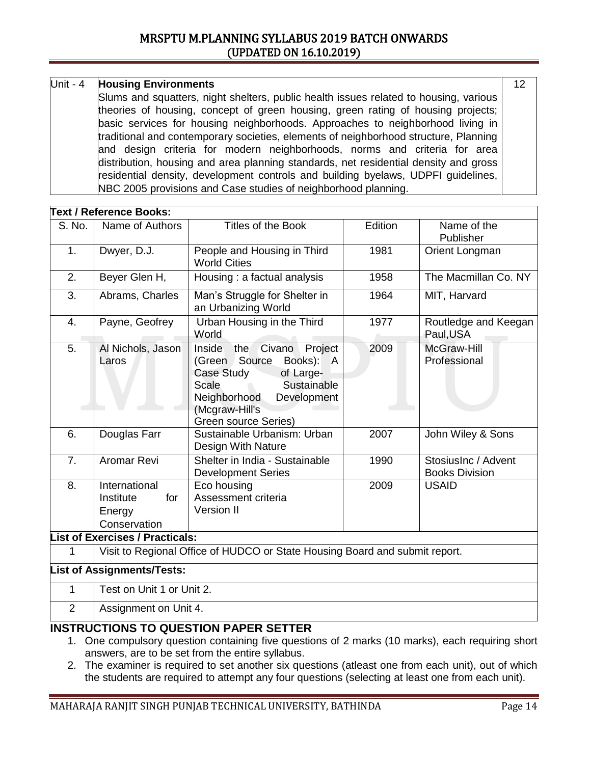### Unit - 4 **Housing Environments**

Slums and squatters, night shelters, public health issues related to housing, various theories of housing, concept of green housing, green rating of housing projects; basic services for housing neighborhoods. Approaches to neighborhood living in traditional and contemporary societies, elements of neighborhood structure, Planning and design criteria for modern neighborhoods, norms and criteria for area distribution, housing and area planning standards, net residential density and gross residential density, development controls and building byelaws, UDPFI guidelines, NBC 2005 provisions and Case studies of neighborhood planning.

| <b>Text / Reference Books:</b>                                                   |                                                                                                                                                                                                            |                                                                                              |                                              |  |  |
|----------------------------------------------------------------------------------|------------------------------------------------------------------------------------------------------------------------------------------------------------------------------------------------------------|----------------------------------------------------------------------------------------------|----------------------------------------------|--|--|
| Name of Authors                                                                  | <b>Titles of the Book</b>                                                                                                                                                                                  | Edition                                                                                      | Name of the<br>Publisher                     |  |  |
| Dwyer, D.J.                                                                      | People and Housing in Third<br><b>World Cities</b>                                                                                                                                                         | 1981                                                                                         | Orient Longman                               |  |  |
| Beyer Glen H,                                                                    | Housing : a factual analysis                                                                                                                                                                               | 1958                                                                                         | The Macmillan Co. NY                         |  |  |
| Abrams, Charles                                                                  | Man's Struggle for Shelter in<br>an Urbanizing World                                                                                                                                                       | 1964                                                                                         | MIT, Harvard                                 |  |  |
| Payne, Geofrey                                                                   | Urban Housing in the Third<br>World                                                                                                                                                                        | 1977                                                                                         | Routledge and Keegan<br>Paul, USA            |  |  |
| Al Nichols, Jason<br>Laros                                                       | Project<br>Civano<br>the<br>Inside<br>(Green Source<br>Books): A<br>Case Study<br>of Large-<br>Sustainable<br><b>Scale</b><br>Neighborhood<br>Development<br>(Mcgraw-Hill's<br><b>Green source Series)</b> | 2009                                                                                         | McGraw-Hill<br>Professional                  |  |  |
| Douglas Farr                                                                     | Sustainable Urbanism: Urban<br>Design With Nature                                                                                                                                                          | 2007                                                                                         | John Wiley & Sons                            |  |  |
| Aromar Revi                                                                      | Shelter in India - Sustainable<br><b>Development Series</b>                                                                                                                                                | 1990                                                                                         | StosiusInc / Advent<br><b>Books Division</b> |  |  |
| International<br>Institute<br>for<br>Energy<br>Conservation                      | Eco housing<br>Assessment criteria<br>Version II                                                                                                                                                           | 2009                                                                                         | <b>USAID</b>                                 |  |  |
|                                                                                  |                                                                                                                                                                                                            |                                                                                              |                                              |  |  |
| Visit to Regional Office of HUDCO or State Housing Board and submit report.<br>1 |                                                                                                                                                                                                            |                                                                                              |                                              |  |  |
| <b>List of Assignments/Tests:</b>                                                |                                                                                                                                                                                                            |                                                                                              |                                              |  |  |
|                                                                                  |                                                                                                                                                                                                            |                                                                                              |                                              |  |  |
|                                                                                  |                                                                                                                                                                                                            |                                                                                              |                                              |  |  |
|                                                                                  |                                                                                                                                                                                                            | <b>List of Exercises / Practicals:</b><br>Test on Unit 1 or Unit 2.<br>Assignment on Unit 4. |                                              |  |  |

### **INSTRUCTIONS TO QUESTION PAPER SETTER**

- 1. One compulsory question containing five questions of 2 marks (10 marks), each requiring short answers, are to be set from the entire syllabus.
- 2. The examiner is required to set another six questions (atleast one from each unit), out of which the students are required to attempt any four questions (selecting at least one from each unit).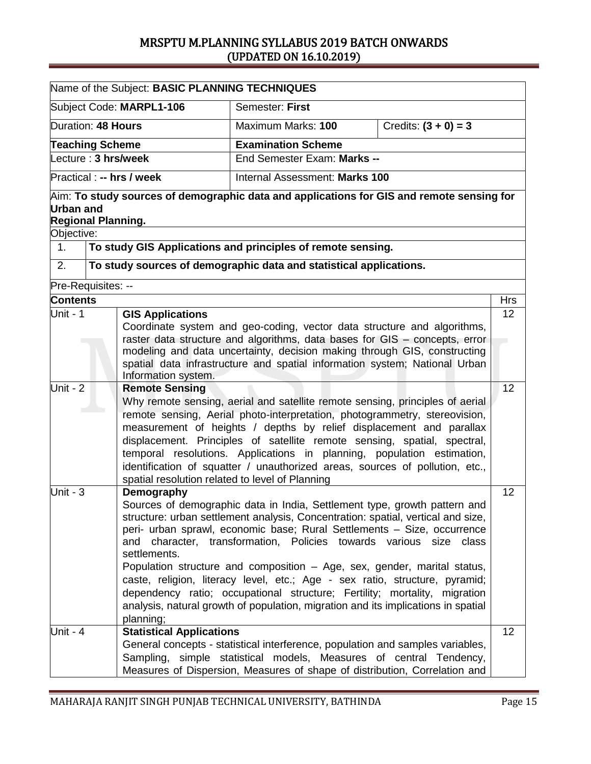|                                                                                                                                                                                                                                                             | Name of the Subject: BASIC PLANNING TECHNIQUES                                                                                                                                                                                                                                                                                                                                                                                                                                                    |                                                                                                                                                                                                                                                                                                                                                                                                                                                                                                                                                                                                                                         |                        |            |  |
|-------------------------------------------------------------------------------------------------------------------------------------------------------------------------------------------------------------------------------------------------------------|---------------------------------------------------------------------------------------------------------------------------------------------------------------------------------------------------------------------------------------------------------------------------------------------------------------------------------------------------------------------------------------------------------------------------------------------------------------------------------------------------|-----------------------------------------------------------------------------------------------------------------------------------------------------------------------------------------------------------------------------------------------------------------------------------------------------------------------------------------------------------------------------------------------------------------------------------------------------------------------------------------------------------------------------------------------------------------------------------------------------------------------------------------|------------------------|------------|--|
|                                                                                                                                                                                                                                                             | Subject Code: MARPL1-106                                                                                                                                                                                                                                                                                                                                                                                                                                                                          | Semester: First                                                                                                                                                                                                                                                                                                                                                                                                                                                                                                                                                                                                                         |                        |            |  |
|                                                                                                                                                                                                                                                             | Duration: 48 Hours                                                                                                                                                                                                                                                                                                                                                                                                                                                                                | Maximum Marks: 100                                                                                                                                                                                                                                                                                                                                                                                                                                                                                                                                                                                                                      | Credits: $(3 + 0) = 3$ |            |  |
|                                                                                                                                                                                                                                                             | <b>Teaching Scheme</b>                                                                                                                                                                                                                                                                                                                                                                                                                                                                            | <b>Examination Scheme</b>                                                                                                                                                                                                                                                                                                                                                                                                                                                                                                                                                                                                               |                        |            |  |
|                                                                                                                                                                                                                                                             | Lecture: 3 hrs/week                                                                                                                                                                                                                                                                                                                                                                                                                                                                               | End Semester Exam: Marks --                                                                                                                                                                                                                                                                                                                                                                                                                                                                                                                                                                                                             |                        |            |  |
|                                                                                                                                                                                                                                                             | Practical : -- hrs / week                                                                                                                                                                                                                                                                                                                                                                                                                                                                         | Internal Assessment: Marks 100                                                                                                                                                                                                                                                                                                                                                                                                                                                                                                                                                                                                          |                        |            |  |
| Urban and                                                                                                                                                                                                                                                   | <b>Regional Planning.</b>                                                                                                                                                                                                                                                                                                                                                                                                                                                                         | $\mathop{\rm Aim}\nolimits$ : To study sources of demographic data and applications for GIS and remote sensing for                                                                                                                                                                                                                                                                                                                                                                                                                                                                                                                      |                        |            |  |
| Objective:                                                                                                                                                                                                                                                  |                                                                                                                                                                                                                                                                                                                                                                                                                                                                                                   |                                                                                                                                                                                                                                                                                                                                                                                                                                                                                                                                                                                                                                         |                        |            |  |
| $\mathbf{1}$ .                                                                                                                                                                                                                                              |                                                                                                                                                                                                                                                                                                                                                                                                                                                                                                   | To study GIS Applications and principles of remote sensing.                                                                                                                                                                                                                                                                                                                                                                                                                                                                                                                                                                             |                        |            |  |
| 2.                                                                                                                                                                                                                                                          |                                                                                                                                                                                                                                                                                                                                                                                                                                                                                                   | To study sources of demographic data and statistical applications.                                                                                                                                                                                                                                                                                                                                                                                                                                                                                                                                                                      |                        |            |  |
| Pre-Requisites: --                                                                                                                                                                                                                                          |                                                                                                                                                                                                                                                                                                                                                                                                                                                                                                   |                                                                                                                                                                                                                                                                                                                                                                                                                                                                                                                                                                                                                                         |                        |            |  |
| <b>Contents</b>                                                                                                                                                                                                                                             |                                                                                                                                                                                                                                                                                                                                                                                                                                                                                                   |                                                                                                                                                                                                                                                                                                                                                                                                                                                                                                                                                                                                                                         |                        | <b>Hrs</b> |  |
| Unit - $1$<br><b>GIS Applications</b><br>Coordinate system and geo-coding, vector data structure and algorithms,                                                                                                                                            |                                                                                                                                                                                                                                                                                                                                                                                                                                                                                                   |                                                                                                                                                                                                                                                                                                                                                                                                                                                                                                                                                                                                                                         | 12 <sup>2</sup>        |            |  |
| raster data structure and algorithms, data bases for GIS - concepts, error<br>modeling and data uncertainty, decision making through GIS, constructing<br>spatial data infrastructure and spatial information system; National Urban<br>Information system. |                                                                                                                                                                                                                                                                                                                                                                                                                                                                                                   |                                                                                                                                                                                                                                                                                                                                                                                                                                                                                                                                                                                                                                         |                        |            |  |
| Unit - $2$                                                                                                                                                                                                                                                  | <b>Remote Sensing</b><br>Why remote sensing, aerial and satellite remote sensing, principles of aerial<br>remote sensing, Aerial photo-interpretation, photogrammetry, stereovision,<br>measurement of heights / depths by relief displacement and parallax<br>displacement. Principles of satellite remote sensing, spatial, spectral,<br>temporal resolutions. Applications in planning, population estimation,<br>identification of squatter / unauthorized areas, sources of pollution, etc., |                                                                                                                                                                                                                                                                                                                                                                                                                                                                                                                                                                                                                                         |                        | 12         |  |
| Unit - $3$                                                                                                                                                                                                                                                  | spatial resolution related to level of Planning<br>Demography<br>and<br>settlements.<br>planning;                                                                                                                                                                                                                                                                                                                                                                                                 | Sources of demographic data in India, Settlement type, growth pattern and<br>structure: urban settlement analysis, Concentration: spatial, vertical and size,<br>peri- urban sprawl, economic base; Rural Settlements - Size, occurrence<br>character, transformation, Policies towards various size class<br>Population structure and composition - Age, sex, gender, marital status,<br>caste, religion, literacy level, etc.; Age - sex ratio, structure, pyramid;<br>dependency ratio; occupational structure; Fertility; mortality, migration<br>analysis, natural growth of population, migration and its implications in spatial |                        | 12         |  |
| Unit - $4$                                                                                                                                                                                                                                                  | <b>Statistical Applications</b>                                                                                                                                                                                                                                                                                                                                                                                                                                                                   | General concepts - statistical interference, population and samples variables,<br>Sampling, simple statistical models, Measures of central Tendency,<br>Measures of Dispersion, Measures of shape of distribution, Correlation and                                                                                                                                                                                                                                                                                                                                                                                                      |                        | 12         |  |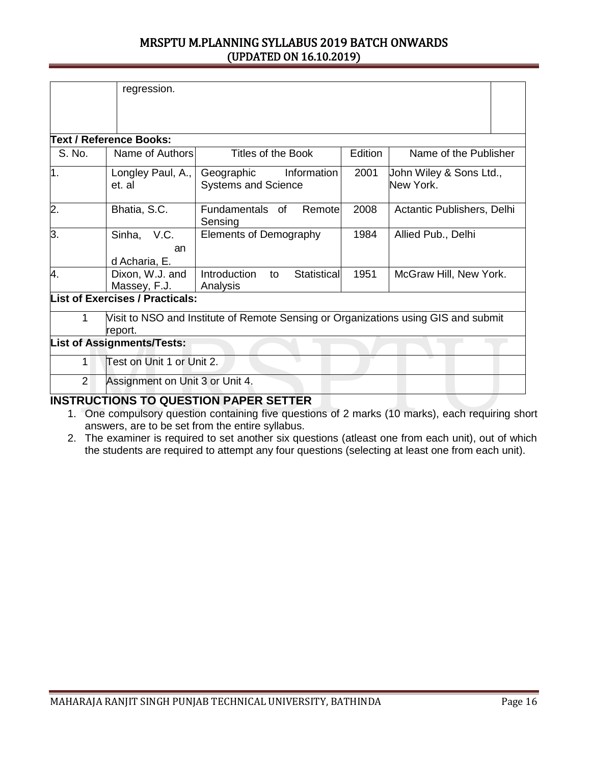|                                                                                                    | regression.                            |                                                         |         |                                      |
|----------------------------------------------------------------------------------------------------|----------------------------------------|---------------------------------------------------------|---------|--------------------------------------|
|                                                                                                    | <b>Text / Reference Books:</b>         |                                                         |         |                                      |
| S. No.                                                                                             | Name of Authors                        | Titles of the Book                                      | Edition | Name of the Publisher                |
| 1.                                                                                                 | Longley Paul, A.,<br>et. al            | Geographic<br>Information<br><b>Systems and Science</b> | 2001    | John Wiley & Sons Ltd.,<br>New York. |
| 2.                                                                                                 | Bhatia, S.C.                           | Fundamentals of<br>Remote<br>Sensing                    | 2008    | Actantic Publishers, Delhi           |
| 3.                                                                                                 | Sinha, V.C.<br>an<br>d Acharia, E.     | <b>Elements of Demography</b>                           | 1984    | Allied Pub., Delhi                   |
| 4.                                                                                                 | Dixon, W.J. and<br>Massey, F.J.        | Introduction<br>Statistical<br>to<br>Analysis           | 1951    | McGraw Hill, New York.               |
|                                                                                                    | <b>List of Exercises / Practicals:</b> |                                                         |         |                                      |
| Visit to NSO and Institute of Remote Sensing or Organizations using GIS and submit<br>1<br>report. |                                        |                                                         |         |                                      |
|                                                                                                    | <b>List of Assignments/Tests:</b>      |                                                         |         |                                      |
| 1                                                                                                  | Test on Unit 1 or Unit 2.              |                                                         |         |                                      |
| 2                                                                                                  | Assignment on Unit 3 or Unit 4.        | IN ATRUATIANA TA AUFATIAN BABEB AFTTEB                  |         |                                      |

### **INSTRUCTIONS TO QUESTION PAPER SETTER**

- 1. One compulsory question containing five questions of 2 marks (10 marks), each requiring short answers, are to be set from the entire syllabus.
- 2. The examiner is required to set another six questions (atleast one from each unit), out of which the students are required to attempt any four questions (selecting at least one from each unit).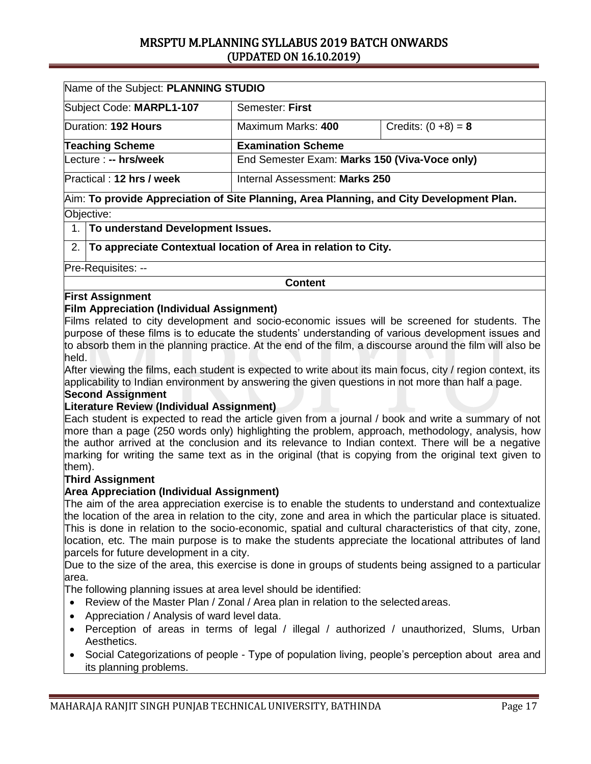| Name of the Subject: PLANNING STUDIO        |                                |                                               |  |  |  |
|---------------------------------------------|--------------------------------|-----------------------------------------------|--|--|--|
| Subject Code: MARPL1-107<br>Semester: First |                                |                                               |  |  |  |
| Duration: 192 Hours                         | Maximum Marks: 400             | Credits: $(0 +8) = 8$                         |  |  |  |
| <b>Teaching Scheme</b>                      | <b>Examination Scheme</b>      |                                               |  |  |  |
| Lecture : -- hrs/week                       |                                | End Semester Exam: Marks 150 (Viva-Voce only) |  |  |  |
| Practical: 12 hrs / week                    | Internal Assessment: Marks 250 |                                               |  |  |  |
|                                             |                                |                                               |  |  |  |

### Aim: **To provide Appreciation of Site Planning, Area Planning, and City Development Plan.** Objective:

### 1. **To understand Development Issues.**

2. **To appreciate Contextual location of Area in relation to City.**

Pre-Requisites: --

**Content**

### **First Assignment**

### **Film Appreciation (Individual Assignment)**

Films related to city development and socio-economic issues will be screened for students. The purpose of these films is to educate the students' understanding of various development issues and to absorb them in the planning practice. At the end of the film, a discourse around the film will also be held.

After viewing the films, each student is expected to write about its main focus, city / region context, its applicability to Indian environment by answering the given questions in not more than half a page.

### **Second Assignment**

### **Literature Review (Individual Assignment)**

Each student is expected to read the article given from a journal / book and write a summary of not more than a page (250 words only) highlighting the problem, approach, methodology, analysis, how the author arrived at the conclusion and its relevance to Indian context. There will be a negative marking for writing the same text as in the original (that is copying from the original text given to them).

### **Third Assignment**

### **Area Appreciation (Individual Assignment)**

The aim of the area appreciation exercise is to enable the students to understand and contextualize the location of the area in relation to the city, zone and area in which the particular place is situated. This is done in relation to the socio-economic, spatial and cultural characteristics of that city, zone, location, etc. The main purpose is to make the students appreciate the locational attributes of land parcels for future development in a city.

Due to the size of the area, this exercise is done in groups of students being assigned to a particular area.

The following planning issues at area level should be identified:

- Review of the Master Plan / Zonal / Area plan in relation to the selected areas.
- Appreciation / Analysis of ward level data.
- Perception of areas in terms of legal / illegal / authorized / unauthorized, Slums, Urban Aesthetics.
- Social Categorizations of people Type of population living, people's perception about area and its planning problems.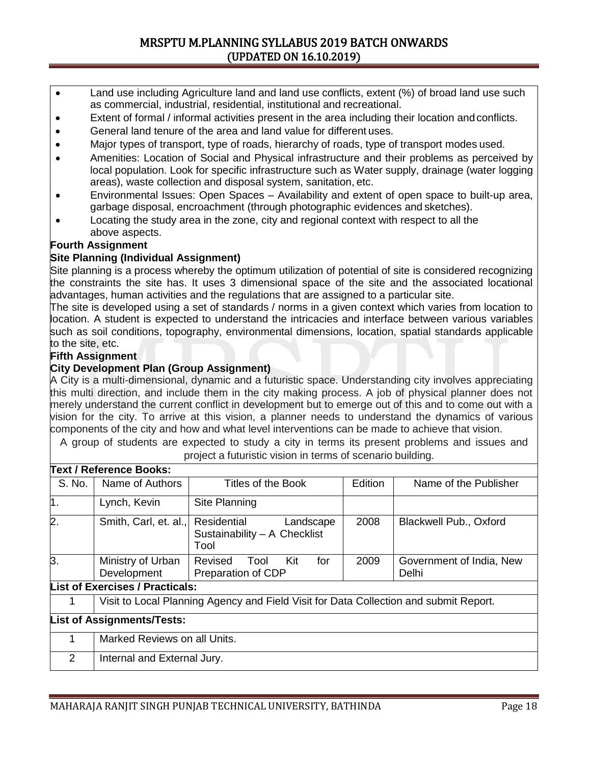- Land use including Agriculture land and land use conflicts, extent (%) of broad land use such as commercial, industrial, residential, institutional and recreational.
- Extent of formal / informal activities present in the area including their location and conflicts.
- General land tenure of the area and land value for different uses.
- Major types of transport, type of roads, hierarchy of roads, type of transport modes used.
- Amenities: Location of Social and Physical infrastructure and their problems as perceived by local population. Look for specific infrastructure such as Water supply, drainage (water logging areas), waste collection and disposal system, sanitation, etc.
- Environmental Issues: Open Spaces Availability and extent of open space to built-up area, garbage disposal, encroachment (through photographic evidences and sketches).
- Locating the study area in the zone, city and regional context with respect to all the above aspects.

### **Fourth Assignment**

### **Site Planning (Individual Assignment)**

Site planning is a process whereby the optimum utilization of potential of site is considered recognizing the constraints the site has. It uses 3 dimensional space of the site and the associated locational advantages, human activities and the regulations that are assigned to a particular site.

The site is developed using a set of standards / norms in a given context which varies from location to location. A student is expected to understand the intricacies and interface between various variables such as soil conditions, topography, environmental dimensions, location, spatial standards applicable to the site, etc.

### **Fifth Assignment**

### **City Development Plan (Group Assignment)**

A City is a multi-dimensional, dynamic and a futuristic space. Understanding city involves appreciating this multi direction, and include them in the city making process. A job of physical planner does not merely understand the current conflict in development but to emerge out of this and to come out with a vision for the city. To arrive at this vision, a planner needs to understand the dynamics of various components of the city and how and what level interventions can be made to achieve that vision.

A group of students are expected to study a city in terms its present problems and issues and

|                                   | <b>Text / Reference Books:</b>                                                        |                                                                  |         |                                   |  |  |
|-----------------------------------|---------------------------------------------------------------------------------------|------------------------------------------------------------------|---------|-----------------------------------|--|--|
| S. No.                            | Name of Authors                                                                       | Titles of the Book                                               | Edition | Name of the Publisher             |  |  |
| 1.                                | Lynch, Kevin                                                                          | Site Planning                                                    |         |                                   |  |  |
| 2.                                | Smith, Carl, et. al.,                                                                 | Residential<br>Landscape<br>Sustainability - A Checklist<br>Tool | 2008    | <b>Blackwell Pub., Oxford</b>     |  |  |
| 3.                                | Ministry of Urban<br>Development                                                      | Kit<br>for<br>Revised<br>Tool<br>Preparation of CDP              | 2009    | Government of India, New<br>Delhi |  |  |
|                                   | <b>List of Exercises / Practicals:</b>                                                |                                                                  |         |                                   |  |  |
| 1                                 | Visit to Local Planning Agency and Field Visit for Data Collection and submit Report. |                                                                  |         |                                   |  |  |
| <b>List of Assignments/Tests:</b> |                                                                                       |                                                                  |         |                                   |  |  |
| 1                                 | Marked Reviews on all Units.                                                          |                                                                  |         |                                   |  |  |
| 2                                 | Internal and External Jury.                                                           |                                                                  |         |                                   |  |  |
|                                   |                                                                                       |                                                                  |         |                                   |  |  |

project a futuristic vision in terms of scenario building.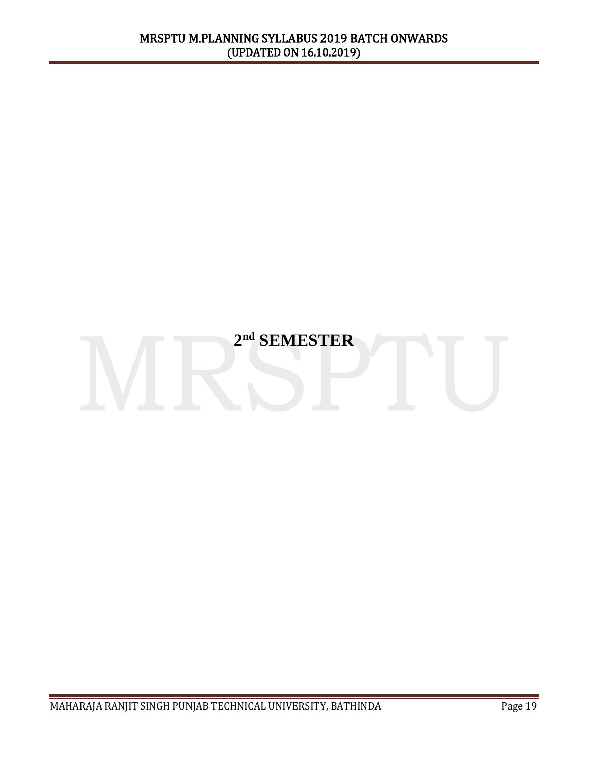# **2 nd SEMESTER**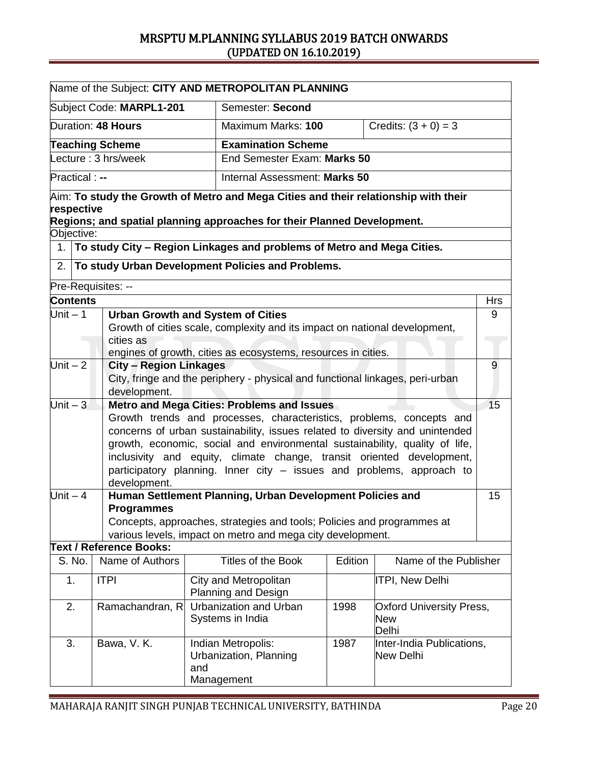| Name of the Subject: CITY AND METROPOLITAN PLANNING                                                                                                                                                                                                                                                                                                                                                                                                                     |                                                                                                                                                                                                                                     |                                               |                                                                                                                                                                |         |                                        |            |
|-------------------------------------------------------------------------------------------------------------------------------------------------------------------------------------------------------------------------------------------------------------------------------------------------------------------------------------------------------------------------------------------------------------------------------------------------------------------------|-------------------------------------------------------------------------------------------------------------------------------------------------------------------------------------------------------------------------------------|-----------------------------------------------|----------------------------------------------------------------------------------------------------------------------------------------------------------------|---------|----------------------------------------|------------|
|                                                                                                                                                                                                                                                                                                                                                                                                                                                                         |                                                                                                                                                                                                                                     | Subject Code: MARPL1-201                      | Semester: Second                                                                                                                                               |         |                                        |            |
|                                                                                                                                                                                                                                                                                                                                                                                                                                                                         |                                                                                                                                                                                                                                     | Duration: 48 Hours                            | Maximum Marks: 100                                                                                                                                             |         | Credits: $(3 + 0) = 3$                 |            |
| <b>Teaching Scheme</b>                                                                                                                                                                                                                                                                                                                                                                                                                                                  |                                                                                                                                                                                                                                     |                                               | <b>Examination Scheme</b>                                                                                                                                      |         |                                        |            |
|                                                                                                                                                                                                                                                                                                                                                                                                                                                                         |                                                                                                                                                                                                                                     | Lecture: 3 hrs/week                           | End Semester Exam: Marks 50                                                                                                                                    |         |                                        |            |
| Practical : --<br>Internal Assessment: Marks 50                                                                                                                                                                                                                                                                                                                                                                                                                         |                                                                                                                                                                                                                                     |                                               |                                                                                                                                                                |         |                                        |            |
| respective                                                                                                                                                                                                                                                                                                                                                                                                                                                              |                                                                                                                                                                                                                                     |                                               | Aim: To study the Growth of Metro and Mega Cities and their relationship with their<br>Regions; and spatial planning approaches for their Planned Development. |         |                                        |            |
| Objective:                                                                                                                                                                                                                                                                                                                                                                                                                                                              |                                                                                                                                                                                                                                     |                                               |                                                                                                                                                                |         |                                        |            |
| 1 <sub>1</sub>                                                                                                                                                                                                                                                                                                                                                                                                                                                          |                                                                                                                                                                                                                                     |                                               | To study City - Region Linkages and problems of Metro and Mega Cities.                                                                                         |         |                                        |            |
| 2.                                                                                                                                                                                                                                                                                                                                                                                                                                                                      |                                                                                                                                                                                                                                     |                                               | To study Urban Development Policies and Problems.                                                                                                              |         |                                        |            |
|                                                                                                                                                                                                                                                                                                                                                                                                                                                                         |                                                                                                                                                                                                                                     | Pre-Requisites: --                            |                                                                                                                                                                |         |                                        |            |
| <b>Contents</b>                                                                                                                                                                                                                                                                                                                                                                                                                                                         |                                                                                                                                                                                                                                     |                                               |                                                                                                                                                                |         |                                        | <b>Hrs</b> |
| Unit $-1$                                                                                                                                                                                                                                                                                                                                                                                                                                                               |                                                                                                                                                                                                                                     | cities as                                     | <b>Urban Growth and System of Cities</b><br>Growth of cities scale, complexity and its impact on national development,                                         |         |                                        | 9          |
|                                                                                                                                                                                                                                                                                                                                                                                                                                                                         |                                                                                                                                                                                                                                     |                                               |                                                                                                                                                                |         |                                        |            |
| Unit $-\overline{2}$                                                                                                                                                                                                                                                                                                                                                                                                                                                    |                                                                                                                                                                                                                                     | <b>City - Region Linkages</b><br>development. | engines of growth, cities as ecosystems, resources in cities.<br>City, fringe and the periphery - physical and functional linkages, peri-urban                 |         |                                        | 9          |
|                                                                                                                                                                                                                                                                                                                                                                                                                                                                         |                                                                                                                                                                                                                                     |                                               |                                                                                                                                                                |         |                                        | 15         |
| Unit $-3$<br><b>Metro and Mega Cities: Problems and Issues</b><br>Growth trends and processes, characteristics, problems, concepts and<br>concerns of urban sustainability, issues related to diversity and unintended<br>growth, economic, social and environmental sustainability, quality of life,<br>inclusivity and equity, climate change, transit oriented development,<br>participatory planning. Inner city - issues and problems, approach to<br>development. |                                                                                                                                                                                                                                     |                                               |                                                                                                                                                                |         |                                        |            |
|                                                                                                                                                                                                                                                                                                                                                                                                                                                                         | Human Settlement Planning, Urban Development Policies and<br>Unit $-4$<br><b>Programmes</b><br>Concepts, approaches, strategies and tools; Policies and programmes at<br>various levels, impact on metro and mega city development. |                                               |                                                                                                                                                                | 15      |                                        |            |
|                                                                                                                                                                                                                                                                                                                                                                                                                                                                         |                                                                                                                                                                                                                                     | <b>Text / Reference Books:</b>                |                                                                                                                                                                |         |                                        |            |
|                                                                                                                                                                                                                                                                                                                                                                                                                                                                         | S. No.                                                                                                                                                                                                                              | Name of Authors                               | <b>Titles of the Book</b>                                                                                                                                      | Edition | Name of the Publisher                  |            |
| 1.<br><b>ITPI</b><br>City and Metropolitan<br>ITPI, New Delhi<br><b>Planning and Design</b>                                                                                                                                                                                                                                                                                                                                                                             |                                                                                                                                                                                                                                     |                                               |                                                                                                                                                                |         |                                        |            |
| Urbanization and Urban<br>2.<br>Ramachandran, R<br>1998<br>Systems in India<br><b>New</b><br>Delhi                                                                                                                                                                                                                                                                                                                                                                      |                                                                                                                                                                                                                                     | <b>Oxford University Press,</b>               |                                                                                                                                                                |         |                                        |            |
| 3.                                                                                                                                                                                                                                                                                                                                                                                                                                                                      |                                                                                                                                                                                                                                     | Bawa, V. K.                                   | Indian Metropolis:<br>Urbanization, Planning<br>and<br>Management                                                                                              | 1987    | Inter-India Publications,<br>New Delhi |            |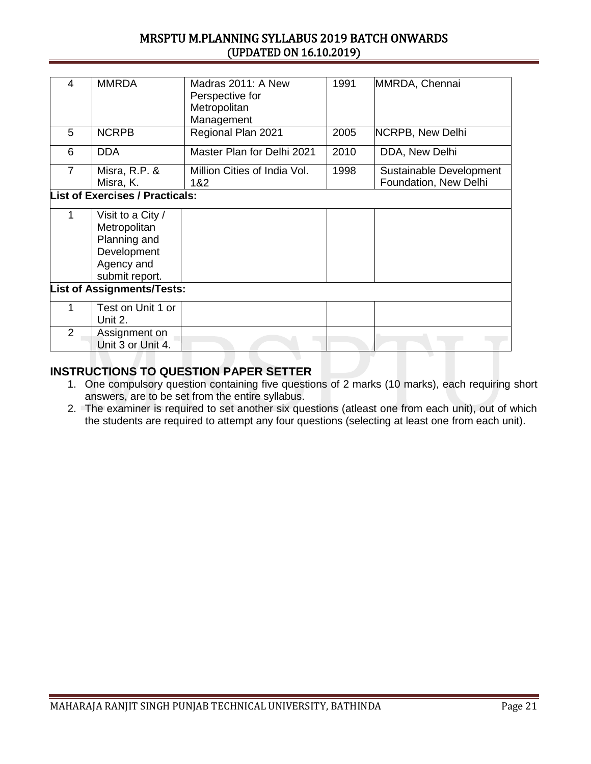| 4                                 | <b>MMRDA</b>                                                                                     | Madras 2011: A New<br>Perspective for<br>Metropolitan<br>Management | 1991 | MMRDA, Chennai                                   |  |
|-----------------------------------|--------------------------------------------------------------------------------------------------|---------------------------------------------------------------------|------|--------------------------------------------------|--|
| 5                                 | <b>NCRPB</b>                                                                                     | Regional Plan 2021                                                  | 2005 | NCRPB, New Delhi                                 |  |
| 6                                 | <b>DDA</b>                                                                                       | Master Plan for Delhi 2021                                          | 2010 | DDA, New Delhi                                   |  |
| $\overline{7}$                    | Misra, R.P. &<br>Misra, K.                                                                       | Million Cities of India Vol.<br>1&2                                 | 1998 | Sustainable Development<br>Foundation, New Delhi |  |
|                                   | <b>List of Exercises / Practicals:</b>                                                           |                                                                     |      |                                                  |  |
| 1                                 | Visit to a City /<br>Metropolitan<br>Planning and<br>Development<br>Agency and<br>submit report. |                                                                     |      |                                                  |  |
| <b>List of Assignments/Tests:</b> |                                                                                                  |                                                                     |      |                                                  |  |
| 1                                 | Test on Unit 1 or<br>Unit 2.                                                                     |                                                                     |      |                                                  |  |
| $\overline{2}$                    | Assignment on<br>Unit 3 or Unit 4.                                                               |                                                                     |      |                                                  |  |

- 1. One compulsory question containing five questions of 2 marks (10 marks), each requiring short answers, are to be set from the entire syllabus.
- 2. The examiner is required to set another six questions (atleast one from each unit), out of which the students are required to attempt any four questions (selecting at least one from each unit).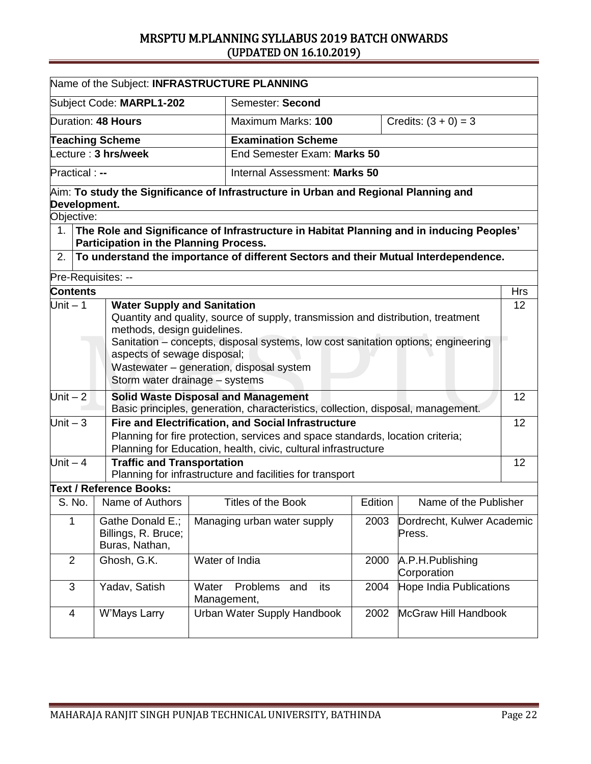| Name of the Subject: INFRASTRUCTURE PLANNING                                      |                                        |                                                                                          |         |                            |            |  |
|-----------------------------------------------------------------------------------|----------------------------------------|------------------------------------------------------------------------------------------|---------|----------------------------|------------|--|
|                                                                                   |                                        |                                                                                          |         |                            |            |  |
|                                                                                   | Subject Code: MARPL1-202               | Semester: Second                                                                         |         |                            |            |  |
|                                                                                   | Duration: 48 Hours                     | Maximum Marks: 100                                                                       |         | Credits: $(3 + 0) = 3$     |            |  |
|                                                                                   | <b>Teaching Scheme</b>                 | <b>Examination Scheme</b>                                                                |         |                            |            |  |
|                                                                                   | Lecture: 3 hrs/week                    | End Semester Exam: Marks 50                                                              |         |                            |            |  |
| <b>Practical:</b> --                                                              |                                        | Internal Assessment: Marks 50                                                            |         |                            |            |  |
| Development.                                                                      |                                        | Aim: To study the Significance of Infrastructure in Urban and Regional Planning and      |         |                            |            |  |
| Objective:                                                                        |                                        |                                                                                          |         |                            |            |  |
| 1.                                                                                | Participation in the Planning Process. | The Role and Significance of Infrastructure in Habitat Planning and in inducing Peoples' |         |                            |            |  |
| 2.                                                                                |                                        | To understand the importance of different Sectors and their Mutual Interdependence.      |         |                            |            |  |
| Pre-Requisites: --                                                                |                                        |                                                                                          |         |                            |            |  |
| Contents                                                                          |                                        |                                                                                          |         |                            | <b>Hrs</b> |  |
| Unit $-1$                                                                         | <b>Water Supply and Sanitation</b>     |                                                                                          |         |                            | 12         |  |
| Quantity and quality, source of supply, transmission and distribution, treatment  |                                        |                                                                                          |         |                            |            |  |
|                                                                                   | methods, design guidelines.            |                                                                                          |         |                            |            |  |
| Sanitation - concepts, disposal systems, low cost sanitation options; engineering |                                        |                                                                                          |         |                            |            |  |
|                                                                                   | aspects of sewage disposal;            |                                                                                          |         |                            |            |  |
|                                                                                   |                                        | Wastewater - generation, disposal system                                                 |         |                            |            |  |
|                                                                                   | Storm water drainage - systems         |                                                                                          |         |                            |            |  |
| Unit $-2$                                                                         |                                        | <b>Solid Waste Disposal and Management</b>                                               |         |                            | 12         |  |
|                                                                                   |                                        | Basic principles, generation, characteristics, collection, disposal, management.         |         |                            |            |  |
| Unit $-3$                                                                         |                                        | Fire and Electrification, and Social Infrastructure                                      |         |                            | 12         |  |
|                                                                                   |                                        | Planning for fire protection, services and space standards, location criteria;           |         |                            |            |  |
|                                                                                   |                                        | Planning for Education, health, civic, cultural infrastructure                           |         |                            |            |  |
| Unit $-4$                                                                         | <b>Traffic and Transportation</b>      |                                                                                          |         |                            | 12         |  |
|                                                                                   |                                        | Planning for infrastructure and facilities for transport                                 |         |                            |            |  |
|                                                                                   | <b>Text / Reference Books:</b>         |                                                                                          |         |                            |            |  |
| S. No.                                                                            | Name of Authors                        | Titles of the Book                                                                       | Edition | Name of the Publisher      |            |  |
| 1                                                                                 | Gathe Donald E.;                       | Managing urban water supply                                                              | 2003    | Dordrecht, Kulwer Academic |            |  |
|                                                                                   | Billings, R. Bruce;                    |                                                                                          |         | Press.                     |            |  |
|                                                                                   | Buras, Nathan,                         |                                                                                          |         |                            |            |  |
| $\overline{2}$                                                                    | Ghosh, G.K.                            | Water of India                                                                           | 2000    | A.P.H.Publishing           |            |  |
|                                                                                   | Corporation                            |                                                                                          |         |                            |            |  |
| 3<br>Yadav, Satish<br>Water                                                       |                                        | Problems<br>its<br>and                                                                   | 2004    | Hope India Publications    |            |  |
|                                                                                   |                                        | Management,                                                                              |         |                            |            |  |
| 4                                                                                 | W'Mays Larry                           | Urban Water Supply Handbook                                                              | 2002    | McGraw Hill Handbook       |            |  |
|                                                                                   |                                        |                                                                                          |         |                            |            |  |
|                                                                                   |                                        |                                                                                          |         |                            |            |  |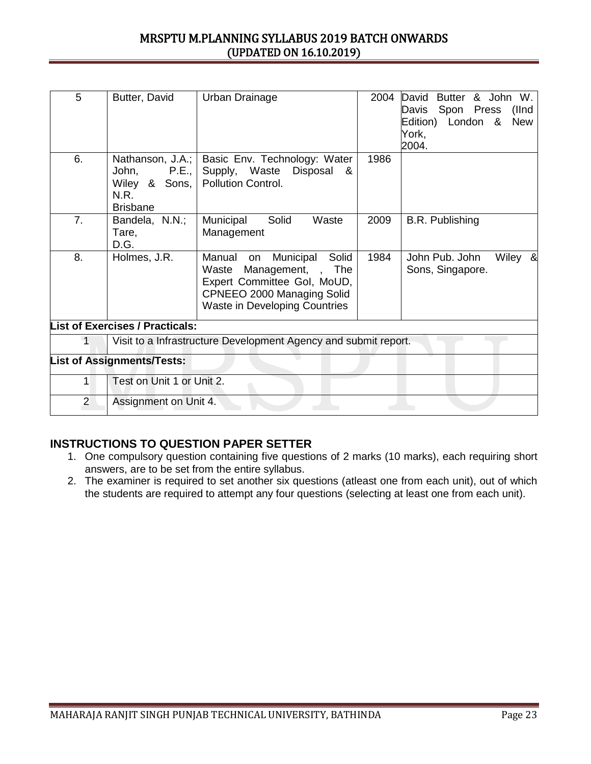| 5                                 | Butter, David                                              | Urban Drainage                                                                                                                                                                         | 2004 | & John W.<br>David<br><b>Butter</b><br>Spon Press<br>(llnd<br>Davis<br>London &<br>Edition)<br><b>New</b><br>York,<br>2004. |
|-----------------------------------|------------------------------------------------------------|----------------------------------------------------------------------------------------------------------------------------------------------------------------------------------------|------|-----------------------------------------------------------------------------------------------------------------------------|
| 6.                                | John,<br>P.E.,<br>Wiley & Sons,<br>N.R.<br><b>Brisbane</b> | Nathanson, J.A.;   Basic Env. Technology: Water<br>Supply, Waste Disposal &<br>Pollution Control.                                                                                      | 1986 |                                                                                                                             |
| 7 <sub>1</sub>                    | Bandela, N.N.;<br>Tare,<br>D.G.                            | Solid<br>Municipal<br>Waste<br>Management                                                                                                                                              | 2009 | B.R. Publishing                                                                                                             |
| 8.                                | Holmes, J.R.                                               | Solid<br>Municipal<br>Manual<br>on<br>Management,<br>The<br>Waste<br>$\mathbf{r}$<br>Expert Committee Gol, MoUD,<br>CPNEEO 2000 Managing Solid<br><b>Waste in Developing Countries</b> | 1984 | John Pub. John<br>Wiley &<br>Sons, Singapore.                                                                               |
|                                   | <b>List of Exercises / Practicals:</b>                     |                                                                                                                                                                                        |      |                                                                                                                             |
|                                   |                                                            | Visit to a Infrastructure Development Agency and submit report.                                                                                                                        |      |                                                                                                                             |
| <b>List of Assignments/Tests:</b> |                                                            |                                                                                                                                                                                        |      |                                                                                                                             |
| 1                                 | Test on Unit 1 or Unit 2.                                  |                                                                                                                                                                                        |      |                                                                                                                             |
| $\overline{2}$                    | Assignment on Unit 4.                                      |                                                                                                                                                                                        |      |                                                                                                                             |

- 1. One compulsory question containing five questions of 2 marks (10 marks), each requiring short answers, are to be set from the entire syllabus.
- 2. The examiner is required to set another six questions (atleast one from each unit), out of which the students are required to attempt any four questions (selecting at least one from each unit).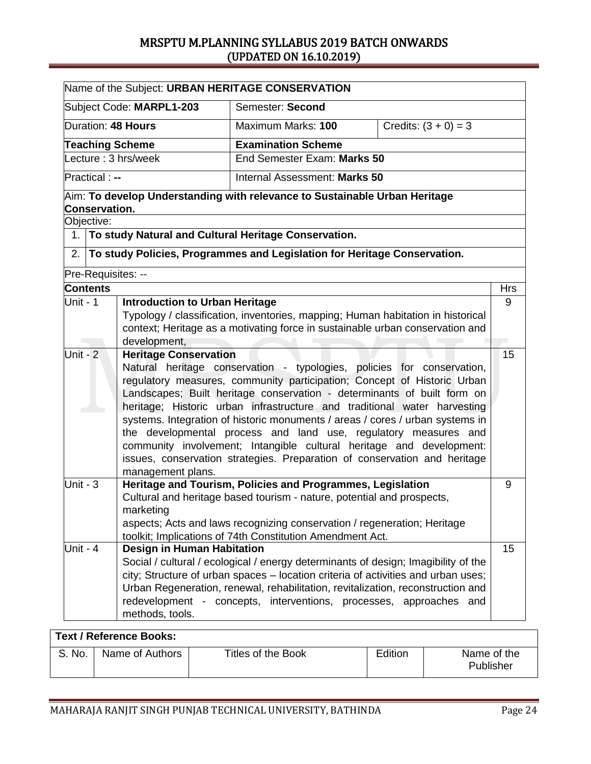| Name of the Subject: URBAN HERITAGE CONSERVATION                                                                                                                                                                                                                                                                                                                                                                                                                                                                                                                                                                                                                                                                                                                                                                              |                      |                                                      |                                                                                                                                                                                                                                                                                                                                  |                        |            |
|-------------------------------------------------------------------------------------------------------------------------------------------------------------------------------------------------------------------------------------------------------------------------------------------------------------------------------------------------------------------------------------------------------------------------------------------------------------------------------------------------------------------------------------------------------------------------------------------------------------------------------------------------------------------------------------------------------------------------------------------------------------------------------------------------------------------------------|----------------------|------------------------------------------------------|----------------------------------------------------------------------------------------------------------------------------------------------------------------------------------------------------------------------------------------------------------------------------------------------------------------------------------|------------------------|------------|
|                                                                                                                                                                                                                                                                                                                                                                                                                                                                                                                                                                                                                                                                                                                                                                                                                               |                      | Subject Code: MARPL1-203                             | Semester: Second                                                                                                                                                                                                                                                                                                                 |                        |            |
|                                                                                                                                                                                                                                                                                                                                                                                                                                                                                                                                                                                                                                                                                                                                                                                                                               |                      | Duration: 48 Hours                                   | Maximum Marks: 100                                                                                                                                                                                                                                                                                                               | Credits: $(3 + 0) = 3$ |            |
|                                                                                                                                                                                                                                                                                                                                                                                                                                                                                                                                                                                                                                                                                                                                                                                                                               |                      | <b>Teaching Scheme</b>                               | <b>Examination Scheme</b>                                                                                                                                                                                                                                                                                                        |                        |            |
|                                                                                                                                                                                                                                                                                                                                                                                                                                                                                                                                                                                                                                                                                                                                                                                                                               |                      | ecture: 3 hrs/week                                   | End Semester Exam: Marks 50                                                                                                                                                                                                                                                                                                      |                        |            |
|                                                                                                                                                                                                                                                                                                                                                                                                                                                                                                                                                                                                                                                                                                                                                                                                                               | Practical : --       |                                                      | Internal Assessment: Marks 50                                                                                                                                                                                                                                                                                                    |                        |            |
|                                                                                                                                                                                                                                                                                                                                                                                                                                                                                                                                                                                                                                                                                                                                                                                                                               | <b>Conservation.</b> |                                                      | Aim: To develop Understanding with relevance to Sustainable Urban Heritage                                                                                                                                                                                                                                                       |                        |            |
|                                                                                                                                                                                                                                                                                                                                                                                                                                                                                                                                                                                                                                                                                                                                                                                                                               | Objective:           |                                                      |                                                                                                                                                                                                                                                                                                                                  |                        |            |
|                                                                                                                                                                                                                                                                                                                                                                                                                                                                                                                                                                                                                                                                                                                                                                                                                               |                      |                                                      | 1. To study Natural and Cultural Heritage Conservation.                                                                                                                                                                                                                                                                          |                        |            |
| 2.                                                                                                                                                                                                                                                                                                                                                                                                                                                                                                                                                                                                                                                                                                                                                                                                                            |                      |                                                      | To study Policies, Programmes and Legislation for Heritage Conservation.                                                                                                                                                                                                                                                         |                        |            |
|                                                                                                                                                                                                                                                                                                                                                                                                                                                                                                                                                                                                                                                                                                                                                                                                                               | Pre-Requisites: --   |                                                      |                                                                                                                                                                                                                                                                                                                                  |                        |            |
|                                                                                                                                                                                                                                                                                                                                                                                                                                                                                                                                                                                                                                                                                                                                                                                                                               | <b>Contents</b>      |                                                      |                                                                                                                                                                                                                                                                                                                                  |                        | <b>Hrs</b> |
| Unit - $1$<br><b>Introduction to Urban Heritage</b><br>Typology / classification, inventories, mapping; Human habitation in historical<br>context; Heritage as a motivating force in sustainable urban conservation and<br>development,<br>Unit - $2$<br><b>Heritage Conservation</b><br>Natural heritage conservation - typologies, policies for conservation,<br>regulatory measures, community participation; Concept of Historic Urban<br>Landscapes; Built heritage conservation - determinants of built form on<br>heritage; Historic urban infrastructure and traditional water harvesting<br>systems. Integration of historic monuments / areas / cores / urban systems in<br>the developmental process and land use, regulatory measures and<br>community involvement; Intangible cultural heritage and development: |                      |                                                      | 9<br>15                                                                                                                                                                                                                                                                                                                          |                        |            |
| issues, conservation strategies. Preparation of conservation and heritage<br>management plans.<br>Heritage and Tourism, Policies and Programmes, Legislation<br>Unit - $3$<br>Cultural and heritage based tourism - nature, potential and prospects,<br>marketing<br>aspects; Acts and laws recognizing conservation / regeneration; Heritage<br>toolkit; Implications of 74th Constitution Amendment Act.                                                                                                                                                                                                                                                                                                                                                                                                                    |                      |                                                      | 9                                                                                                                                                                                                                                                                                                                                |                        |            |
| Unit - $4$                                                                                                                                                                                                                                                                                                                                                                                                                                                                                                                                                                                                                                                                                                                                                                                                                    |                      | <b>Design in Human Habitation</b><br>methods, tools. | Social / cultural / ecological / energy determinants of design; Imagibility of the<br>city; Structure of urban spaces - location criteria of activities and urban uses;<br>Urban Regeneration, renewal, rehabilitation, revitalization, reconstruction and<br>redevelopment - concepts, interventions, processes, approaches and |                        | 15         |

# **Text / Reference Books:** S. No. | Name of Authors | Titles of the Book | Edition | Name of the Publisher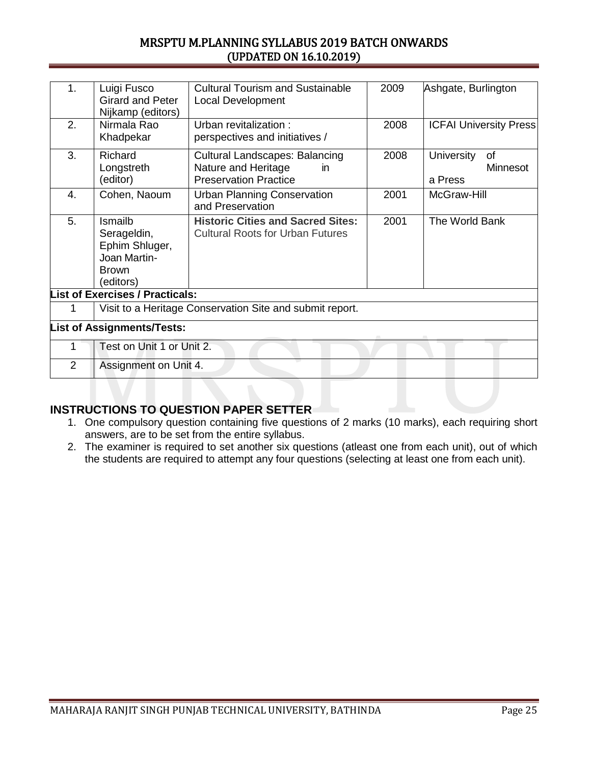| 1.             | Luigi Fusco                                              | <b>Cultural Tourism and Sustainable</b>  | 2009 | Ashgate, Burlington            |  |
|----------------|----------------------------------------------------------|------------------------------------------|------|--------------------------------|--|
|                | <b>Girard and Peter</b><br>Nijkamp (editors)             | <b>Local Development</b>                 |      |                                |  |
| 2.             | Nirmala Rao                                              | Urban revitalization :                   | 2008 | <b>ICFAI University Press</b>  |  |
|                | Khadpekar                                                | perspectives and initiatives /           |      |                                |  |
| 3.             | Richard                                                  | <b>Cultural Landscapes: Balancing</b>    | 2008 | <b>University</b><br><b>of</b> |  |
|                | Longstreth                                               | Nature and Heritage<br>in                |      | Minnesot                       |  |
|                | (editor)                                                 | <b>Preservation Practice</b>             |      | a Press                        |  |
| 4.             | Cohen, Naoum                                             | <b>Urban Planning Conservation</b>       | 2001 | McGraw-Hill                    |  |
|                |                                                          | and Preservation                         |      |                                |  |
| 5.             | Ismailb                                                  | <b>Historic Cities and Sacred Sites:</b> | 2001 | The World Bank                 |  |
|                | Serageldin,                                              | <b>Cultural Roots for Urban Futures</b>  |      |                                |  |
|                | Ephim Shluger,                                           |                                          |      |                                |  |
|                | Joan Martin-                                             |                                          |      |                                |  |
|                | <b>Brown</b>                                             |                                          |      |                                |  |
|                | (editors)                                                |                                          |      |                                |  |
|                | <b>List of Exercises / Practicals:</b>                   |                                          |      |                                |  |
| 1              | Visit to a Heritage Conservation Site and submit report. |                                          |      |                                |  |
|                | <b>List of Assignments/Tests:</b>                        |                                          |      |                                |  |
|                | Test on Unit 1 or Unit 2.                                |                                          |      |                                |  |
| $\overline{2}$ | Assignment on Unit 4.                                    |                                          |      |                                |  |
|                |                                                          |                                          |      |                                |  |

- 1. One compulsory question containing five questions of 2 marks (10 marks), each requiring short answers, are to be set from the entire syllabus.
- 2. The examiner is required to set another six questions (atleast one from each unit), out of which the students are required to attempt any four questions (selecting at least one from each unit).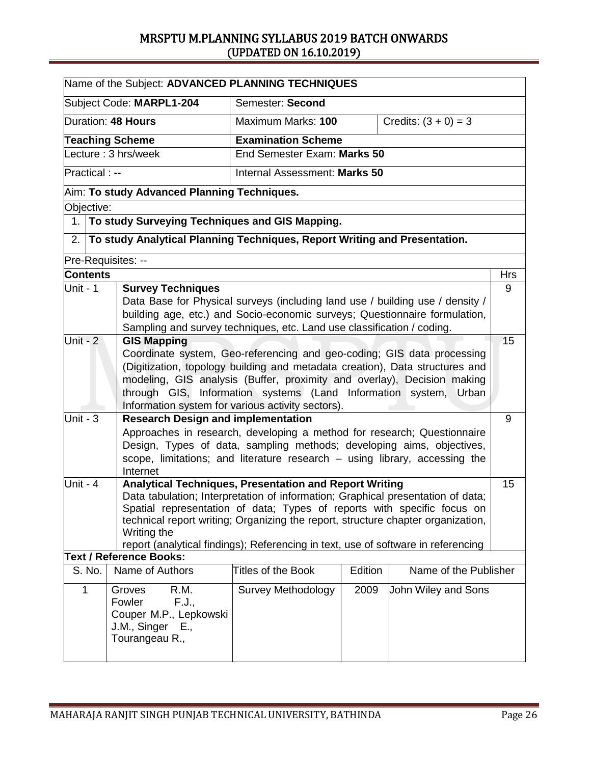|                         | Name of the Subject: ADVANCED PLANNING TECHNIQUES                                                                                                                                                                                                                                       |                                                                                                                                                                                                                                                                                                                                                                                               |         |                        |            |  |
|-------------------------|-----------------------------------------------------------------------------------------------------------------------------------------------------------------------------------------------------------------------------------------------------------------------------------------|-----------------------------------------------------------------------------------------------------------------------------------------------------------------------------------------------------------------------------------------------------------------------------------------------------------------------------------------------------------------------------------------------|---------|------------------------|------------|--|
|                         | Subject Code: MARPL1-204                                                                                                                                                                                                                                                                | Semester: Second                                                                                                                                                                                                                                                                                                                                                                              |         |                        |            |  |
|                         | Duration: 48 Hours                                                                                                                                                                                                                                                                      | Maximum Marks: 100                                                                                                                                                                                                                                                                                                                                                                            |         | Credits: $(3 + 0) = 3$ |            |  |
|                         | <b>Teaching Scheme</b>                                                                                                                                                                                                                                                                  | <b>Examination Scheme</b>                                                                                                                                                                                                                                                                                                                                                                     |         |                        |            |  |
|                         | ecture : 3 hrs/week                                                                                                                                                                                                                                                                     | End Semester Exam: Marks 50                                                                                                                                                                                                                                                                                                                                                                   |         |                        |            |  |
| Practical : --          |                                                                                                                                                                                                                                                                                         | Internal Assessment: Marks 50                                                                                                                                                                                                                                                                                                                                                                 |         |                        |            |  |
|                         | Aim: To study Advanced Planning Techniques.                                                                                                                                                                                                                                             |                                                                                                                                                                                                                                                                                                                                                                                               |         |                        |            |  |
| Objective:              |                                                                                                                                                                                                                                                                                         |                                                                                                                                                                                                                                                                                                                                                                                               |         |                        |            |  |
| 1.                      | To study Surveying Techniques and GIS Mapping.                                                                                                                                                                                                                                          |                                                                                                                                                                                                                                                                                                                                                                                               |         |                        |            |  |
| 2.                      | To study Analytical Planning Techniques, Report Writing and Presentation.                                                                                                                                                                                                               |                                                                                                                                                                                                                                                                                                                                                                                               |         |                        |            |  |
|                         | Pre-Requisites: --                                                                                                                                                                                                                                                                      |                                                                                                                                                                                                                                                                                                                                                                                               |         |                        |            |  |
| <b>Contents</b>         |                                                                                                                                                                                                                                                                                         |                                                                                                                                                                                                                                                                                                                                                                                               |         |                        | <b>Hrs</b> |  |
| Unit - 1                | <b>Survey Techniques</b>                                                                                                                                                                                                                                                                | Data Base for Physical surveys (including land use / building use / density /<br>building age, etc.) and Socio-economic surveys; Questionnaire formulation,<br>Sampling and survey techniques, etc. Land use classification / coding.                                                                                                                                                         |         |                        | 9          |  |
| Unit - $2$              | Information system for various activity sectors).                                                                                                                                                                                                                                       | <b>GIS Mapping</b><br>15<br>Coordinate system, Geo-referencing and geo-coding; GIS data processing<br>(Digitization, topology building and metadata creation), Data structures and<br>modeling, GIS analysis (Buffer, proximity and overlay), Decision making<br>through GIS, Information systems (Land Information system,<br>Urban                                                          |         |                        |            |  |
| Unit - $\overline{3}$   | <b>Research Design and implementation</b><br>Approaches in research, developing a method for research; Questionnaire<br>Design, Types of data, sampling methods; developing aims, objectives,<br>scope, limitations; and literature research - using library, accessing the<br>Internet |                                                                                                                                                                                                                                                                                                                                                                                               |         |                        |            |  |
| Unit - 4<br>Writing the |                                                                                                                                                                                                                                                                                         | Analytical Techniques, Presentation and Report Writing<br>Data tabulation; Interpretation of information; Graphical presentation of data;<br>Spatial representation of data; Types of reports with specific focus on<br>technical report writing; Organizing the report, structure chapter organization,<br>report (analytical findings); Referencing in text, use of software in referencing |         |                        | 15         |  |
|                         | <b>Text / Reference Books:</b>                                                                                                                                                                                                                                                          |                                                                                                                                                                                                                                                                                                                                                                                               |         |                        |            |  |
| S. No.                  | Name of Authors                                                                                                                                                                                                                                                                         | <b>Titles of the Book</b>                                                                                                                                                                                                                                                                                                                                                                     | Edition | Name of the Publisher  |            |  |
| 1                       | R.M.<br>Groves<br>Fowler<br>F.J.,<br>Couper M.P., Lepkowski<br>J.M., Singer E.,<br>Tourangeau R.,                                                                                                                                                                                       | <b>Survey Methodology</b>                                                                                                                                                                                                                                                                                                                                                                     | 2009    | John Wiley and Sons    |            |  |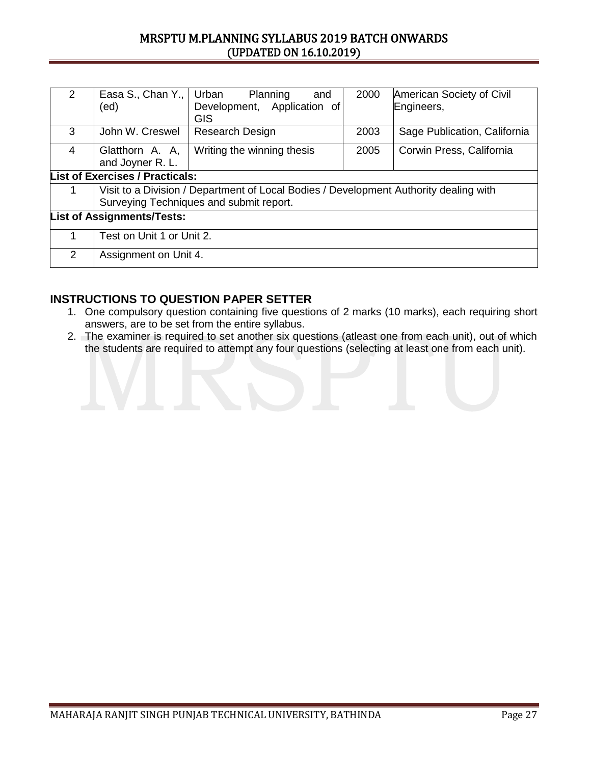| 2                                 | Easa S., Chan Y.,   Urban<br>(ed)                                                                                                | Planning<br>and<br>Development, Application of<br><b>GIS</b> | 2000 | American Society of Civil<br>Engineers, |  |  |
|-----------------------------------|----------------------------------------------------------------------------------------------------------------------------------|--------------------------------------------------------------|------|-----------------------------------------|--|--|
| 3                                 | John W. Creswel                                                                                                                  | Research Design                                              | 2003 | Sage Publication, California            |  |  |
| 4                                 | Glatthorn A. A.<br>and Joyner R. L.                                                                                              | Writing the winning thesis                                   | 2005 | Corwin Press, California                |  |  |
|                                   | <b>List of Exercises / Practicals:</b>                                                                                           |                                                              |      |                                         |  |  |
|                                   | Visit to a Division / Department of Local Bodies / Development Authority dealing with<br>Surveying Techniques and submit report. |                                                              |      |                                         |  |  |
| <b>List of Assignments/Tests:</b> |                                                                                                                                  |                                                              |      |                                         |  |  |
|                                   | Test on Unit 1 or Unit 2.                                                                                                        |                                                              |      |                                         |  |  |
| $\mathcal{P}$                     | Assignment on Unit 4.                                                                                                            |                                                              |      |                                         |  |  |

- 1. One compulsory question containing five questions of 2 marks (10 marks), each requiring short answers, are to be set from the entire syllabus.
- 2. The examiner is required to set another six questions (atleast one from each unit), out of which the students are required to attempt any four questions (selecting at least one from each unit).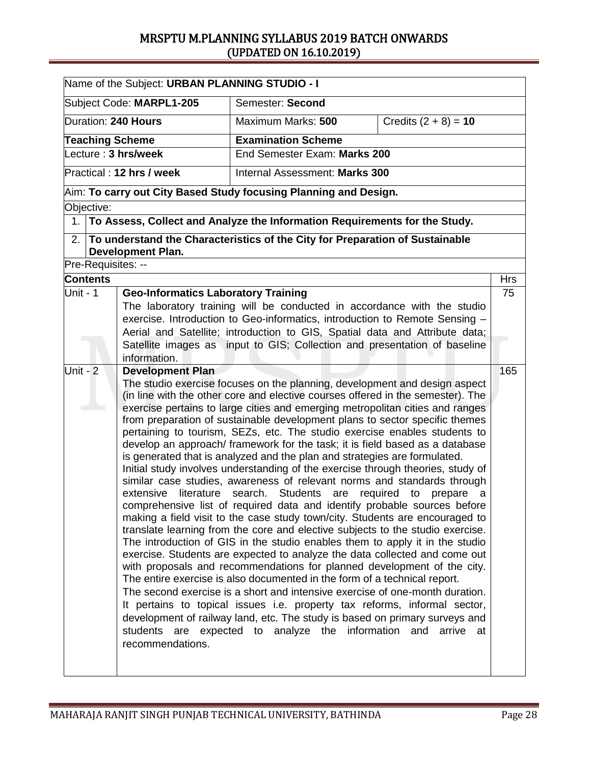|                        | Name of the Subject: URBAN PLANNING STUDIO - I |                                                                                                                                                                                                                                                                                                                                                                                                                                                                                                                                                                                                                                                                                                                                                                                                                                                                                                                                                                                                                                                                                                                                                                                                                                                                                                                                                                                                                                                                                                                                                                                                                                                                                            |                        |            |
|------------------------|------------------------------------------------|--------------------------------------------------------------------------------------------------------------------------------------------------------------------------------------------------------------------------------------------------------------------------------------------------------------------------------------------------------------------------------------------------------------------------------------------------------------------------------------------------------------------------------------------------------------------------------------------------------------------------------------------------------------------------------------------------------------------------------------------------------------------------------------------------------------------------------------------------------------------------------------------------------------------------------------------------------------------------------------------------------------------------------------------------------------------------------------------------------------------------------------------------------------------------------------------------------------------------------------------------------------------------------------------------------------------------------------------------------------------------------------------------------------------------------------------------------------------------------------------------------------------------------------------------------------------------------------------------------------------------------------------------------------------------------------------|------------------------|------------|
|                        | Subject Code: MARPL1-205                       | Semester: Second                                                                                                                                                                                                                                                                                                                                                                                                                                                                                                                                                                                                                                                                                                                                                                                                                                                                                                                                                                                                                                                                                                                                                                                                                                                                                                                                                                                                                                                                                                                                                                                                                                                                           |                        |            |
| Duration: 240 Hours    |                                                | Maximum Marks: 500                                                                                                                                                                                                                                                                                                                                                                                                                                                                                                                                                                                                                                                                                                                                                                                                                                                                                                                                                                                                                                                                                                                                                                                                                                                                                                                                                                                                                                                                                                                                                                                                                                                                         | Credits $(2 + 8) = 10$ |            |
| <b>Teaching Scheme</b> |                                                | <b>Examination Scheme</b>                                                                                                                                                                                                                                                                                                                                                                                                                                                                                                                                                                                                                                                                                                                                                                                                                                                                                                                                                                                                                                                                                                                                                                                                                                                                                                                                                                                                                                                                                                                                                                                                                                                                  |                        |            |
| Lecture : 3 hrs/week   |                                                | End Semester Exam: Marks 200                                                                                                                                                                                                                                                                                                                                                                                                                                                                                                                                                                                                                                                                                                                                                                                                                                                                                                                                                                                                                                                                                                                                                                                                                                                                                                                                                                                                                                                                                                                                                                                                                                                               |                        |            |
|                        | Practical: 12 hrs / week                       | Internal Assessment: Marks 300                                                                                                                                                                                                                                                                                                                                                                                                                                                                                                                                                                                                                                                                                                                                                                                                                                                                                                                                                                                                                                                                                                                                                                                                                                                                                                                                                                                                                                                                                                                                                                                                                                                             |                        |            |
|                        |                                                | $\vert$ Aim: To carry out City Based Study focusing Planning and Design.                                                                                                                                                                                                                                                                                                                                                                                                                                                                                                                                                                                                                                                                                                                                                                                                                                                                                                                                                                                                                                                                                                                                                                                                                                                                                                                                                                                                                                                                                                                                                                                                                   |                        |            |
| Objective:             |                                                |                                                                                                                                                                                                                                                                                                                                                                                                                                                                                                                                                                                                                                                                                                                                                                                                                                                                                                                                                                                                                                                                                                                                                                                                                                                                                                                                                                                                                                                                                                                                                                                                                                                                                            |                        |            |
| 1.                     |                                                | To Assess, Collect and Analyze the Information Requirements for the Study.                                                                                                                                                                                                                                                                                                                                                                                                                                                                                                                                                                                                                                                                                                                                                                                                                                                                                                                                                                                                                                                                                                                                                                                                                                                                                                                                                                                                                                                                                                                                                                                                                 |                        |            |
| 2.                     | <b>Development Plan.</b>                       | To understand the Characteristics of the City for Preparation of Sustainable                                                                                                                                                                                                                                                                                                                                                                                                                                                                                                                                                                                                                                                                                                                                                                                                                                                                                                                                                                                                                                                                                                                                                                                                                                                                                                                                                                                                                                                                                                                                                                                                               |                        |            |
| Pre-Requisites: --     |                                                |                                                                                                                                                                                                                                                                                                                                                                                                                                                                                                                                                                                                                                                                                                                                                                                                                                                                                                                                                                                                                                                                                                                                                                                                                                                                                                                                                                                                                                                                                                                                                                                                                                                                                            |                        |            |
| <b>Contents</b>        |                                                |                                                                                                                                                                                                                                                                                                                                                                                                                                                                                                                                                                                                                                                                                                                                                                                                                                                                                                                                                                                                                                                                                                                                                                                                                                                                                                                                                                                                                                                                                                                                                                                                                                                                                            |                        | <b>Hrs</b> |
| Unit - 1               | <b>Geo-Informatics Laboratory Training</b>     |                                                                                                                                                                                                                                                                                                                                                                                                                                                                                                                                                                                                                                                                                                                                                                                                                                                                                                                                                                                                                                                                                                                                                                                                                                                                                                                                                                                                                                                                                                                                                                                                                                                                                            |                        | 75         |
|                        | information.                                   | The laboratory training will be conducted in accordance with the studio<br>exercise. Introduction to Geo-informatics, introduction to Remote Sensing -<br>Aerial and Satellite; introduction to GIS, Spatial data and Attribute data;<br>Satellite images as input to GIS; Collection and presentation of baseline                                                                                                                                                                                                                                                                                                                                                                                                                                                                                                                                                                                                                                                                                                                                                                                                                                                                                                                                                                                                                                                                                                                                                                                                                                                                                                                                                                         |                        |            |
| Unit - $2$             | <b>Development Plan</b><br>recommendations.    | The studio exercise focuses on the planning, development and design aspect<br>(in line with the other core and elective courses offered in the semester). The<br>exercise pertains to large cities and emerging metropolitan cities and ranges<br>from preparation of sustainable development plans to sector specific themes<br>pertaining to tourism, SEZs, etc. The studio exercise enables students to<br>develop an approach/ framework for the task; it is field based as a database<br>is generated that is analyzed and the plan and strategies are formulated.<br>Initial study involves understanding of the exercise through theories, study of<br>similar case studies, awareness of relevant norms and standards through<br>extensive literature search. Students are required to prepare a<br>comprehensive list of required data and identify probable sources before<br>making a field visit to the case study town/city. Students are encouraged to<br>translate learning from the core and elective subjects to the studio exercise.<br>The introduction of GIS in the studio enables them to apply it in the studio<br>exercise. Students are expected to analyze the data collected and come out<br>with proposals and recommendations for planned development of the city.<br>The entire exercise is also documented in the form of a technical report.<br>The second exercise is a short and intensive exercise of one-month duration.<br>It pertains to topical issues i.e. property tax reforms, informal sector,<br>development of railway land, etc. The study is based on primary surveys and<br>students are expected to analyze the information and arrive at |                        | 165        |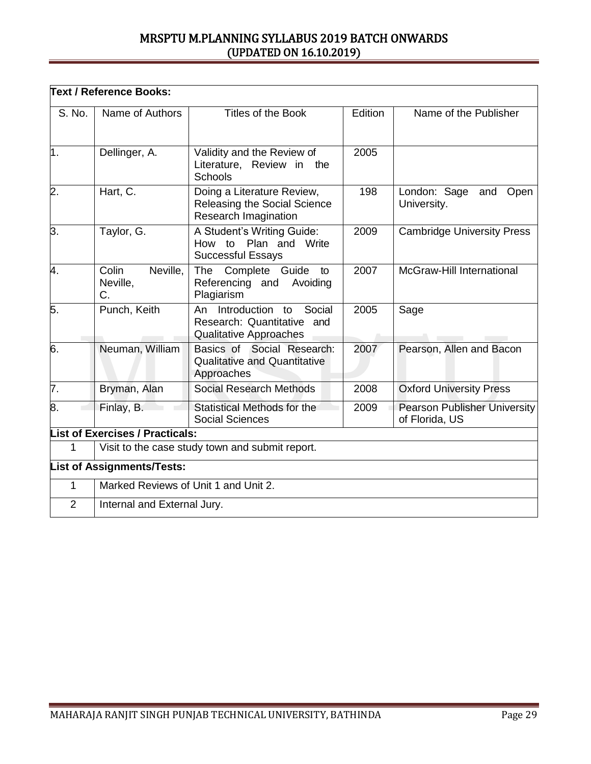|                  | <b>Text / Reference Books:</b>                  |                                                                                            |         |                                                       |  |  |  |
|------------------|-------------------------------------------------|--------------------------------------------------------------------------------------------|---------|-------------------------------------------------------|--|--|--|
| S. No.           | Name of Authors                                 | Titles of the Book                                                                         | Edition | Name of the Publisher                                 |  |  |  |
| $\overline{1}$ . | Dellinger, A.                                   | Validity and the Review of<br>Literature, Review in<br>the<br><b>Schools</b>               | 2005    |                                                       |  |  |  |
| 2.               | Hart, C.                                        | Doing a Literature Review,<br>Releasing the Social Science<br>Research Imagination         | 198     | London: Sage<br>Open<br>and<br>University.            |  |  |  |
| 3.               | Taylor, G.                                      | A Student's Writing Guide:<br>How to Plan and Write<br><b>Successful Essays</b>            | 2009    | <b>Cambridge University Press</b>                     |  |  |  |
| 4.               | Neville,<br>Colin<br>Neville,<br>C.             | Complete Guide<br>The<br>to<br>Referencing and Avoiding<br>Plagiarism                      | 2007    | McGraw-Hill International                             |  |  |  |
| 5.               | Punch, Keith                                    | Introduction to<br>Social<br>An<br>Research: Quantitative<br>and<br>Qualitative Approaches | 2005    | Sage                                                  |  |  |  |
| $\overline{6}$ . | Neuman, William                                 | Basics of Social Research:<br><b>Qualitative and Quantitative</b><br>Approaches            | 2007    | Pearson, Allen and Bacon                              |  |  |  |
| 7.               | Bryman, Alan                                    | <b>Social Research Methods</b>                                                             | 2008    | <b>Oxford University Press</b>                        |  |  |  |
| 8.               | Finlay, B.                                      | Statistical Methods for the<br><b>Social Sciences</b>                                      | 2009    | <b>Pearson Publisher University</b><br>of Florida, US |  |  |  |
|                  | <b>List of Exercises / Practicals:</b>          |                                                                                            |         |                                                       |  |  |  |
| 1                | Visit to the case study town and submit report. |                                                                                            |         |                                                       |  |  |  |
|                  | <b>List of Assignments/Tests:</b>               |                                                                                            |         |                                                       |  |  |  |
| $\mathbf{1}$     | Marked Reviews of Unit 1 and Unit 2.            |                                                                                            |         |                                                       |  |  |  |
| $\overline{2}$   | Internal and External Jury.                     |                                                                                            |         |                                                       |  |  |  |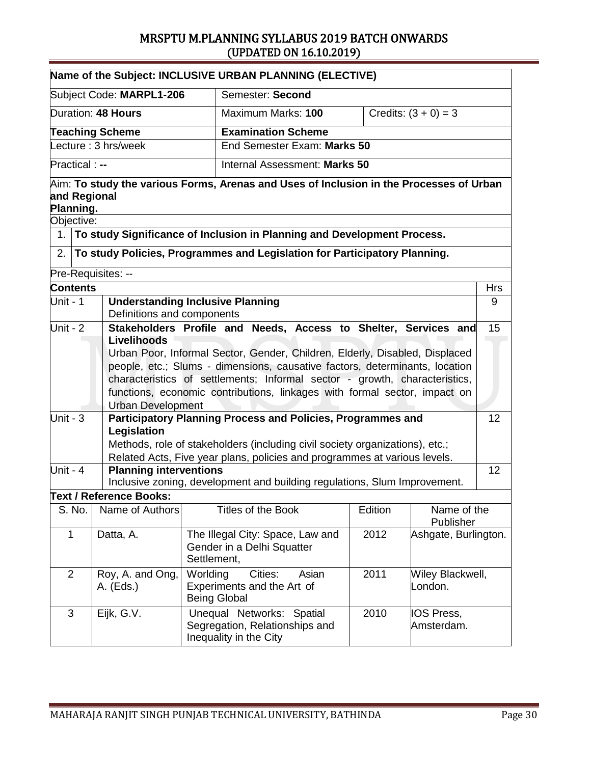|                                                                                                                                                                                                                                                                                                                                                                                                                                                                                                                                               |                                                                  |                                                                       | Name of the Subject: INCLUSIVE URBAN PLANNING (ELECTIVE)                                                                                                  |                                     |                          |            |
|-----------------------------------------------------------------------------------------------------------------------------------------------------------------------------------------------------------------------------------------------------------------------------------------------------------------------------------------------------------------------------------------------------------------------------------------------------------------------------------------------------------------------------------------------|------------------------------------------------------------------|-----------------------------------------------------------------------|-----------------------------------------------------------------------------------------------------------------------------------------------------------|-------------------------------------|--------------------------|------------|
|                                                                                                                                                                                                                                                                                                                                                                                                                                                                                                                                               | Subject Code: MARPL1-206                                         |                                                                       | Semester: Second                                                                                                                                          |                                     |                          |            |
|                                                                                                                                                                                                                                                                                                                                                                                                                                                                                                                                               | Duration: 48 Hours                                               |                                                                       | Maximum Marks: 100                                                                                                                                        | Credits: $(3 + 0) = 3$              |                          |            |
|                                                                                                                                                                                                                                                                                                                                                                                                                                                                                                                                               | <b>Teaching Scheme</b>                                           |                                                                       | <b>Examination Scheme</b>                                                                                                                                 |                                     |                          |            |
|                                                                                                                                                                                                                                                                                                                                                                                                                                                                                                                                               | Lecture: 3 hrs/week                                              |                                                                       | End Semester Exam: Marks 50                                                                                                                               |                                     |                          |            |
| Practical : --                                                                                                                                                                                                                                                                                                                                                                                                                                                                                                                                |                                                                  |                                                                       | Internal Assessment: Marks 50                                                                                                                             |                                     |                          |            |
| and Regional<br>Planning.                                                                                                                                                                                                                                                                                                                                                                                                                                                                                                                     |                                                                  |                                                                       | $\forall$ Aim: To study the various Forms, Arenas and Uses of Inclusion in the Processes of Urban                                                         |                                     |                          |            |
| Objective:                                                                                                                                                                                                                                                                                                                                                                                                                                                                                                                                    |                                                                  |                                                                       |                                                                                                                                                           |                                     |                          |            |
| 1 <sub>1</sub>                                                                                                                                                                                                                                                                                                                                                                                                                                                                                                                                |                                                                  |                                                                       | To study Significance of Inclusion in Planning and Development Process.                                                                                   |                                     |                          |            |
| 2.                                                                                                                                                                                                                                                                                                                                                                                                                                                                                                                                            |                                                                  |                                                                       | To study Policies, Programmes and Legislation for Participatory Planning.                                                                                 |                                     |                          |            |
|                                                                                                                                                                                                                                                                                                                                                                                                                                                                                                                                               | Pre-Requisites: --                                               |                                                                       |                                                                                                                                                           |                                     |                          |            |
| <b>Contents</b>                                                                                                                                                                                                                                                                                                                                                                                                                                                                                                                               |                                                                  |                                                                       |                                                                                                                                                           |                                     |                          | <b>Hrs</b> |
| Unit - 1                                                                                                                                                                                                                                                                                                                                                                                                                                                                                                                                      |                                                                  | <b>Understanding Inclusive Planning</b><br>Definitions and components |                                                                                                                                                           |                                     |                          |            |
| Unit - $2$<br>Stakeholders Profile and Needs, Access to Shelter, Services and<br>Livelihoods<br>Urban Poor, Informal Sector, Gender, Children, Elderly, Disabled, Displaced<br>people, etc.; Slums - dimensions, causative factors, determinants, location<br>characteristics of settlements; Informal sector - growth, characteristics,<br>functions, economic contributions, linkages with formal sector, impact on<br><b>Urban Development</b><br>Unit - $3$<br>Participatory Planning Process and Policies, Programmes and<br>Legislation |                                                                  |                                                                       |                                                                                                                                                           |                                     | 15<br>12                 |            |
|                                                                                                                                                                                                                                                                                                                                                                                                                                                                                                                                               |                                                                  |                                                                       | Methods, role of stakeholders (including civil society organizations), etc.;<br>Related Acts, Five year plans, policies and programmes at various levels. |                                     |                          |            |
| Unit - $4$                                                                                                                                                                                                                                                                                                                                                                                                                                                                                                                                    | <b>Planning interventions</b>                                    |                                                                       | Inclusive zoning, development and building regulations, Slum Improvement.                                                                                 |                                     |                          | 12         |
|                                                                                                                                                                                                                                                                                                                                                                                                                                                                                                                                               | <b>Text / Reference Books:</b>                                   |                                                                       |                                                                                                                                                           |                                     |                          |            |
| S. No.                                                                                                                                                                                                                                                                                                                                                                                                                                                                                                                                        | Name of Authors                                                  |                                                                       | Titles of the Book                                                                                                                                        | Edition                             | Name of the<br>Publisher |            |
| $\mathbf 1$                                                                                                                                                                                                                                                                                                                                                                                                                                                                                                                                   | Datta, A.<br>Settlement,                                         |                                                                       | The Illegal City: Space, Law and<br>Gender in a Delhi Squatter                                                                                            | 2012                                | Ashgate, Burlington.     |            |
| $\overline{2}$                                                                                                                                                                                                                                                                                                                                                                                                                                                                                                                                | Worlding<br>Roy, A. and Ong,<br>A. (Eds.)<br><b>Being Global</b> |                                                                       | Cities:<br>Asian<br>Experiments and the Art of                                                                                                            | 2011<br>Wiley Blackwell,<br>London. |                          |            |
| 3                                                                                                                                                                                                                                                                                                                                                                                                                                                                                                                                             | Eijk, G.V.                                                       |                                                                       | Unequal Networks: Spatial<br>Segregation, Relationships and<br>Inequality in the City                                                                     | 2010                                | IOS Press,<br>Amsterdam. |            |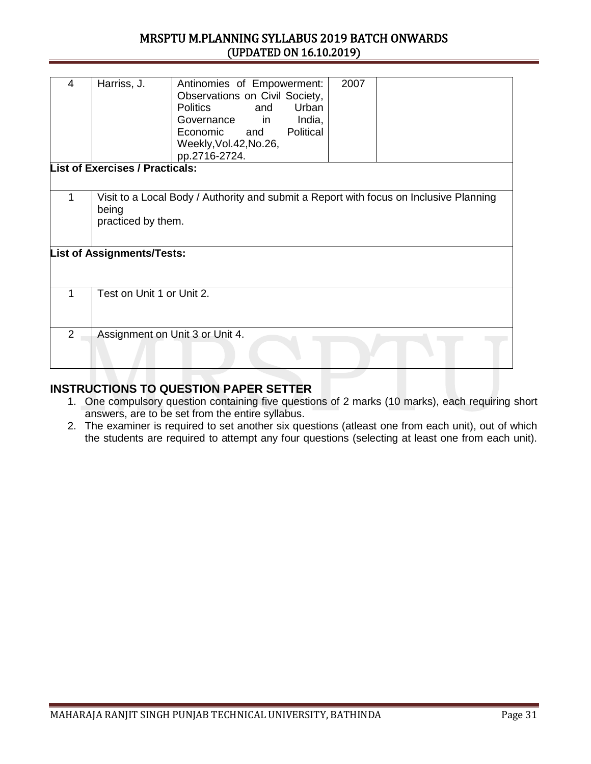| 4              | Harriss, J.                                                                                                           | Antinomies of Empowerment:<br>Observations on Civil Society,<br>Urban<br><b>Politics</b><br>and<br>in<br>India,<br>Governance<br>Economic<br>Political<br>and<br>Weekly, Vol. 42, No. 26,<br>pp.2716-2724. | 2007 |  |  |  |  |  |
|----------------|-----------------------------------------------------------------------------------------------------------------------|------------------------------------------------------------------------------------------------------------------------------------------------------------------------------------------------------------|------|--|--|--|--|--|
|                | <b>List of Exercises / Practicals:</b>                                                                                |                                                                                                                                                                                                            |      |  |  |  |  |  |
|                |                                                                                                                       |                                                                                                                                                                                                            |      |  |  |  |  |  |
|                |                                                                                                                       |                                                                                                                                                                                                            |      |  |  |  |  |  |
| 1              | Visit to a Local Body / Authority and submit a Report with focus on Inclusive Planning<br>being<br>practiced by them. |                                                                                                                                                                                                            |      |  |  |  |  |  |
|                | <b>List of Assignments/Tests:</b>                                                                                     |                                                                                                                                                                                                            |      |  |  |  |  |  |
|                |                                                                                                                       |                                                                                                                                                                                                            |      |  |  |  |  |  |
| 1              | Test on Unit 1 or Unit 2.                                                                                             |                                                                                                                                                                                                            |      |  |  |  |  |  |
| $\overline{2}$ |                                                                                                                       | Assignment on Unit 3 or Unit 4.                                                                                                                                                                            |      |  |  |  |  |  |
|                |                                                                                                                       |                                                                                                                                                                                                            |      |  |  |  |  |  |
|                |                                                                                                                       |                                                                                                                                                                                                            |      |  |  |  |  |  |

- 1. One compulsory question containing five questions of 2 marks (10 marks), each requiring short answers, are to be set from the entire syllabus.
- 2. The examiner is required to set another six questions (atleast one from each unit), out of which the students are required to attempt any four questions (selecting at least one from each unit).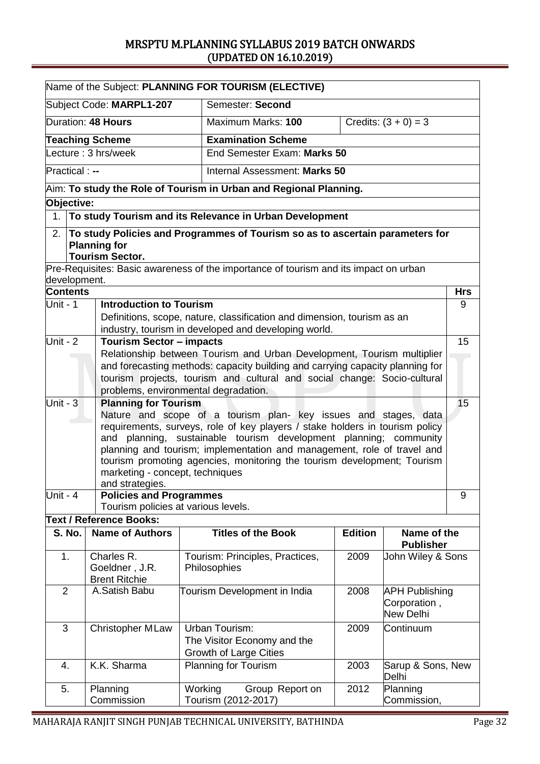|                                                                                                                                                                                                                                                                                                                                                                                                                                  |                                                      | Name of the Subject: PLANNING FOR TOURISM (ELECTIVE)                                                                                                                  |                |                                                    |            |  |
|----------------------------------------------------------------------------------------------------------------------------------------------------------------------------------------------------------------------------------------------------------------------------------------------------------------------------------------------------------------------------------------------------------------------------------|------------------------------------------------------|-----------------------------------------------------------------------------------------------------------------------------------------------------------------------|----------------|----------------------------------------------------|------------|--|
|                                                                                                                                                                                                                                                                                                                                                                                                                                  | Subject Code: MARPL1-207                             | Semester: Second                                                                                                                                                      |                |                                                    |            |  |
|                                                                                                                                                                                                                                                                                                                                                                                                                                  | Duration: 48 Hours                                   | Maximum Marks: 100                                                                                                                                                    |                | Credits: $(3 + 0) = 3$                             |            |  |
|                                                                                                                                                                                                                                                                                                                                                                                                                                  | <b>Teaching Scheme</b>                               | <b>Examination Scheme</b>                                                                                                                                             |                |                                                    |            |  |
|                                                                                                                                                                                                                                                                                                                                                                                                                                  | Lecture: 3 hrs/week                                  | End Semester Exam: Marks 50                                                                                                                                           |                |                                                    |            |  |
| <b>Practical:</b> --                                                                                                                                                                                                                                                                                                                                                                                                             |                                                      | Internal Assessment: Marks 50                                                                                                                                         |                |                                                    |            |  |
|                                                                                                                                                                                                                                                                                                                                                                                                                                  |                                                      | Aim: To study the Role of Tourism in Urban and Regional Planning.                                                                                                     |                |                                                    |            |  |
| Objective:                                                                                                                                                                                                                                                                                                                                                                                                                       |                                                      |                                                                                                                                                                       |                |                                                    |            |  |
| 1 <sub>1</sub>                                                                                                                                                                                                                                                                                                                                                                                                                   |                                                      | To study Tourism and its Relevance in Urban Development                                                                                                               |                |                                                    |            |  |
| 2.                                                                                                                                                                                                                                                                                                                                                                                                                               | <b>Planning for</b><br><b>Tourism Sector.</b>        | To study Policies and Programmes of Tourism so as to ascertain parameters for<br>Pre-Requisites: Basic awareness of the importance of tourism and its impact on urban |                |                                                    |            |  |
| development.                                                                                                                                                                                                                                                                                                                                                                                                                     |                                                      |                                                                                                                                                                       |                |                                                    |            |  |
| <b>Contents</b>                                                                                                                                                                                                                                                                                                                                                                                                                  |                                                      |                                                                                                                                                                       |                |                                                    | <b>Hrs</b> |  |
| Unit - 1                                                                                                                                                                                                                                                                                                                                                                                                                         | <b>Introduction to Tourism</b>                       | Definitions, scope, nature, classification and dimension, tourism as an<br>industry, tourism in developed and developing world.                                       |                |                                                    | 9          |  |
| Unit - 2                                                                                                                                                                                                                                                                                                                                                                                                                         | <b>Tourism Sector - impacts</b>                      |                                                                                                                                                                       |                |                                                    | 15         |  |
|                                                                                                                                                                                                                                                                                                                                                                                                                                  |                                                      | Relationship between Tourism and Urban Development, Tourism multiplier                                                                                                |                |                                                    |            |  |
|                                                                                                                                                                                                                                                                                                                                                                                                                                  |                                                      | and forecasting methods: capacity building and carrying capacity planning for                                                                                         |                |                                                    |            |  |
|                                                                                                                                                                                                                                                                                                                                                                                                                                  |                                                      | tourism projects, tourism and cultural and social change: Socio-cultural<br>problems, environmental degradation.                                                      |                |                                                    |            |  |
| Unit - $3$                                                                                                                                                                                                                                                                                                                                                                                                                       | <b>Planning for Tourism</b>                          |                                                                                                                                                                       |                |                                                    | 15         |  |
| Nature and scope of a tourism plan- key issues and stages, data<br>requirements, surveys, role of key players / stake holders in tourism policy<br>and planning, sustainable tourism development planning; community<br>planning and tourism; implementation and management, role of travel and<br>tourism promoting agencies, monitoring the tourism development; Tourism<br>marketing - concept, techniques<br>and strategies. |                                                      |                                                                                                                                                                       |                |                                                    |            |  |
| Unit - 4                                                                                                                                                                                                                                                                                                                                                                                                                         | <b>Policies and Programmes</b>                       |                                                                                                                                                                       |                |                                                    | 9          |  |
|                                                                                                                                                                                                                                                                                                                                                                                                                                  | Tourism policies at various levels.                  |                                                                                                                                                                       |                |                                                    |            |  |
|                                                                                                                                                                                                                                                                                                                                                                                                                                  | <b>Text / Reference Books:</b>                       |                                                                                                                                                                       |                |                                                    |            |  |
| <b>S. No.</b>                                                                                                                                                                                                                                                                                                                                                                                                                    | <b>Name of Authors</b>                               | <b>Titles of the Book</b>                                                                                                                                             | <b>Edition</b> | Name of the<br><b>Publisher</b>                    |            |  |
| 1.                                                                                                                                                                                                                                                                                                                                                                                                                               | Charles R.<br>Goeldner, J.R.<br><b>Brent Ritchie</b> | Tourism: Principles, Practices,<br>Philosophies                                                                                                                       | 2009           | John Wiley & Sons                                  |            |  |
| $\overline{2}$                                                                                                                                                                                                                                                                                                                                                                                                                   | A.Satish Babu                                        | Tourism Development in India                                                                                                                                          | 2008           | <b>APH Publishing</b><br>Corporation,<br>New Delhi |            |  |
| 3                                                                                                                                                                                                                                                                                                                                                                                                                                | <b>Christopher MLaw</b>                              | Urban Tourism:<br>The Visitor Economy and the<br><b>Growth of Large Cities</b>                                                                                        | 2009           | Continuum                                          |            |  |
| 4.                                                                                                                                                                                                                                                                                                                                                                                                                               | K.K. Sharma                                          | <b>Planning for Tourism</b>                                                                                                                                           | 2003           | Sarup & Sons, New<br>Delhi                         |            |  |
| 5.                                                                                                                                                                                                                                                                                                                                                                                                                               | Planning<br>Commission                               | Working<br>Group Report on<br>Tourism (2012-2017)                                                                                                                     | 2012           | Planning<br>Commission,                            |            |  |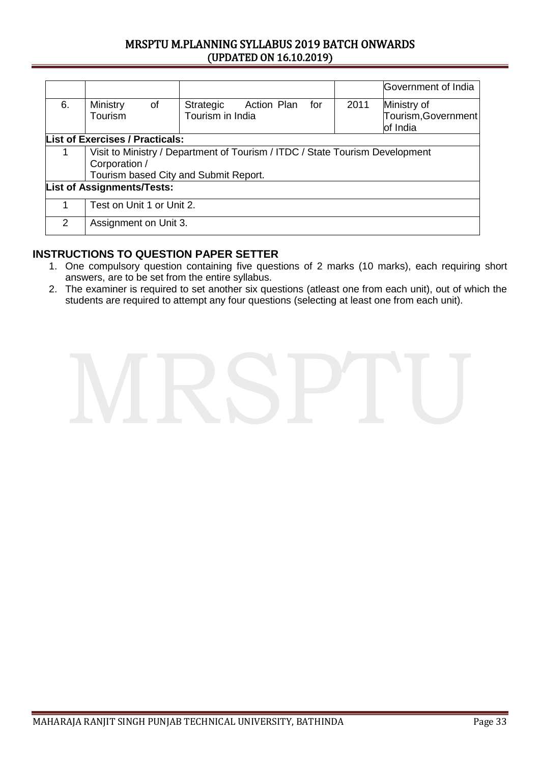|                                   |                                                                              |                                              |     |      | Government of India                |  |  |
|-----------------------------------|------------------------------------------------------------------------------|----------------------------------------------|-----|------|------------------------------------|--|--|
| 6.                                | <b>Ministry</b><br>of<br>Tourism                                             | Action Plan<br>Strategic<br>Tourism in India | for | 2011 | Ministry of<br>Tourism, Government |  |  |
|                                   |                                                                              |                                              |     |      | of India                           |  |  |
|                                   | <b>List of Exercises / Practicals:</b>                                       |                                              |     |      |                                    |  |  |
| 1                                 | Visit to Ministry / Department of Tourism / ITDC / State Tourism Development |                                              |     |      |                                    |  |  |
|                                   | Corporation /                                                                |                                              |     |      |                                    |  |  |
|                                   | Tourism based City and Submit Report.                                        |                                              |     |      |                                    |  |  |
| <b>List of Assignments/Tests:</b> |                                                                              |                                              |     |      |                                    |  |  |
| 1                                 | Test on Unit 1 or Unit 2.                                                    |                                              |     |      |                                    |  |  |
| $\mathcal{P}$                     | Assignment on Unit 3.                                                        |                                              |     |      |                                    |  |  |

- 1. One compulsory question containing five questions of 2 marks (10 marks), each requiring short answers, are to be set from the entire syllabus.
- 2. The examiner is required to set another six questions (atleast one from each unit), out of which the students are required to attempt any four questions (selecting at least one from each unit).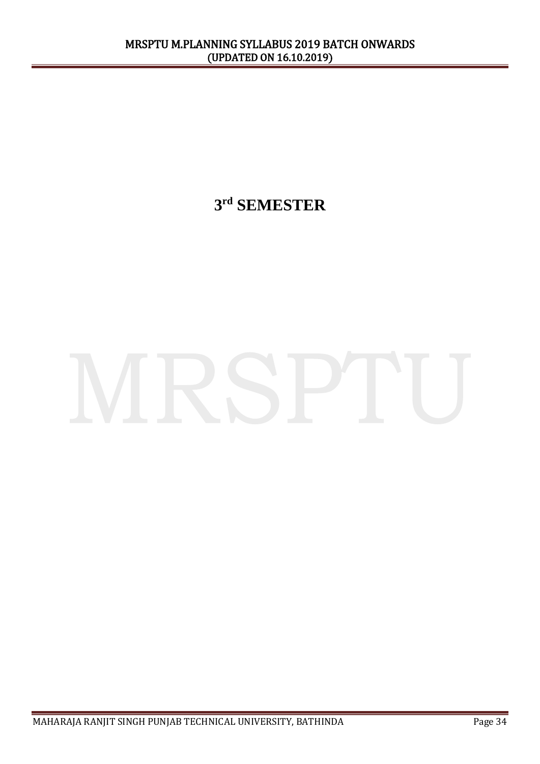**3 rd SEMESTER**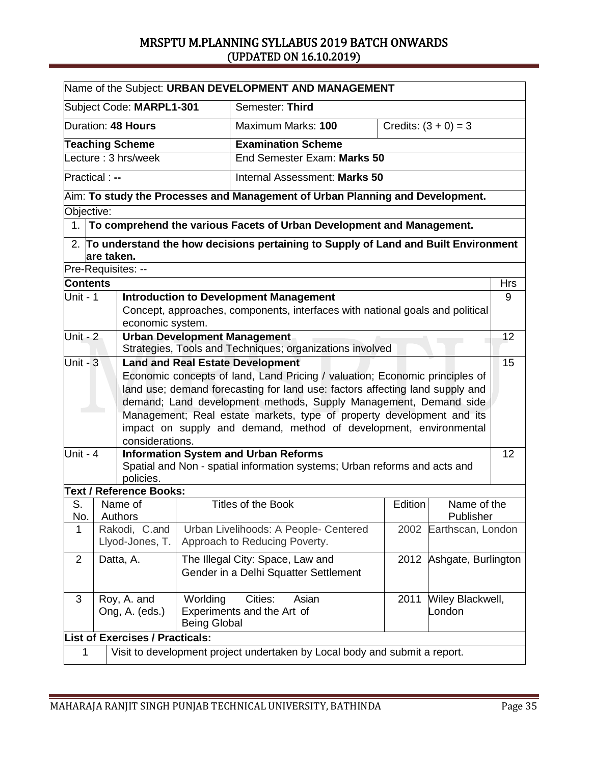|                                             |                                                                                                 |                                             |                     | Name of the Subject: URBAN DEVELOPMENT AND MANAGEMENT                                                                                      |                               |                        |                     |            |
|---------------------------------------------|-------------------------------------------------------------------------------------------------|---------------------------------------------|---------------------|--------------------------------------------------------------------------------------------------------------------------------------------|-------------------------------|------------------------|---------------------|------------|
| Semester: Third<br>Subject Code: MARPL1-301 |                                                                                                 |                                             |                     |                                                                                                                                            |                               |                        |                     |            |
|                                             |                                                                                                 | Duration: 48 Hours                          |                     | Maximum Marks: 100                                                                                                                         |                               | Credits: $(3 + 0) = 3$ |                     |            |
|                                             |                                                                                                 | <b>Teaching Scheme</b>                      |                     | <b>Examination Scheme</b>                                                                                                                  |                               |                        |                     |            |
|                                             |                                                                                                 | Lecture: 3 hrs/week                         |                     |                                                                                                                                            | End Semester Exam: Marks 50   |                        |                     |            |
| Practical : --                              |                                                                                                 |                                             |                     |                                                                                                                                            | Internal Assessment: Marks 50 |                        |                     |            |
|                                             |                                                                                                 |                                             |                     | $A$ im: To study the Processes and Management of Urban Planning and Development.                                                           |                               |                        |                     |            |
| Objective:                                  |                                                                                                 |                                             |                     |                                                                                                                                            |                               |                        |                     |            |
| 1.                                          |                                                                                                 |                                             |                     | To comprehend the various Facets of Urban Development and Management.                                                                      |                               |                        |                     |            |
|                                             | are taken.                                                                                      |                                             |                     | 2. To understand the how decisions pertaining to Supply of Land and Built Environment                                                      |                               |                        |                     |            |
| Pre-Requisites: --                          |                                                                                                 |                                             |                     |                                                                                                                                            |                               |                        |                     |            |
| <b>Contents</b>                             |                                                                                                 |                                             |                     |                                                                                                                                            |                               |                        |                     | <b>Hrs</b> |
| Unit - 1                                    |                                                                                                 |                                             |                     | <b>Introduction to Development Management</b>                                                                                              |                               |                        |                     | 9          |
|                                             |                                                                                                 |                                             |                     | Concept, approaches, components, interfaces with national goals and political                                                              |                               |                        |                     |            |
| Unit - $2$                                  |                                                                                                 | economic system.                            |                     |                                                                                                                                            |                               |                        |                     | 12         |
|                                             | <b>Urban Development Management</b><br>Strategies, Tools and Techniques; organizations involved |                                             |                     |                                                                                                                                            |                               |                        |                     |            |
| Unit - $3$                                  |                                                                                                 |                                             |                     | <b>Land and Real Estate Development</b>                                                                                                    |                               |                        |                     | 15         |
|                                             |                                                                                                 |                                             |                     | Economic concepts of land, Land Pricing / valuation; Economic principles of                                                                |                               |                        |                     |            |
|                                             |                                                                                                 |                                             |                     | land use; demand forecasting for land use: factors affecting land supply and                                                               |                               |                        |                     |            |
|                                             |                                                                                                 |                                             |                     | demand; Land development methods, Supply Management, Demand side                                                                           |                               |                        |                     |            |
|                                             |                                                                                                 |                                             |                     | Management; Real estate markets, type of property development and its<br>impact on supply and demand, method of development, environmental |                               |                        |                     |            |
|                                             |                                                                                                 | considerations.                             |                     |                                                                                                                                            |                               |                        |                     |            |
| Unit - 4                                    |                                                                                                 |                                             |                     | <b>Information System and Urban Reforms</b>                                                                                                |                               |                        |                     | 12         |
|                                             |                                                                                                 |                                             |                     | Spatial and Non - spatial information systems; Urban reforms and acts and                                                                  |                               |                        |                     |            |
|                                             |                                                                                                 | policies.<br><b>Text / Reference Books:</b> |                     |                                                                                                                                            |                               |                        |                     |            |
| S.                                          |                                                                                                 | Name of                                     |                     | <b>Titles of the Book</b>                                                                                                                  |                               | Edition                | Name of the         |            |
| No.                                         |                                                                                                 | Authors                                     |                     |                                                                                                                                            |                               |                        | Publisher           |            |
| 1                                           |                                                                                                 | Rakodi, C.and                               |                     | Urban Livelihoods: A People- Centered                                                                                                      |                               | 2002                   | Earthscan, London   |            |
|                                             |                                                                                                 | Llyod-Jones, T.                             |                     | Approach to Reducing Poverty.                                                                                                              |                               |                        |                     |            |
| $\overline{2}$                              |                                                                                                 | Datta, A.                                   |                     | The Illegal City: Space, Law and                                                                                                           |                               | 2012                   | Ashgate, Burlington |            |
|                                             |                                                                                                 |                                             |                     | Gender in a Delhi Squatter Settlement                                                                                                      |                               |                        |                     |            |
| 3                                           |                                                                                                 | Roy, A. and                                 | Worlding            | Cities:                                                                                                                                    | Asian                         | 2011                   | Wiley Blackwell,    |            |
|                                             |                                                                                                 | Ong, A. (eds.)                              |                     | Experiments and the Art of                                                                                                                 |                               |                        | London              |            |
|                                             |                                                                                                 |                                             | <b>Being Global</b> |                                                                                                                                            |                               |                        |                     |            |
|                                             |                                                                                                 | <b>List of Exercises / Practicals:</b>      |                     |                                                                                                                                            |                               |                        |                     |            |
| 1                                           |                                                                                                 |                                             |                     | Visit to development project undertaken by Local body and submit a report.                                                                 |                               |                        |                     |            |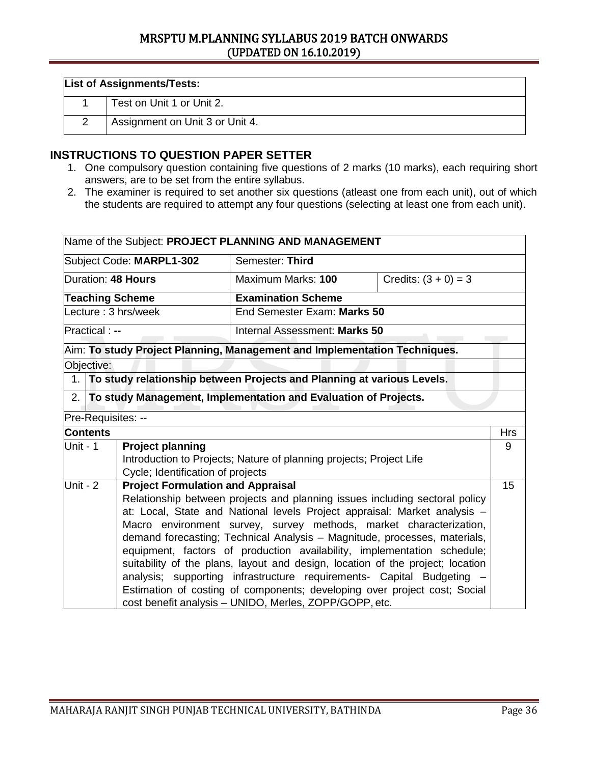| <b>List of Assignments/Tests:</b> |                                 |  |  |  |  |
|-----------------------------------|---------------------------------|--|--|--|--|
|                                   | Test on Unit 1 or Unit 2.       |  |  |  |  |
|                                   | Assignment on Unit 3 or Unit 4. |  |  |  |  |

- 1. One compulsory question containing five questions of 2 marks (10 marks), each requiring short answers, are to be set from the entire syllabus.
- 2. The examiner is required to set another six questions (atleast one from each unit), out of which the students are required to attempt any four questions (selecting at least one from each unit).

|                          |                                                                        |                                          | Name of the Subject: PROJECT PLANNING AND MANAGEMENT                           |                        |     |  |
|--------------------------|------------------------------------------------------------------------|------------------------------------------|--------------------------------------------------------------------------------|------------------------|-----|--|
| Subject Code: MARPL1-302 |                                                                        |                                          | Semester: Third                                                                |                        |     |  |
|                          |                                                                        | Duration: 48 Hours                       | Maximum Marks: 100                                                             | Credits: $(3 + 0) = 3$ |     |  |
|                          |                                                                        | <b>Teaching Scheme</b>                   | <b>Examination Scheme</b>                                                      |                        |     |  |
|                          |                                                                        | Lecture: 3 hrs/week                      | End Semester Exam: Marks 50                                                    |                        |     |  |
|                          | Practical : --                                                         |                                          | Internal Assessment: Marks 50                                                  |                        |     |  |
|                          |                                                                        |                                          | Aim: To study Project Planning, Management and Implementation Techniques.      |                        |     |  |
|                          | Objective:                                                             |                                          |                                                                                |                        |     |  |
| 1.                       | To study relationship between Projects and Planning at various Levels. |                                          |                                                                                |                        |     |  |
| 2.                       |                                                                        |                                          | To study Management, Implementation and Evaluation of Projects.                |                        |     |  |
|                          | Pre-Requisites: --                                                     |                                          |                                                                                |                        |     |  |
|                          | <b>Contents</b>                                                        |                                          |                                                                                |                        | Hrs |  |
|                          | Unit - 1                                                               | <b>Project planning</b>                  |                                                                                |                        |     |  |
|                          |                                                                        |                                          | Introduction to Projects; Nature of planning projects; Project Life            |                        |     |  |
|                          |                                                                        | Cycle; Identification of projects        |                                                                                |                        |     |  |
|                          | Unit - $2$                                                             | <b>Project Formulation and Appraisal</b> |                                                                                |                        | 15  |  |
|                          |                                                                        |                                          | Relationship between projects and planning issues including sectoral policy    |                        |     |  |
|                          |                                                                        |                                          | at: Local, State and National levels Project appraisal: Market analysis -      |                        |     |  |
|                          |                                                                        |                                          | Macro environment survey, survey methods, market characterization,             |                        |     |  |
|                          |                                                                        |                                          | demand forecasting; Technical Analysis - Magnitude, processes, materials,      |                        |     |  |
|                          |                                                                        |                                          | equipment, factors of production availability, implementation schedule;        |                        |     |  |
|                          |                                                                        |                                          | suitability of the plans, layout and design, location of the project; location |                        |     |  |
|                          |                                                                        |                                          | analysis; supporting infrastructure requirements- Capital Budgeting -          |                        |     |  |
|                          |                                                                        |                                          | Estimation of costing of components; developing over project cost; Social      |                        |     |  |
|                          |                                                                        |                                          | cost benefit analysis - UNIDO, Merles, ZOPP/GOPP, etc.                         |                        |     |  |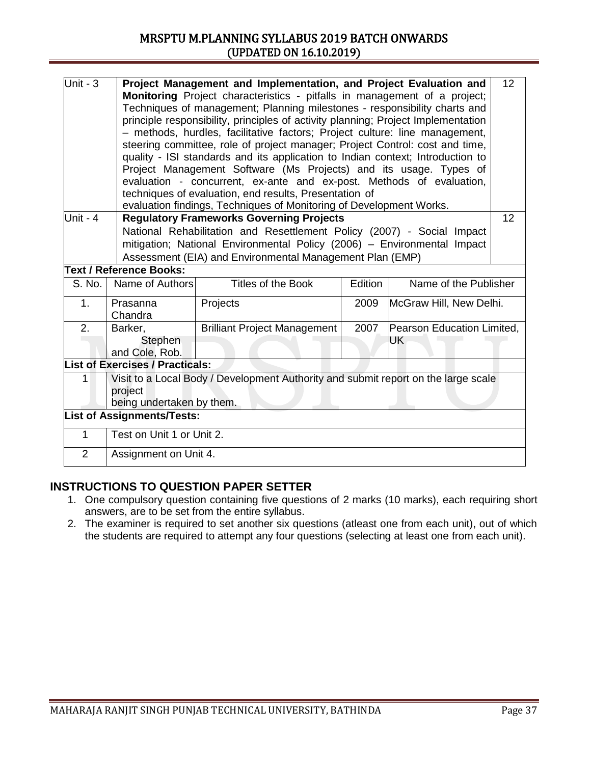| Unit - $3$     | Project Management and Implementation, and Project Evaluation and<br><b>Monitoring</b> Project characteristics - pitfalls in management of a project;<br>Techniques of management; Planning milestones - responsibility charts and<br>principle responsibility, principles of activity planning; Project Implementation<br>- methods, hurdles, facilitative factors; Project culture: line management,<br>steering committee, role of project manager; Project Control: cost and time,<br>quality - ISI standards and its application to Indian context; Introduction to<br>Project Management Software (Ms Projects) and its usage. Types of<br>evaluation - concurrent, ex-ante and ex-post. Methods of evaluation,<br>techniques of evaluation, end results, Presentation of<br>evaluation findings, Techniques of Monitoring of Development Works. |                                                                                    |         |                            |    |
|----------------|--------------------------------------------------------------------------------------------------------------------------------------------------------------------------------------------------------------------------------------------------------------------------------------------------------------------------------------------------------------------------------------------------------------------------------------------------------------------------------------------------------------------------------------------------------------------------------------------------------------------------------------------------------------------------------------------------------------------------------------------------------------------------------------------------------------------------------------------------------|------------------------------------------------------------------------------------|---------|----------------------------|----|
| Unit - $4$     |                                                                                                                                                                                                                                                                                                                                                                                                                                                                                                                                                                                                                                                                                                                                                                                                                                                        | <b>Regulatory Frameworks Governing Projects</b>                                    |         |                            | 12 |
|                |                                                                                                                                                                                                                                                                                                                                                                                                                                                                                                                                                                                                                                                                                                                                                                                                                                                        | National Rehabilitation and Resettlement Policy (2007) - Social Impact             |         |                            |    |
|                |                                                                                                                                                                                                                                                                                                                                                                                                                                                                                                                                                                                                                                                                                                                                                                                                                                                        | mitigation; National Environmental Policy (2006) - Environmental Impact            |         |                            |    |
|                |                                                                                                                                                                                                                                                                                                                                                                                                                                                                                                                                                                                                                                                                                                                                                                                                                                                        | Assessment (EIA) and Environmental Management Plan (EMP)                           |         |                            |    |
|                | Text / Reference Books:                                                                                                                                                                                                                                                                                                                                                                                                                                                                                                                                                                                                                                                                                                                                                                                                                                |                                                                                    |         |                            |    |
| S. No.         | Name of Authors                                                                                                                                                                                                                                                                                                                                                                                                                                                                                                                                                                                                                                                                                                                                                                                                                                        | Titles of the Book                                                                 | Edition | Name of the Publisher      |    |
| 1 <sub>1</sub> | Prasanna<br>Chandra                                                                                                                                                                                                                                                                                                                                                                                                                                                                                                                                                                                                                                                                                                                                                                                                                                    | Projects                                                                           | 2009    | McGraw Hill, New Delhi.    |    |
| 2.             | Barker,                                                                                                                                                                                                                                                                                                                                                                                                                                                                                                                                                                                                                                                                                                                                                                                                                                                | <b>Brilliant Project Management</b>                                                | 2007    | Pearson Education Limited. |    |
|                | Stephen                                                                                                                                                                                                                                                                                                                                                                                                                                                                                                                                                                                                                                                                                                                                                                                                                                                |                                                                                    |         | UK                         |    |
|                | and Cole, Rob.                                                                                                                                                                                                                                                                                                                                                                                                                                                                                                                                                                                                                                                                                                                                                                                                                                         |                                                                                    |         |                            |    |
|                | <b>List of Exercises / Practicals:</b>                                                                                                                                                                                                                                                                                                                                                                                                                                                                                                                                                                                                                                                                                                                                                                                                                 |                                                                                    |         |                            |    |
| 1              |                                                                                                                                                                                                                                                                                                                                                                                                                                                                                                                                                                                                                                                                                                                                                                                                                                                        | Visit to a Local Body / Development Authority and submit report on the large scale |         |                            |    |
|                | project                                                                                                                                                                                                                                                                                                                                                                                                                                                                                                                                                                                                                                                                                                                                                                                                                                                |                                                                                    |         |                            |    |
|                | being undertaken by them.                                                                                                                                                                                                                                                                                                                                                                                                                                                                                                                                                                                                                                                                                                                                                                                                                              |                                                                                    |         |                            |    |
|                | <b>List of Assignments/Tests:</b>                                                                                                                                                                                                                                                                                                                                                                                                                                                                                                                                                                                                                                                                                                                                                                                                                      |                                                                                    |         |                            |    |
|                |                                                                                                                                                                                                                                                                                                                                                                                                                                                                                                                                                                                                                                                                                                                                                                                                                                                        |                                                                                    |         |                            |    |
| $\mathbf{1}$   | Test on Unit 1 or Unit 2.                                                                                                                                                                                                                                                                                                                                                                                                                                                                                                                                                                                                                                                                                                                                                                                                                              |                                                                                    |         |                            |    |
| 2              | Assignment on Unit 4.                                                                                                                                                                                                                                                                                                                                                                                                                                                                                                                                                                                                                                                                                                                                                                                                                                  |                                                                                    |         |                            |    |

- 1. One compulsory question containing five questions of 2 marks (10 marks), each requiring short answers, are to be set from the entire syllabus.
- 2. The examiner is required to set another six questions (atleast one from each unit), out of which the students are required to attempt any four questions (selecting at least one from each unit).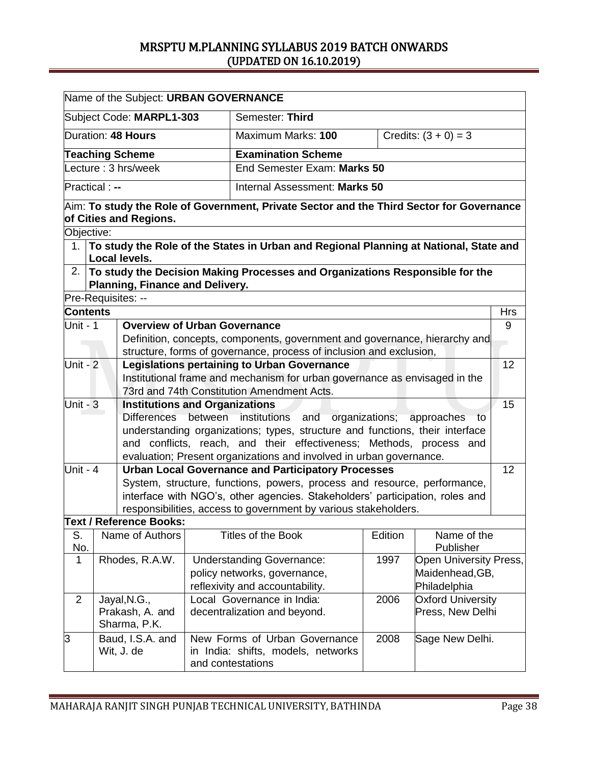|                                                                                                                                 |  | Name of the Subject: URBAN GOVERNANCE |  |                                                                                                                                       |         |                               |                 |
|---------------------------------------------------------------------------------------------------------------------------------|--|---------------------------------------|--|---------------------------------------------------------------------------------------------------------------------------------------|---------|-------------------------------|-----------------|
|                                                                                                                                 |  | Subject Code: MARPL1-303              |  | Semester: Third                                                                                                                       |         |                               |                 |
|                                                                                                                                 |  | Duration: 48 Hours                    |  | Maximum Marks: 100                                                                                                                    |         | Credits: $(3 + 0) = 3$        |                 |
|                                                                                                                                 |  | <b>Teaching Scheme</b>                |  | <b>Examination Scheme</b>                                                                                                             |         |                               |                 |
|                                                                                                                                 |  | Lecture: 3 hrs/week                   |  | End Semester Exam: Marks 50                                                                                                           |         |                               |                 |
| Practical : --                                                                                                                  |  |                                       |  | Internal Assessment: Marks 50                                                                                                         |         |                               |                 |
|                                                                                                                                 |  |                                       |  |                                                                                                                                       |         |                               |                 |
|                                                                                                                                 |  | of Cities and Regions.                |  | $\vert$ Aim: To study the Role of Government, Private Sector and the Third Sector for Governance                                      |         |                               |                 |
| Objective:                                                                                                                      |  |                                       |  |                                                                                                                                       |         |                               |                 |
| 1.                                                                                                                              |  |                                       |  | To study the Role of the States in Urban and Regional Planning at National, State and                                                 |         |                               |                 |
|                                                                                                                                 |  | <b>Local levels.</b>                  |  |                                                                                                                                       |         |                               |                 |
|                                                                                                                                 |  |                                       |  | 2. To study the Decision Making Processes and Organizations Responsible for the                                                       |         |                               |                 |
|                                                                                                                                 |  | Planning, Finance and Delivery.       |  |                                                                                                                                       |         |                               |                 |
|                                                                                                                                 |  | Pre-Requisites: --                    |  |                                                                                                                                       |         |                               |                 |
| <b>Contents</b><br>Unit - 1                                                                                                     |  |                                       |  |                                                                                                                                       |         |                               | <b>Hrs</b><br>9 |
|                                                                                                                                 |  | <b>Overview of Urban Governance</b>   |  | Definition, concepts, components, government and governance, hierarchy and                                                            |         |                               |                 |
|                                                                                                                                 |  |                                       |  | structure, forms of governance, process of inclusion and exclusion,                                                                   |         |                               |                 |
| Unit - $2$                                                                                                                      |  |                                       |  | <b>Legislations pertaining to Urban Governance</b>                                                                                    |         |                               | 12              |
|                                                                                                                                 |  |                                       |  | Institutional frame and mechanism for urban governance as envisaged in the                                                            |         |                               |                 |
|                                                                                                                                 |  |                                       |  | 73rd and 74th Constitution Amendment Acts.                                                                                            |         |                               |                 |
| Unit - $3$                                                                                                                      |  | <b>Institutions and Organizations</b> |  |                                                                                                                                       |         |                               | 15              |
|                                                                                                                                 |  |                                       |  | Differences between institutions and organizations; approaches to                                                                     |         |                               |                 |
|                                                                                                                                 |  |                                       |  | understanding organizations; types, structure and functions, their interface                                                          |         |                               |                 |
|                                                                                                                                 |  |                                       |  | and conflicts, reach, and their effectiveness; Methods, process and                                                                   |         |                               |                 |
| Unit - 4                                                                                                                        |  |                                       |  | evaluation; Present organizations and involved in urban governance.                                                                   |         |                               |                 |
|                                                                                                                                 |  |                                       |  | <b>Urban Local Governance and Participatory Processes</b><br>System, structure, functions, powers, process and resource, performance, |         |                               | 12              |
|                                                                                                                                 |  |                                       |  | interface with NGO's, other agencies. Stakeholders' participation, roles and                                                          |         |                               |                 |
|                                                                                                                                 |  |                                       |  | responsibilities, access to government by various stakeholders.                                                                       |         |                               |                 |
|                                                                                                                                 |  | <b>Text / Reference Books:</b>        |  |                                                                                                                                       |         |                               |                 |
| S.<br>No.                                                                                                                       |  | Name of Authors                       |  | Titles of the Book                                                                                                                    | Edition | Name of the<br>Publisher      |                 |
| $\mathbf{1}$                                                                                                                    |  | Rhodes, R.A.W.                        |  | <b>Understanding Governance:</b>                                                                                                      | 1997    | <b>Open University Press,</b> |                 |
|                                                                                                                                 |  |                                       |  | policy networks, governance,                                                                                                          |         | Maidenhead, GB,               |                 |
|                                                                                                                                 |  |                                       |  | reflexivity and accountability.                                                                                                       |         | Philadelphia                  |                 |
| $\overline{2}$                                                                                                                  |  | Jayal, N.G.,                          |  | Local Governance in India:                                                                                                            | 2006    | <b>Oxford University</b>      |                 |
|                                                                                                                                 |  | Prakash, A. and<br>Sharma, P.K.       |  | decentralization and beyond.                                                                                                          |         | Press, New Delhi              |                 |
| 3<br>New Forms of Urban Governance<br>Baud, I.S.A. and<br>Wit, J. de<br>in India: shifts, models, networks<br>and contestations |  |                                       |  |                                                                                                                                       | 2008    | Sage New Delhi.               |                 |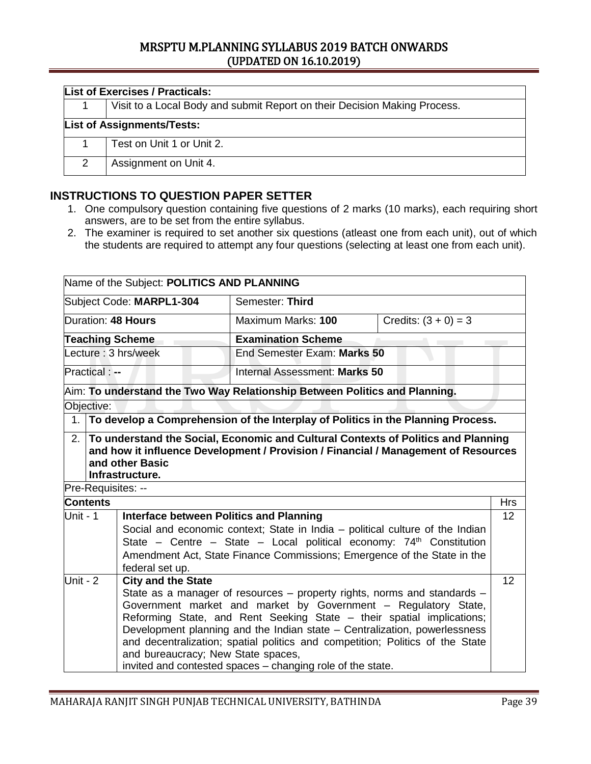| <b>List of Exercises / Practicals:</b> |                                                                           |  |  |  |  |  |
|----------------------------------------|---------------------------------------------------------------------------|--|--|--|--|--|
|                                        | Visit to a Local Body and submit Report on their Decision Making Process. |  |  |  |  |  |
|                                        | <b>List of Assignments/Tests:</b>                                         |  |  |  |  |  |
|                                        | Test on Unit 1 or Unit 2.                                                 |  |  |  |  |  |
| 2                                      | Assignment on Unit 4.                                                     |  |  |  |  |  |

### **INSTRUCTIONS TO QUESTION PAPER SETTER**

- 1. One compulsory question containing five questions of 2 marks (10 marks), each requiring short answers, are to be set from the entire syllabus.
- 2. The examiner is required to set another six questions (atleast one from each unit), out of which the students are required to attempt any four questions (selecting at least one from each unit).

| Name of the Subject: POLITICS AND PLANNING                                                                                                                                                                                                                                                                                                                                                                                                                                                                                       |                                                                                                                                                                                                                                                                                                                              |                                    |                                                                                                                                                                            |                        |                  |  |  |
|----------------------------------------------------------------------------------------------------------------------------------------------------------------------------------------------------------------------------------------------------------------------------------------------------------------------------------------------------------------------------------------------------------------------------------------------------------------------------------------------------------------------------------|------------------------------------------------------------------------------------------------------------------------------------------------------------------------------------------------------------------------------------------------------------------------------------------------------------------------------|------------------------------------|----------------------------------------------------------------------------------------------------------------------------------------------------------------------------|------------------------|------------------|--|--|
|                                                                                                                                                                                                                                                                                                                                                                                                                                                                                                                                  |                                                                                                                                                                                                                                                                                                                              | Subject Code: MARPL1-304           | Semester: Third                                                                                                                                                            |                        |                  |  |  |
|                                                                                                                                                                                                                                                                                                                                                                                                                                                                                                                                  |                                                                                                                                                                                                                                                                                                                              | Duration: 48 Hours                 | Maximum Marks: 100                                                                                                                                                         | Credits: $(3 + 0) = 3$ |                  |  |  |
|                                                                                                                                                                                                                                                                                                                                                                                                                                                                                                                                  |                                                                                                                                                                                                                                                                                                                              | <b>Teaching Scheme</b>             | <b>Examination Scheme</b>                                                                                                                                                  |                        |                  |  |  |
|                                                                                                                                                                                                                                                                                                                                                                                                                                                                                                                                  |                                                                                                                                                                                                                                                                                                                              | Lecture: 3 hrs/week                | End Semester Exam: Marks 50                                                                                                                                                |                        |                  |  |  |
|                                                                                                                                                                                                                                                                                                                                                                                                                                                                                                                                  | <b>Practical:</b> --                                                                                                                                                                                                                                                                                                         |                                    | Internal Assessment: Marks 50                                                                                                                                              |                        |                  |  |  |
|                                                                                                                                                                                                                                                                                                                                                                                                                                                                                                                                  |                                                                                                                                                                                                                                                                                                                              |                                    | Aim: To understand the Two Way Relationship Between Politics and Planning.                                                                                                 |                        |                  |  |  |
|                                                                                                                                                                                                                                                                                                                                                                                                                                                                                                                                  | Objective:                                                                                                                                                                                                                                                                                                                   |                                    |                                                                                                                                                                            |                        |                  |  |  |
|                                                                                                                                                                                                                                                                                                                                                                                                                                                                                                                                  |                                                                                                                                                                                                                                                                                                                              |                                    | 1. To develop a Comprehension of the Interplay of Politics in the Planning Process.                                                                                        |                        |                  |  |  |
|                                                                                                                                                                                                                                                                                                                                                                                                                                                                                                                                  |                                                                                                                                                                                                                                                                                                                              | and other Basic<br>Infrastructure. | 2. To understand the Social, Economic and Cultural Contexts of Politics and Planning<br>and how it influence Development / Provision / Financial / Management of Resources |                        |                  |  |  |
|                                                                                                                                                                                                                                                                                                                                                                                                                                                                                                                                  | Pre-Requisites: --                                                                                                                                                                                                                                                                                                           |                                    |                                                                                                                                                                            |                        |                  |  |  |
|                                                                                                                                                                                                                                                                                                                                                                                                                                                                                                                                  | <b>Contents</b>                                                                                                                                                                                                                                                                                                              |                                    |                                                                                                                                                                            |                        | <b>Hrs</b><br>12 |  |  |
|                                                                                                                                                                                                                                                                                                                                                                                                                                                                                                                                  | Unit - 1<br><b>Interface between Politics and Planning</b><br>Social and economic context; State in India – political culture of the Indian<br>State - Centre - State - Local political economy: 74 <sup>th</sup> Constitution<br>Amendment Act, State Finance Commissions; Emergence of the State in the<br>federal set up. |                                    |                                                                                                                                                                            |                        |                  |  |  |
| Unit - $2$<br><b>City and the State</b><br>State as a manager of resources - property rights, norms and standards -<br>Government market and market by Government - Regulatory State,<br>Reforming State, and Rent Seeking State - their spatial implications;<br>Development planning and the Indian state - Centralization, powerlessness<br>and decentralization; spatial politics and competition; Politics of the State<br>and bureaucracy; New State spaces,<br>invited and contested spaces - changing role of the state. |                                                                                                                                                                                                                                                                                                                              |                                    | 12                                                                                                                                                                         |                        |                  |  |  |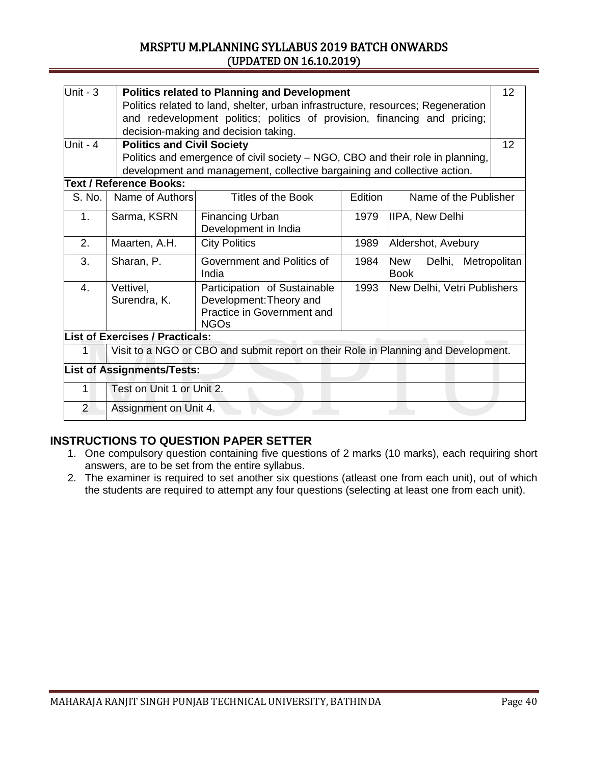| Unit - $3$     | 12<br><b>Politics related to Planning and Development</b>                 |                                                                                                      |                                     |                        |              |  |  |
|----------------|---------------------------------------------------------------------------|------------------------------------------------------------------------------------------------------|-------------------------------------|------------------------|--------------|--|--|
|                |                                                                           | Politics related to land, shelter, urban infrastructure, resources; Regeneration                     |                                     |                        |              |  |  |
|                | and redevelopment politics; politics of provision, financing and pricing; |                                                                                                      |                                     |                        |              |  |  |
|                |                                                                           | decision-making and decision taking.                                                                 |                                     |                        |              |  |  |
| Unit - 4       | <b>Politics and Civil Society</b>                                         |                                                                                                      |                                     |                        | 12           |  |  |
|                |                                                                           | Politics and emergence of civil society – NGO, CBO and their role in planning,                       |                                     |                        |              |  |  |
|                |                                                                           | development and management, collective bargaining and collective action.                             |                                     |                        |              |  |  |
|                | <b>Text / Reference Books:</b>                                            |                                                                                                      |                                     |                        |              |  |  |
| S. No.         | Name of Authors                                                           | Titles of the Book                                                                                   | Edition                             | Name of the Publisher  |              |  |  |
| 1.             | Sarma, KSRN                                                               | <b>Financing Urban</b><br>Development in India                                                       | 1979                                | <b>IIPA, New Delhi</b> |              |  |  |
| 2.             | Maarten, A.H.                                                             | <b>City Politics</b>                                                                                 | 1989                                | Aldershot, Avebury     |              |  |  |
| 3.             | Sharan, P.                                                                | Government and Politics of<br>India                                                                  | 1984                                | New<br>Delhi,<br>Book  | Metropolitan |  |  |
| 4.             | Vettivel,<br>Surendra, K.                                                 | Participation of Sustainable<br>Development: Theory and<br>Practice in Government and<br><b>NGOs</b> | 1993<br>New Delhi, Vetri Publishers |                        |              |  |  |
|                | <b>List of Exercises / Practicals:</b>                                    |                                                                                                      |                                     |                        |              |  |  |
| $\mathbf{1}$   |                                                                           | Visit to a NGO or CBO and submit report on their Role in Planning and Development.                   |                                     |                        |              |  |  |
|                | <b>List of Assignments/Tests:</b>                                         |                                                                                                      |                                     |                        |              |  |  |
| 1              | Test on Unit 1 or Unit 2.                                                 |                                                                                                      |                                     |                        |              |  |  |
| $\overline{2}$ | Assignment on Unit 4.                                                     |                                                                                                      |                                     |                        |              |  |  |

### **INSTRUCTIONS TO QUESTION PAPER SETTER**

- 1. One compulsory question containing five questions of 2 marks (10 marks), each requiring short answers, are to be set from the entire syllabus.
- 2. The examiner is required to set another six questions (atleast one from each unit), out of which the students are required to attempt any four questions (selecting at least one from each unit).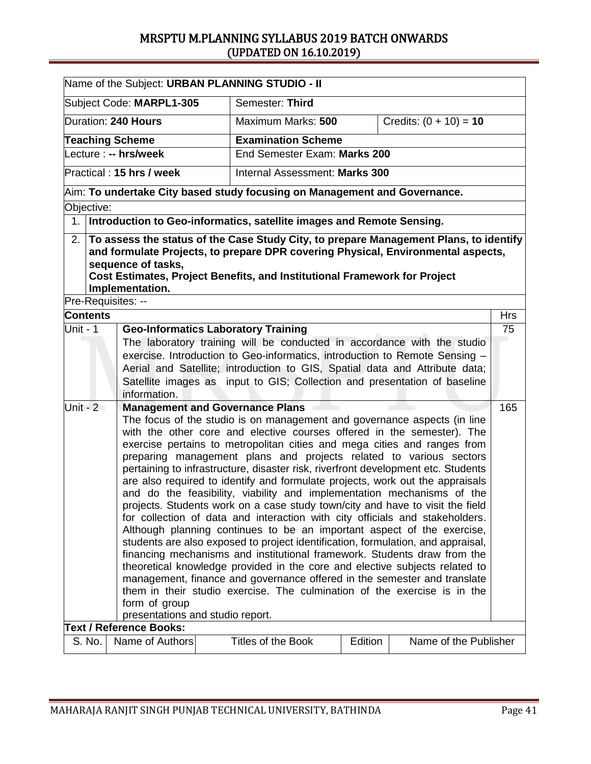|                                                                                                                                                                                                                                                                                                                                                                                                                                                                                                                                                                                                                                                                                                                                                                                                                                                                                                                                                                                                                                                                                                                                                                                                                                                                                                                     | Name of the Subject: URBAN PLANNING STUDIO - II                                                                           |  |                                |  |                                                                                                                                                                                                                                                                                                                    |                  |  |
|---------------------------------------------------------------------------------------------------------------------------------------------------------------------------------------------------------------------------------------------------------------------------------------------------------------------------------------------------------------------------------------------------------------------------------------------------------------------------------------------------------------------------------------------------------------------------------------------------------------------------------------------------------------------------------------------------------------------------------------------------------------------------------------------------------------------------------------------------------------------------------------------------------------------------------------------------------------------------------------------------------------------------------------------------------------------------------------------------------------------------------------------------------------------------------------------------------------------------------------------------------------------------------------------------------------------|---------------------------------------------------------------------------------------------------------------------------|--|--------------------------------|--|--------------------------------------------------------------------------------------------------------------------------------------------------------------------------------------------------------------------------------------------------------------------------------------------------------------------|------------------|--|
|                                                                                                                                                                                                                                                                                                                                                                                                                                                                                                                                                                                                                                                                                                                                                                                                                                                                                                                                                                                                                                                                                                                                                                                                                                                                                                                     | Subject Code: MARPL1-305                                                                                                  |  | Semester: Third                |  |                                                                                                                                                                                                                                                                                                                    |                  |  |
|                                                                                                                                                                                                                                                                                                                                                                                                                                                                                                                                                                                                                                                                                                                                                                                                                                                                                                                                                                                                                                                                                                                                                                                                                                                                                                                     | Duration: 240 Hours                                                                                                       |  | Maximum Marks: 500             |  | Credits: $(0 + 10) = 10$                                                                                                                                                                                                                                                                                           |                  |  |
|                                                                                                                                                                                                                                                                                                                                                                                                                                                                                                                                                                                                                                                                                                                                                                                                                                                                                                                                                                                                                                                                                                                                                                                                                                                                                                                     | <b>Teaching Scheme</b>                                                                                                    |  | <b>Examination Scheme</b>      |  |                                                                                                                                                                                                                                                                                                                    |                  |  |
|                                                                                                                                                                                                                                                                                                                                                                                                                                                                                                                                                                                                                                                                                                                                                                                                                                                                                                                                                                                                                                                                                                                                                                                                                                                                                                                     | Lecture : -- hrs/week                                                                                                     |  | End Semester Exam: Marks 200   |  |                                                                                                                                                                                                                                                                                                                    |                  |  |
|                                                                                                                                                                                                                                                                                                                                                                                                                                                                                                                                                                                                                                                                                                                                                                                                                                                                                                                                                                                                                                                                                                                                                                                                                                                                                                                     | Practical: 15 hrs / week                                                                                                  |  | Internal Assessment: Marks 300 |  |                                                                                                                                                                                                                                                                                                                    |                  |  |
|                                                                                                                                                                                                                                                                                                                                                                                                                                                                                                                                                                                                                                                                                                                                                                                                                                                                                                                                                                                                                                                                                                                                                                                                                                                                                                                     | Aim: To undertake City based study focusing on Management and Governance.                                                 |  |                                |  |                                                                                                                                                                                                                                                                                                                    |                  |  |
| Objective:                                                                                                                                                                                                                                                                                                                                                                                                                                                                                                                                                                                                                                                                                                                                                                                                                                                                                                                                                                                                                                                                                                                                                                                                                                                                                                          |                                                                                                                           |  |                                |  |                                                                                                                                                                                                                                                                                                                    |                  |  |
|                                                                                                                                                                                                                                                                                                                                                                                                                                                                                                                                                                                                                                                                                                                                                                                                                                                                                                                                                                                                                                                                                                                                                                                                                                                                                                                     | 1. Introduction to Geo-informatics, satellite images and Remote Sensing.                                                  |  |                                |  |                                                                                                                                                                                                                                                                                                                    |                  |  |
|                                                                                                                                                                                                                                                                                                                                                                                                                                                                                                                                                                                                                                                                                                                                                                                                                                                                                                                                                                                                                                                                                                                                                                                                                                                                                                                     | sequence of tasks,<br><b>Cost Estimates, Project Benefits, and Institutional Framework for Project</b><br>Implementation. |  |                                |  | 2. To assess the status of the Case Study City, to prepare Management Plans, to identify<br>and formulate Projects, to prepare DPR covering Physical, Environmental aspects,                                                                                                                                       |                  |  |
| Pre-Requisites: --                                                                                                                                                                                                                                                                                                                                                                                                                                                                                                                                                                                                                                                                                                                                                                                                                                                                                                                                                                                                                                                                                                                                                                                                                                                                                                  |                                                                                                                           |  |                                |  |                                                                                                                                                                                                                                                                                                                    |                  |  |
| <b>Contents</b><br>Unit - 1                                                                                                                                                                                                                                                                                                                                                                                                                                                                                                                                                                                                                                                                                                                                                                                                                                                                                                                                                                                                                                                                                                                                                                                                                                                                                         | <b>Geo-Informatics Laboratory Training</b>                                                                                |  |                                |  |                                                                                                                                                                                                                                                                                                                    | <b>Hrs</b><br>75 |  |
|                                                                                                                                                                                                                                                                                                                                                                                                                                                                                                                                                                                                                                                                                                                                                                                                                                                                                                                                                                                                                                                                                                                                                                                                                                                                                                                     | information.                                                                                                              |  |                                |  | The laboratory training will be conducted in accordance with the studio<br>exercise. Introduction to Geo-informatics, introduction to Remote Sensing -<br>Aerial and Satellite; introduction to GIS, Spatial data and Attribute data;<br>Satellite images as input to GIS; Collection and presentation of baseline |                  |  |
| Unit - $2$<br><b>Management and Governance Plans</b><br>The focus of the studio is on management and governance aspects (in line<br>with the other core and elective courses offered in the semester). The<br>exercise pertains to metropolitan cities and mega cities and ranges from<br>preparing management plans and projects related to various sectors<br>pertaining to infrastructure, disaster risk, riverfront development etc. Students<br>are also required to identify and formulate projects, work out the appraisals<br>and do the feasibility, viability and implementation mechanisms of the<br>projects. Students work on a case study town/city and have to visit the field<br>for collection of data and interaction with city officials and stakeholders.<br>Although planning continues to be an important aspect of the exercise,<br>students are also exposed to project identification, formulation, and appraisal,<br>financing mechanisms and institutional framework. Students draw from the<br>theoretical knowledge provided in the core and elective subjects related to<br>management, finance and governance offered in the semester and translate<br>them in their studio exercise. The culmination of the exercise is in the<br>form of group<br>presentations and studio report. |                                                                                                                           |  |                                |  | 165                                                                                                                                                                                                                                                                                                                |                  |  |
|                                                                                                                                                                                                                                                                                                                                                                                                                                                                                                                                                                                                                                                                                                                                                                                                                                                                                                                                                                                                                                                                                                                                                                                                                                                                                                                     | <b>Text / Reference Books:</b>                                                                                            |  |                                |  |                                                                                                                                                                                                                                                                                                                    |                  |  |
| S. No.                                                                                                                                                                                                                                                                                                                                                                                                                                                                                                                                                                                                                                                                                                                                                                                                                                                                                                                                                                                                                                                                                                                                                                                                                                                                                                              | Name of Authors<br><b>Titles of the Book</b><br>Edition<br>Name of the Publisher                                          |  |                                |  |                                                                                                                                                                                                                                                                                                                    |                  |  |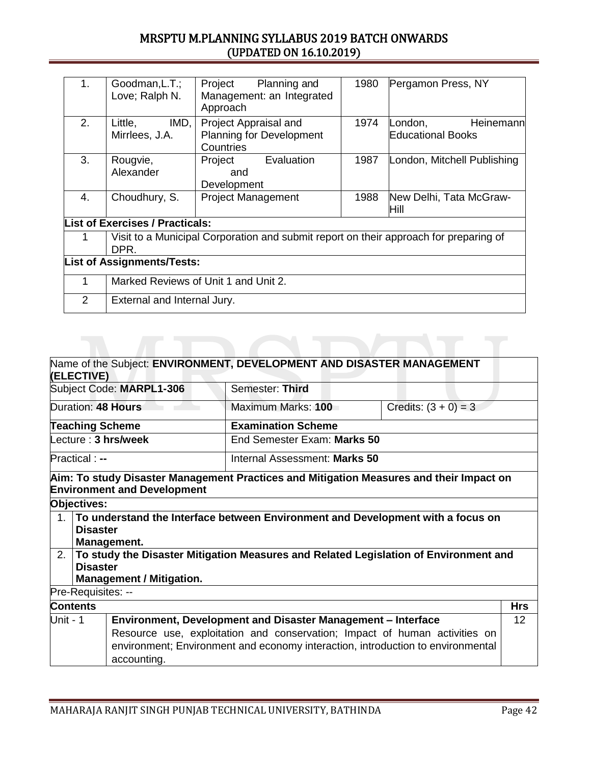| 1.             | Goodman, L.T.;<br>Love; Ralph N.                                                              | Project<br>Planning and<br>Management: an Integrated<br>Approach      | 1980 | Pergamon Press, NY                               |  |  |
|----------------|-----------------------------------------------------------------------------------------------|-----------------------------------------------------------------------|------|--------------------------------------------------|--|--|
| 2.             | IMD,<br>Little,<br>Mirrlees, J.A.                                                             | Project Appraisal and<br><b>Planning for Development</b><br>Countries | 1974 | Heinemann<br>London,<br><b>Educational Books</b> |  |  |
| 3.             | Rougvie,<br>Alexander                                                                         | Evaluation<br>Project<br>and<br>Development                           | 1987 | London, Mitchell Publishing                      |  |  |
| 4.             | Choudhury, S.                                                                                 | <b>Project Management</b>                                             | 1988 | New Delhi, Tata McGraw-<br>Hill                  |  |  |
|                | <b>List of Exercises / Practicals:</b>                                                        |                                                                       |      |                                                  |  |  |
|                | Visit to a Municipal Corporation and submit report on their approach for preparing of<br>DPR. |                                                                       |      |                                                  |  |  |
|                | <b>List of Assignments/Tests:</b>                                                             |                                                                       |      |                                                  |  |  |
| 1              | Marked Reviews of Unit 1 and Unit 2.                                                          |                                                                       |      |                                                  |  |  |
| $\overline{2}$ | External and Internal Jury.                                                                   |                                                                       |      |                                                  |  |  |

### Name of the Subject: **ENVIRONMENT, DEVELOPMENT AND DISASTER MANAGEMENT (ELECTIVE)** Subject Code: MARPL1-306 Semester: Third Duration: **48 Hours** Maximum Marks: **100** Credits:  $(3 + 0) = 3$ **Teaching Scheme Examination Scheme** Lecture : **3 hrs/week** End Semester Exam: **Marks 50** Practical : **--** The Internal Assessment: **Marks 50 Aim: To study Disaster Management Practices and Mitigation Measures and their Impact on Environment and Development Objectives:** 1. **To understand the Interface between Environment and Development with a focus on Disaster Management.** 2. **To study the Disaster Mitigation Measures and Related Legislation of Environment and Disaster Management / Mitigation.** Pre-Requisites: -- **Contents Hrs** Unit - 1 **Environment, Development and Disaster Management – Interface** Resource use, exploitation and conservation; Impact of human activities on environment; Environment and economy interaction, introduction to environmental accounting. 12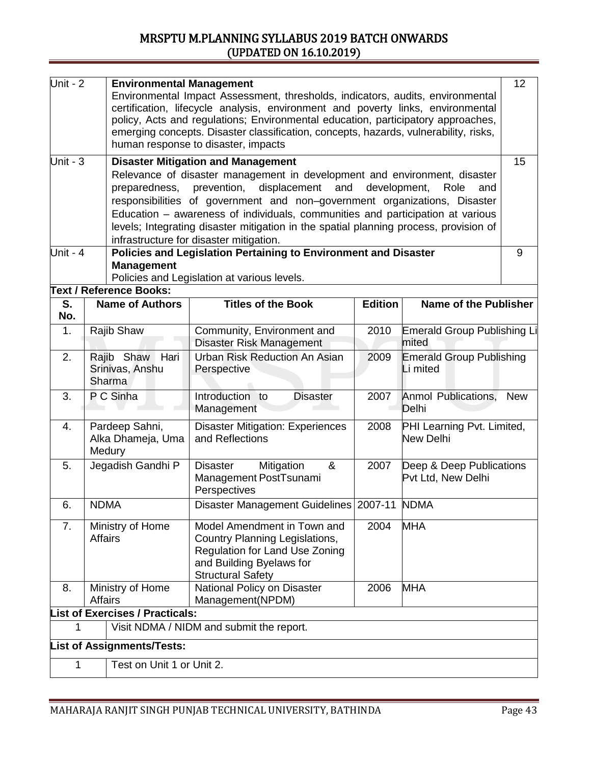| Unit - $2$                                                                                                                                                                                                                                                                                                                                                                                                                                                                                                           |                                                                                                             | 12<br><b>Environmental Management</b><br>Environmental Impact Assessment, thresholds, indicators, audits, environmental<br>certification, lifecycle analysis, environment and poverty links, environmental<br>policy, Acts and regulations; Environmental education, participatory approaches,<br>emerging concepts. Disaster classification, concepts, hazards, vulnerability, risks,<br>human response to disaster, impacts |                                                                                                                                                                |                |                                                |            |  |  |
|----------------------------------------------------------------------------------------------------------------------------------------------------------------------------------------------------------------------------------------------------------------------------------------------------------------------------------------------------------------------------------------------------------------------------------------------------------------------------------------------------------------------|-------------------------------------------------------------------------------------------------------------|-------------------------------------------------------------------------------------------------------------------------------------------------------------------------------------------------------------------------------------------------------------------------------------------------------------------------------------------------------------------------------------------------------------------------------|----------------------------------------------------------------------------------------------------------------------------------------------------------------|----------------|------------------------------------------------|------------|--|--|
| Unit - $3$<br><b>Disaster Mitigation and Management</b><br>Relevance of disaster management in development and environment, disaster<br>preparedness, prevention, displacement and<br>development,<br>Role<br>and<br>responsibilities of government and non-government organizations, Disaster<br>Education - awareness of individuals, communities and participation at various<br>levels; Integrating disaster mitigation in the spatial planning process, provision of<br>infrastructure for disaster mitigation. |                                                                                                             |                                                                                                                                                                                                                                                                                                                                                                                                                               |                                                                                                                                                                |                |                                                | 15         |  |  |
| Unit - $4$                                                                                                                                                                                                                                                                                                                                                                                                                                                                                                           |                                                                                                             | <b>Management</b>                                                                                                                                                                                                                                                                                                                                                                                                             | Policies and Legislation Pertaining to Environment and Disaster<br>Policies and Legislation at various levels.                                                 |                |                                                | 9          |  |  |
|                                                                                                                                                                                                                                                                                                                                                                                                                                                                                                                      |                                                                                                             | <b>Text / Reference Books:</b>                                                                                                                                                                                                                                                                                                                                                                                                |                                                                                                                                                                |                |                                                |            |  |  |
| S.<br>No.                                                                                                                                                                                                                                                                                                                                                                                                                                                                                                            |                                                                                                             | <b>Name of Authors</b>                                                                                                                                                                                                                                                                                                                                                                                                        | <b>Titles of the Book</b>                                                                                                                                      | <b>Edition</b> | <b>Name of the Publisher</b>                   |            |  |  |
| 1.                                                                                                                                                                                                                                                                                                                                                                                                                                                                                                                   |                                                                                                             | Rajib Shaw                                                                                                                                                                                                                                                                                                                                                                                                                    | Community, Environment and<br>Disaster Risk Management                                                                                                         | 2010           | <b>Emerald Group Publishing Li</b><br>mited    |            |  |  |
| 2.                                                                                                                                                                                                                                                                                                                                                                                                                                                                                                                   |                                                                                                             | Rajib Shaw Hari<br>Srinivas, Anshu<br><b>Sharma</b>                                                                                                                                                                                                                                                                                                                                                                           | Urban Risk Reduction An Asian<br>Perspective                                                                                                                   | 2009           | <b>Emerald Group Publishing</b><br>Li mited    |            |  |  |
| 3.                                                                                                                                                                                                                                                                                                                                                                                                                                                                                                                   |                                                                                                             | P C Sinha                                                                                                                                                                                                                                                                                                                                                                                                                     | Introduction to<br><b>Disaster</b><br>Management                                                                                                               | 2007           | Anmol Publications,<br>Delhi                   | <b>New</b> |  |  |
| 4.                                                                                                                                                                                                                                                                                                                                                                                                                                                                                                                   |                                                                                                             | Pardeep Sahni,<br>Alka Dhameja, Uma<br>Medury                                                                                                                                                                                                                                                                                                                                                                                 | <b>Disaster Mitigation: Experiences</b><br>and Reflections                                                                                                     | 2008           | PHI Learning Pvt. Limited,<br>New Delhi        |            |  |  |
| 5.                                                                                                                                                                                                                                                                                                                                                                                                                                                                                                                   |                                                                                                             | Jegadish Gandhi P                                                                                                                                                                                                                                                                                                                                                                                                             | Mitigation<br>&<br>Disaster<br>Management PostTsunami<br>Perspectives                                                                                          | 2007           | Deep & Deep Publications<br>Pvt Ltd, New Delhi |            |  |  |
| 6.                                                                                                                                                                                                                                                                                                                                                                                                                                                                                                                   | <b>NDMA</b>                                                                                                 |                                                                                                                                                                                                                                                                                                                                                                                                                               | Disaster Management Guidelines 2007-11 NDMA                                                                                                                    |                |                                                |            |  |  |
| 7.                                                                                                                                                                                                                                                                                                                                                                                                                                                                                                                   | Ministry of Home<br><b>Affairs</b>                                                                          |                                                                                                                                                                                                                                                                                                                                                                                                                               | Model Amendment in Town and<br>Country Planning Legislations,<br><b>Regulation for Land Use Zoning</b><br>and Building Byelaws for<br><b>Structural Safety</b> | 2004           | <b>MHA</b>                                     |            |  |  |
| 8.                                                                                                                                                                                                                                                                                                                                                                                                                                                                                                                   | Ministry of Home<br>National Policy on Disaster<br>2006<br><b>MHA</b><br><b>Affairs</b><br>Management(NPDM) |                                                                                                                                                                                                                                                                                                                                                                                                                               |                                                                                                                                                                |                |                                                |            |  |  |
|                                                                                                                                                                                                                                                                                                                                                                                                                                                                                                                      |                                                                                                             | <b>List of Exercises / Practicals:</b>                                                                                                                                                                                                                                                                                                                                                                                        |                                                                                                                                                                |                |                                                |            |  |  |
| 1                                                                                                                                                                                                                                                                                                                                                                                                                                                                                                                    |                                                                                                             |                                                                                                                                                                                                                                                                                                                                                                                                                               | Visit NDMA / NIDM and submit the report.                                                                                                                       |                |                                                |            |  |  |
|                                                                                                                                                                                                                                                                                                                                                                                                                                                                                                                      |                                                                                                             | <b>List of Assignments/Tests:</b>                                                                                                                                                                                                                                                                                                                                                                                             |                                                                                                                                                                |                |                                                |            |  |  |
| 1                                                                                                                                                                                                                                                                                                                                                                                                                                                                                                                    | Test on Unit 1 or Unit 2.                                                                                   |                                                                                                                                                                                                                                                                                                                                                                                                                               |                                                                                                                                                                |                |                                                |            |  |  |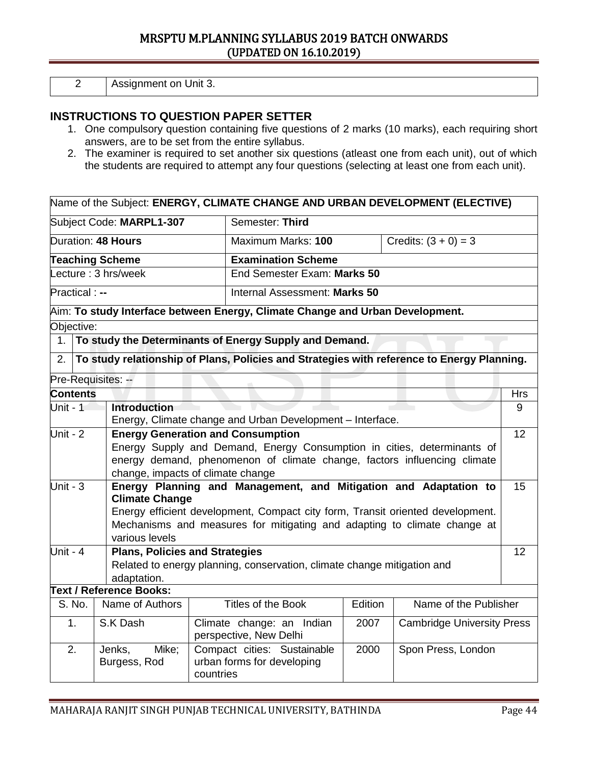2 Assignment on Unit 3.

### **INSTRUCTIONS TO QUESTION PAPER SETTER**

- 1. One compulsory question containing five questions of 2 marks (10 marks), each requiring short answers, are to be set from the entire syllabus.
- 2. The examiner is required to set another six questions (atleast one from each unit), out of which the students are required to attempt any four questions (selecting at least one from each unit).

### Name of the Subject: **ENERGY, CLIMATE CHANGE AND URBAN DEVELOPMENT (ELECTIVE)**

| Subject Code: MARPL1-307 | Semester: Third               |                        |  |
|--------------------------|-------------------------------|------------------------|--|
| Duration: 48 Hours       | Maximum Marks: 100            | Credits: $(3 + 0) = 3$ |  |
| <b>Teaching Scheme</b>   | <b>Examination Scheme</b>     |                        |  |
| Lecture: 3 hrs/week      | End Semester Exam: Marks 50   |                        |  |
| <b>Practical:</b> --     | Internal Assessment: Marks 50 |                        |  |

# Aim: **To study Interface between Energy, Climate Change and Urban Development.**

### Objective:

1. **To study the Determinants of Energy Supply and Demand.**

2. **To study relationship of Plans, Policies and Strategies with reference to Energy Planning.**

Pre-Requisites: --

| <b>Contents</b> |                                                        |                                                                                |                    |                                   | <b>Hrs</b> |  |  |  |
|-----------------|--------------------------------------------------------|--------------------------------------------------------------------------------|--------------------|-----------------------------------|------------|--|--|--|
| Unit - 1        | <b>Introduction</b>                                    |                                                                                |                    |                                   | 9          |  |  |  |
|                 |                                                        | Energy, Climate change and Urban Development - Interface.                      |                    |                                   |            |  |  |  |
| Unit - $2$      | <b>Energy Generation and Consumption</b>               |                                                                                |                    |                                   |            |  |  |  |
|                 |                                                        | Energy Supply and Demand, Energy Consumption in cities, determinants of        |                    |                                   |            |  |  |  |
|                 |                                                        | energy demand, phenomenon of climate change, factors influencing climate       |                    |                                   |            |  |  |  |
|                 |                                                        | change, impacts of climate change                                              |                    |                                   |            |  |  |  |
| Unit - $3$      |                                                        | Energy Planning and Management, and Mitigation and Adaptation to               |                    |                                   | 15         |  |  |  |
|                 | <b>Climate Change</b>                                  |                                                                                |                    |                                   |            |  |  |  |
|                 |                                                        | Energy efficient development, Compact city form, Transit oriented development. |                    |                                   |            |  |  |  |
|                 |                                                        | Mechanisms and measures for mitigating and adapting to climate change at       |                    |                                   |            |  |  |  |
|                 | various levels                                         |                                                                                |                    |                                   |            |  |  |  |
| Unit - $4$      | <b>Plans, Policies and Strategies</b>                  |                                                                                |                    |                                   | 12         |  |  |  |
|                 |                                                        | Related to energy planning, conservation, climate change mitigation and        |                    |                                   |            |  |  |  |
|                 | adaptation.                                            |                                                                                |                    |                                   |            |  |  |  |
|                 | <b>Text / Reference Books:</b>                         |                                                                                |                    |                                   |            |  |  |  |
| S. No.          | Name of Authors                                        | Titles of the Book                                                             | Edition            | Name of the Publisher             |            |  |  |  |
| 1.              | S.K Dash                                               | Climate change: an Indian<br>perspective, New Delhi                            | 2007               | <b>Cambridge University Press</b> |            |  |  |  |
| 2.              | Compact cities: Sustainable<br>2000<br>Jenks,<br>Mike; |                                                                                | Spon Press, London |                                   |            |  |  |  |
|                 | Burgess, Rod                                           | urban forms for developing<br>countries                                        |                    |                                   |            |  |  |  |
|                 |                                                        |                                                                                |                    |                                   |            |  |  |  |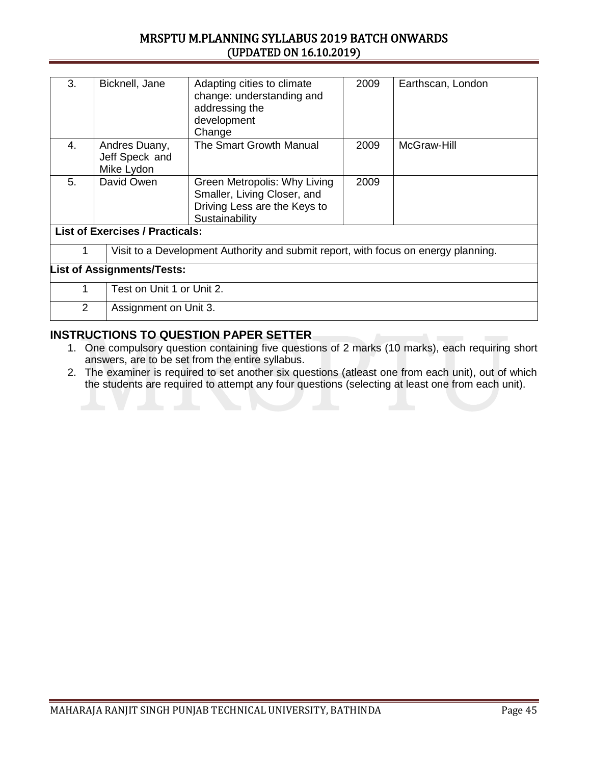| 3.                         | Bicknell, Jane                                | Adapting cities to climate<br>change: understanding and<br>addressing the<br>development<br>Change            | 2009 | Earthscan, London |  |  |
|----------------------------|-----------------------------------------------|---------------------------------------------------------------------------------------------------------------|------|-------------------|--|--|
| 4.                         | Andres Duany,<br>Jeff Speck and<br>Mike Lydon | The Smart Growth Manual                                                                                       | 2009 | McGraw-Hill       |  |  |
| 5.                         | David Owen                                    | Green Metropolis: Why Living<br>Smaller, Living Closer, and<br>Driving Less are the Keys to<br>Sustainability | 2009 |                   |  |  |
|                            | <b>List of Exercises / Practicals:</b>        |                                                                                                               |      |                   |  |  |
| 1                          |                                               | Visit to a Development Authority and submit report, with focus on energy planning.                            |      |                   |  |  |
|                            | <b>List of Assignments/Tests:</b>             |                                                                                                               |      |                   |  |  |
| 1                          | Test on Unit 1 or Unit 2.                     |                                                                                                               |      |                   |  |  |
| 2<br>Assignment on Unit 3. |                                               |                                                                                                               |      |                   |  |  |

- 1. One compulsory question containing five questions of 2 marks (10 marks), each requiring short answers, are to be set from the entire syllabus.
- 2. The examiner is required to set another six questions (atleast one from each unit), out of which the students are required to attempt any four questions (selecting at least one from each unit).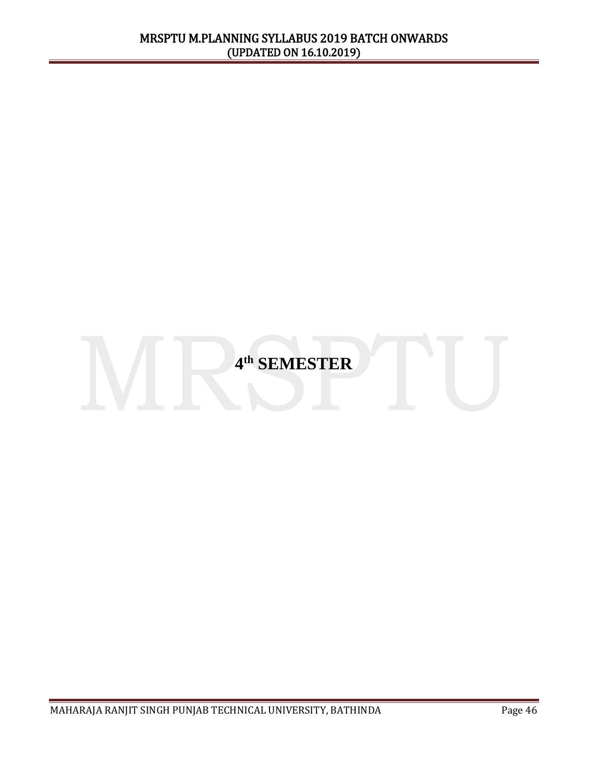# **4 th SEMESTER**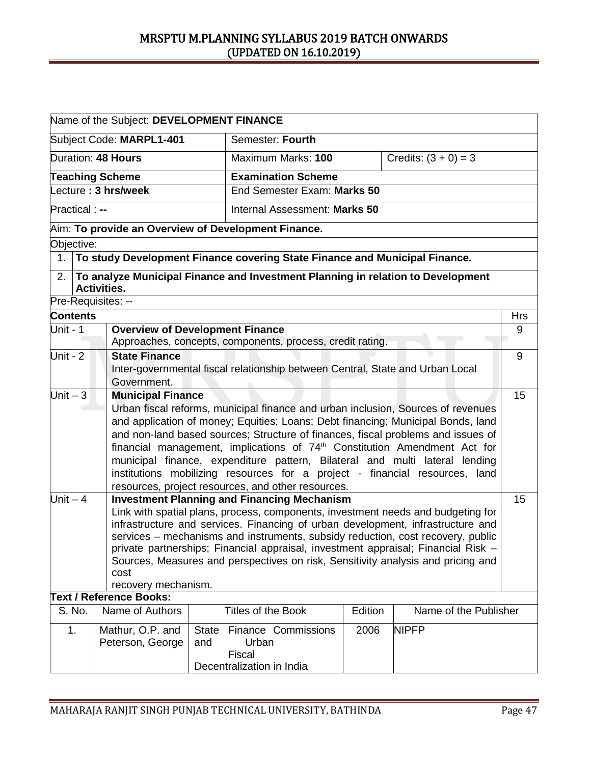|                                                                                                                                                                         | Name of the Subject: DEVELOPMENT FINANCE                                                                                                                                                                                                                                                                                                                                                                                                                                                                                                                              |  |                                                                                                                                                                                                                                                                                                                                                                                                                                                                                       |  |                                                                                 |            |
|-------------------------------------------------------------------------------------------------------------------------------------------------------------------------|-----------------------------------------------------------------------------------------------------------------------------------------------------------------------------------------------------------------------------------------------------------------------------------------------------------------------------------------------------------------------------------------------------------------------------------------------------------------------------------------------------------------------------------------------------------------------|--|---------------------------------------------------------------------------------------------------------------------------------------------------------------------------------------------------------------------------------------------------------------------------------------------------------------------------------------------------------------------------------------------------------------------------------------------------------------------------------------|--|---------------------------------------------------------------------------------|------------|
|                                                                                                                                                                         | Subject Code: MARPL1-401                                                                                                                                                                                                                                                                                                                                                                                                                                                                                                                                              |  | Semester: Fourth                                                                                                                                                                                                                                                                                                                                                                                                                                                                      |  |                                                                                 |            |
|                                                                                                                                                                         | Duration: 48 Hours                                                                                                                                                                                                                                                                                                                                                                                                                                                                                                                                                    |  | Maximum Marks: 100                                                                                                                                                                                                                                                                                                                                                                                                                                                                    |  | Credits: $(3 + 0) = 3$                                                          |            |
|                                                                                                                                                                         | <b>Teaching Scheme</b>                                                                                                                                                                                                                                                                                                                                                                                                                                                                                                                                                |  | <b>Examination Scheme</b>                                                                                                                                                                                                                                                                                                                                                                                                                                                             |  |                                                                                 |            |
|                                                                                                                                                                         | Lecture: 3 hrs/week                                                                                                                                                                                                                                                                                                                                                                                                                                                                                                                                                   |  | End Semester Exam: Marks 50                                                                                                                                                                                                                                                                                                                                                                                                                                                           |  |                                                                                 |            |
| Practical : --                                                                                                                                                          |                                                                                                                                                                                                                                                                                                                                                                                                                                                                                                                                                                       |  | Internal Assessment: Marks 50                                                                                                                                                                                                                                                                                                                                                                                                                                                         |  |                                                                                 |            |
|                                                                                                                                                                         | Aim: To provide an Overview of Development Finance.                                                                                                                                                                                                                                                                                                                                                                                                                                                                                                                   |  |                                                                                                                                                                                                                                                                                                                                                                                                                                                                                       |  |                                                                                 |            |
| Objective:                                                                                                                                                              |                                                                                                                                                                                                                                                                                                                                                                                                                                                                                                                                                                       |  |                                                                                                                                                                                                                                                                                                                                                                                                                                                                                       |  |                                                                                 |            |
| 1 <sub>1</sub>                                                                                                                                                          |                                                                                                                                                                                                                                                                                                                                                                                                                                                                                                                                                                       |  | To study Development Finance covering State Finance and Municipal Finance.                                                                                                                                                                                                                                                                                                                                                                                                            |  |                                                                                 |            |
| 2.                                                                                                                                                                      | <b>Activities.</b>                                                                                                                                                                                                                                                                                                                                                                                                                                                                                                                                                    |  |                                                                                                                                                                                                                                                                                                                                                                                                                                                                                       |  | To analyze Municipal Finance and Investment Planning in relation to Development |            |
| Pre-Requisites: --                                                                                                                                                      |                                                                                                                                                                                                                                                                                                                                                                                                                                                                                                                                                                       |  |                                                                                                                                                                                                                                                                                                                                                                                                                                                                                       |  |                                                                                 |            |
| <b>Contents</b>                                                                                                                                                         |                                                                                                                                                                                                                                                                                                                                                                                                                                                                                                                                                                       |  |                                                                                                                                                                                                                                                                                                                                                                                                                                                                                       |  |                                                                                 | <b>Hrs</b> |
| Unit - $1$                                                                                                                                                              | <b>Overview of Development Finance</b>                                                                                                                                                                                                                                                                                                                                                                                                                                                                                                                                |  | Approaches, concepts, components, process, credit rating.                                                                                                                                                                                                                                                                                                                                                                                                                             |  |                                                                                 | 9          |
| Unit - 2                                                                                                                                                                | <b>State Finance</b>                                                                                                                                                                                                                                                                                                                                                                                                                                                                                                                                                  |  |                                                                                                                                                                                                                                                                                                                                                                                                                                                                                       |  |                                                                                 | 9          |
|                                                                                                                                                                         | Government.                                                                                                                                                                                                                                                                                                                                                                                                                                                                                                                                                           |  | Inter-governmental fiscal relationship between Central, State and Urban Local                                                                                                                                                                                                                                                                                                                                                                                                         |  |                                                                                 |            |
| $Unit - 3$                                                                                                                                                              | <b>Municipal Finance</b>                                                                                                                                                                                                                                                                                                                                                                                                                                                                                                                                              |  |                                                                                                                                                                                                                                                                                                                                                                                                                                                                                       |  |                                                                                 | 15         |
|                                                                                                                                                                         | Urban fiscal reforms, municipal finance and urban inclusion, Sources of revenues<br>and application of money; Equities; Loans; Debt financing; Municipal Bonds, land<br>and non-land based sources; Structure of finances, fiscal problems and issues of<br>financial management, implications of 74 <sup>th</sup> Constitution Amendment Act for<br>municipal finance, expenditure pattern, Bilateral and multi lateral lending<br>institutions mobilizing resources for a project - financial resources, land<br>resources, project resources, and other resources. |  |                                                                                                                                                                                                                                                                                                                                                                                                                                                                                       |  |                                                                                 |            |
| Unit $-4$<br>cost<br>recovery mechanism.                                                                                                                                |                                                                                                                                                                                                                                                                                                                                                                                                                                                                                                                                                                       |  | <b>Investment Planning and Financing Mechanism</b><br>Link with spatial plans, process, components, investment needs and budgeting for<br>infrastructure and services. Financing of urban development, infrastructure and<br>services - mechanisms and instruments, subsidy reduction, cost recovery, public<br>private partnerships; Financial appraisal, investment appraisal; Financial Risk -<br>Sources, Measures and perspectives on risk, Sensitivity analysis and pricing and |  |                                                                                 | 15         |
| <b>Text / Reference Books:</b>                                                                                                                                          |                                                                                                                                                                                                                                                                                                                                                                                                                                                                                                                                                                       |  |                                                                                                                                                                                                                                                                                                                                                                                                                                                                                       |  |                                                                                 |            |
| S. No.                                                                                                                                                                  | Name of the Publisher<br>Name of Authors<br><b>Titles of the Book</b><br>Edition                                                                                                                                                                                                                                                                                                                                                                                                                                                                                      |  |                                                                                                                                                                                                                                                                                                                                                                                                                                                                                       |  |                                                                                 |            |
| 1.<br>Mathur, O.P. and<br><b>Finance Commissions</b><br>2006<br><b>NIPFP</b><br><b>State</b><br>Peterson, George<br>Urban<br>and<br>Fiscal<br>Decentralization in India |                                                                                                                                                                                                                                                                                                                                                                                                                                                                                                                                                                       |  |                                                                                                                                                                                                                                                                                                                                                                                                                                                                                       |  |                                                                                 |            |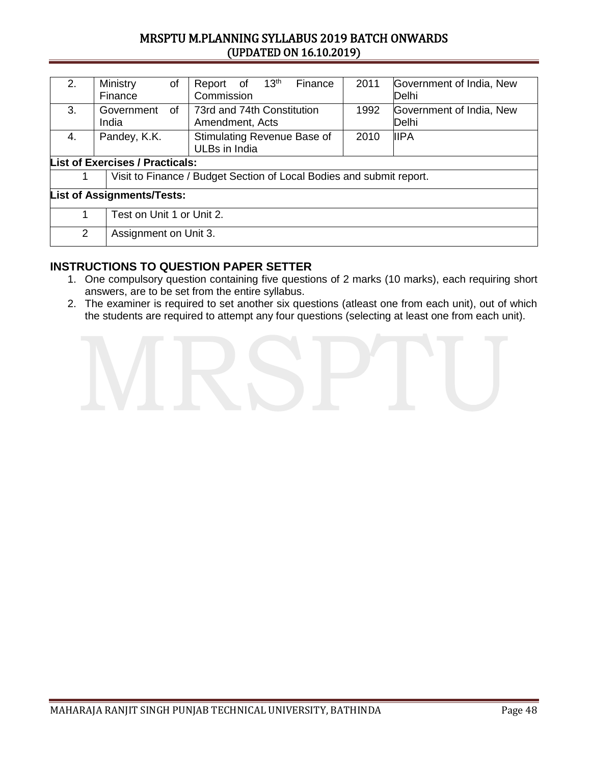| 2.                                | Ministry<br>of<br>Finance              | 13 <sup>th</sup><br>Finance<br>Report of<br>Commission               | 2011 | Government of India, New<br>Delhi |  |  |
|-----------------------------------|----------------------------------------|----------------------------------------------------------------------|------|-----------------------------------|--|--|
| 3.                                | 0f<br>Government<br>India              | 73rd and 74th Constitution<br>Amendment, Acts                        | 1992 | Government of India, New<br>Delhi |  |  |
| 4.                                | Pandey, K.K.                           | Stimulating Revenue Base of<br>ULBs in India                         | 2010 | <b>IIPA</b>                       |  |  |
|                                   | <b>List of Exercises / Practicals:</b> |                                                                      |      |                                   |  |  |
| 1                                 |                                        | Visit to Finance / Budget Section of Local Bodies and submit report. |      |                                   |  |  |
| <b>List of Assignments/Tests:</b> |                                        |                                                                      |      |                                   |  |  |
| 1                                 |                                        | Test on Unit 1 or Unit 2.                                            |      |                                   |  |  |
| 2                                 |                                        | Assignment on Unit 3.                                                |      |                                   |  |  |

- 1. One compulsory question containing five questions of 2 marks (10 marks), each requiring short answers, are to be set from the entire syllabus.
- 2. The examiner is required to set another six questions (atleast one from each unit), out of which the students are required to attempt any four questions (selecting at least one from each unit).

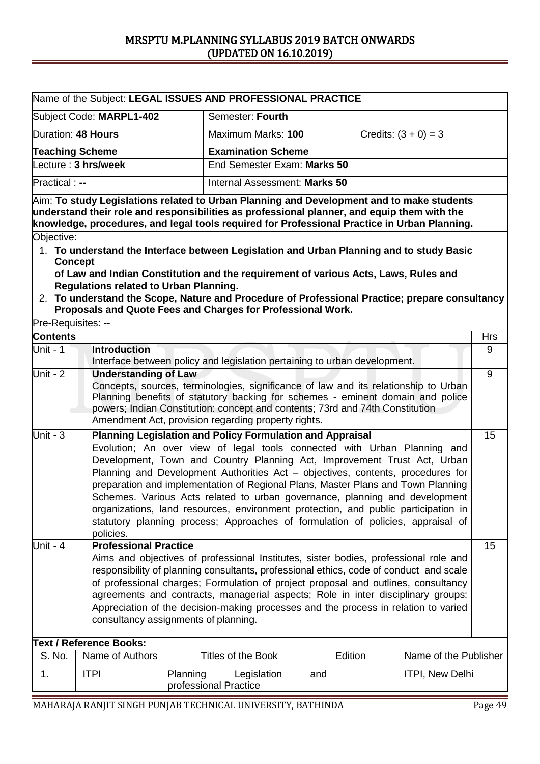|                          | Name of the Subject: LEGAL ISSUES AND PROFESSIONAL PRACTICE                                                                                                                                                                                                                                                                                                                                                                                                                                                                   |                                                                                                                                                                                                                                                                                                                                                                                                                                                                                                                                                                                                                                                               |                                                                                                                                                                                                                                                                                                               |         |                       |            |  |
|--------------------------|-------------------------------------------------------------------------------------------------------------------------------------------------------------------------------------------------------------------------------------------------------------------------------------------------------------------------------------------------------------------------------------------------------------------------------------------------------------------------------------------------------------------------------|---------------------------------------------------------------------------------------------------------------------------------------------------------------------------------------------------------------------------------------------------------------------------------------------------------------------------------------------------------------------------------------------------------------------------------------------------------------------------------------------------------------------------------------------------------------------------------------------------------------------------------------------------------------|---------------------------------------------------------------------------------------------------------------------------------------------------------------------------------------------------------------------------------------------------------------------------------------------------------------|---------|-----------------------|------------|--|
| Subject Code: MARPL1-402 |                                                                                                                                                                                                                                                                                                                                                                                                                                                                                                                               |                                                                                                                                                                                                                                                                                                                                                                                                                                                                                                                                                                                                                                                               | Semester: Fourth                                                                                                                                                                                                                                                                                              |         |                       |            |  |
| Duration: 48 Hours       |                                                                                                                                                                                                                                                                                                                                                                                                                                                                                                                               |                                                                                                                                                                                                                                                                                                                                                                                                                                                                                                                                                                                                                                                               | Credits: $(3 + 0) = 3$<br>Maximum Marks: 100                                                                                                                                                                                                                                                                  |         |                       |            |  |
|                          | <b>Teaching Scheme</b>                                                                                                                                                                                                                                                                                                                                                                                                                                                                                                        |                                                                                                                                                                                                                                                                                                                                                                                                                                                                                                                                                                                                                                                               | <b>Examination Scheme</b>                                                                                                                                                                                                                                                                                     |         |                       |            |  |
|                          | Lecture: 3 hrs/week                                                                                                                                                                                                                                                                                                                                                                                                                                                                                                           |                                                                                                                                                                                                                                                                                                                                                                                                                                                                                                                                                                                                                                                               | End Semester Exam: Marks 50                                                                                                                                                                                                                                                                                   |         |                       |            |  |
| Practical : --           |                                                                                                                                                                                                                                                                                                                                                                                                                                                                                                                               |                                                                                                                                                                                                                                                                                                                                                                                                                                                                                                                                                                                                                                                               | Internal Assessment: Marks 50                                                                                                                                                                                                                                                                                 |         |                       |            |  |
|                          | $\,$ Aim: To study Legislations related to Urban Planning and Development and to make students                                                                                                                                                                                                                                                                                                                                                                                                                                |                                                                                                                                                                                                                                                                                                                                                                                                                                                                                                                                                                                                                                                               |                                                                                                                                                                                                                                                                                                               |         |                       |            |  |
|                          | understand their role and responsibilities as professional planner, and equip them with the                                                                                                                                                                                                                                                                                                                                                                                                                                   |                                                                                                                                                                                                                                                                                                                                                                                                                                                                                                                                                                                                                                                               |                                                                                                                                                                                                                                                                                                               |         |                       |            |  |
|                          | knowledge, procedures, and legal tools required for Professional Practice in Urban Planning.                                                                                                                                                                                                                                                                                                                                                                                                                                  |                                                                                                                                                                                                                                                                                                                                                                                                                                                                                                                                                                                                                                                               |                                                                                                                                                                                                                                                                                                               |         |                       |            |  |
| Objective:               |                                                                                                                                                                                                                                                                                                                                                                                                                                                                                                                               |                                                                                                                                                                                                                                                                                                                                                                                                                                                                                                                                                                                                                                                               |                                                                                                                                                                                                                                                                                                               |         |                       |            |  |
| <b>Concept</b>           | 1. To understand the Interface between Legislation and Urban Planning and to study Basic                                                                                                                                                                                                                                                                                                                                                                                                                                      |                                                                                                                                                                                                                                                                                                                                                                                                                                                                                                                                                                                                                                                               |                                                                                                                                                                                                                                                                                                               |         |                       |            |  |
|                          | of Law and Indian Constitution and the requirement of various Acts, Laws, Rules and                                                                                                                                                                                                                                                                                                                                                                                                                                           |                                                                                                                                                                                                                                                                                                                                                                                                                                                                                                                                                                                                                                                               |                                                                                                                                                                                                                                                                                                               |         |                       |            |  |
|                          | Regulations related to Urban Planning.                                                                                                                                                                                                                                                                                                                                                                                                                                                                                        |                                                                                                                                                                                                                                                                                                                                                                                                                                                                                                                                                                                                                                                               |                                                                                                                                                                                                                                                                                                               |         |                       |            |  |
|                          | 2. To understand the Scope, Nature and Procedure of Professional Practice; prepare consultancy<br>Proposals and Quote Fees and Charges for Professional Work.                                                                                                                                                                                                                                                                                                                                                                 |                                                                                                                                                                                                                                                                                                                                                                                                                                                                                                                                                                                                                                                               |                                                                                                                                                                                                                                                                                                               |         |                       |            |  |
| Pre-Requisites: --       |                                                                                                                                                                                                                                                                                                                                                                                                                                                                                                                               |                                                                                                                                                                                                                                                                                                                                                                                                                                                                                                                                                                                                                                                               |                                                                                                                                                                                                                                                                                                               |         |                       |            |  |
| <b>Contents</b>          |                                                                                                                                                                                                                                                                                                                                                                                                                                                                                                                               |                                                                                                                                                                                                                                                                                                                                                                                                                                                                                                                                                                                                                                                               |                                                                                                                                                                                                                                                                                                               |         |                       | <b>Hrs</b> |  |
| Unit - 1                 | <b>Introduction</b>                                                                                                                                                                                                                                                                                                                                                                                                                                                                                                           |                                                                                                                                                                                                                                                                                                                                                                                                                                                                                                                                                                                                                                                               | Interface between policy and legislation pertaining to urban development.                                                                                                                                                                                                                                     |         |                       | 9          |  |
| Unit - 2                 | <b>Understanding of Law</b>                                                                                                                                                                                                                                                                                                                                                                                                                                                                                                   |                                                                                                                                                                                                                                                                                                                                                                                                                                                                                                                                                                                                                                                               | Concepts, sources, terminologies, significance of law and its relationship to Urban<br>Planning benefits of statutory backing for schemes - eminent domain and police<br>powers; Indian Constitution: concept and contents; 73rd and 74th Constitution<br>Amendment Act, provision regarding property rights. |         |                       | 9          |  |
| Unit - $3$               | policies.                                                                                                                                                                                                                                                                                                                                                                                                                                                                                                                     | <b>Planning Legislation and Policy Formulation and Appraisal</b><br>15<br>Evolution; An over view of legal tools connected with Urban Planning and<br>Development, Town and Country Planning Act, Improvement Trust Act, Urban<br>Planning and Development Authorities Act - objectives, contents, procedures for<br>preparation and implementation of Regional Plans, Master Plans and Town Planning<br>Schemes. Various Acts related to urban governance, planning and development<br>organizations, land resources, environment protection, and public participation in<br>statutory planning process; Approaches of formulation of policies, appraisal of |                                                                                                                                                                                                                                                                                                               |         |                       |            |  |
| Unit - $4$               | <b>Professional Practice</b><br>15<br>Aims and objectives of professional Institutes, sister bodies, professional role and<br>responsibility of planning consultants, professional ethics, code of conduct and scale<br>of professional charges; Formulation of project proposal and outlines, consultancy<br>agreements and contracts, managerial aspects; Role in inter disciplinary groups:<br>Appreciation of the decision-making processes and the process in relation to varied<br>consultancy assignments of planning. |                                                                                                                                                                                                                                                                                                                                                                                                                                                                                                                                                                                                                                                               |                                                                                                                                                                                                                                                                                                               |         |                       |            |  |
|                          | <b>Text / Reference Books:</b>                                                                                                                                                                                                                                                                                                                                                                                                                                                                                                |                                                                                                                                                                                                                                                                                                                                                                                                                                                                                                                                                                                                                                                               |                                                                                                                                                                                                                                                                                                               |         |                       |            |  |
| S. No.                   | Name of Authors                                                                                                                                                                                                                                                                                                                                                                                                                                                                                                               |                                                                                                                                                                                                                                                                                                                                                                                                                                                                                                                                                                                                                                                               | <b>Titles of the Book</b>                                                                                                                                                                                                                                                                                     | Edition | Name of the Publisher |            |  |
| 1.                       | <b>ITPI</b>                                                                                                                                                                                                                                                                                                                                                                                                                                                                                                                   | Planning<br>professional Practice                                                                                                                                                                                                                                                                                                                                                                                                                                                                                                                                                                                                                             | Legislation<br>and                                                                                                                                                                                                                                                                                            |         | ITPI, New Delhi       |            |  |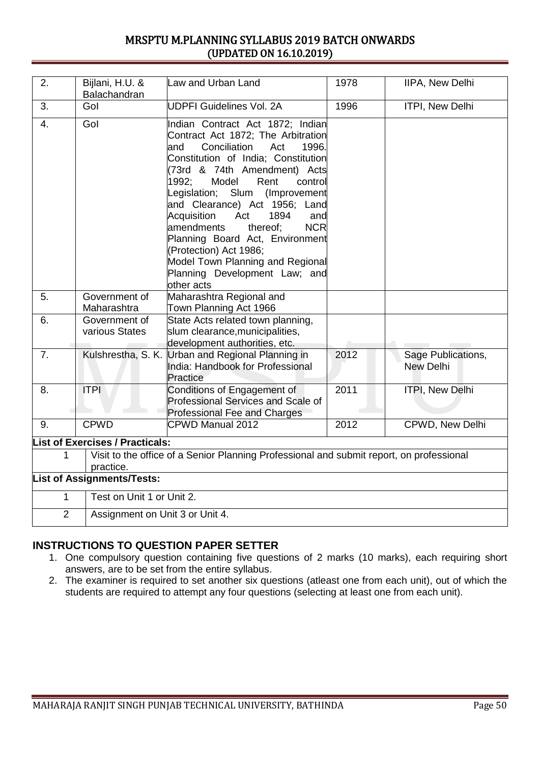| 2.                                                                                                         | Bijlani, H.U. &<br>Balachandran        | Law and Urban Land                                                                                                                                                                                                                                                                                                                                                                                                                                                                                                        | 1978 | <b>IIPA, New Delhi</b>                 |  |  |  |
|------------------------------------------------------------------------------------------------------------|----------------------------------------|---------------------------------------------------------------------------------------------------------------------------------------------------------------------------------------------------------------------------------------------------------------------------------------------------------------------------------------------------------------------------------------------------------------------------------------------------------------------------------------------------------------------------|------|----------------------------------------|--|--|--|
| 3.                                                                                                         | Gol                                    | <b>UDPFI Guidelines Vol. 2A</b>                                                                                                                                                                                                                                                                                                                                                                                                                                                                                           | 1996 | ITPI, New Delhi                        |  |  |  |
| 4.                                                                                                         | Gol                                    | Indian Contract Act 1872; Indian<br>Contract Act 1872; The Arbitration<br>Conciliation<br>and<br>Act<br>1996.<br>Constitution of India; Constitution<br>(73rd & 74th Amendment) Acts<br>1992:<br>Model<br>Rent<br>control<br>Legislation; Slum (Improvement<br>and Clearance) Act 1956; Land<br>1894<br>Acquisition<br>Act<br>and<br>thereof;<br><b>NCR</b><br>amendments<br>Planning Board Act, Environment<br>(Protection) Act 1986;<br>Model Town Planning and Regional<br>Planning Development Law; and<br>other acts |      |                                        |  |  |  |
| 5.                                                                                                         | Government of<br>Maharashtra           | Maharashtra Regional and<br>Town Planning Act 1966                                                                                                                                                                                                                                                                                                                                                                                                                                                                        |      |                                        |  |  |  |
| 6.                                                                                                         | Government of<br>various States        | State Acts related town planning,<br>slum clearance, municipalities,<br>development authorities, etc.                                                                                                                                                                                                                                                                                                                                                                                                                     |      |                                        |  |  |  |
| 7.                                                                                                         |                                        | Kulshrestha, S. K. Urban and Regional Planning in<br>India: Handbook for Professional<br>Practice                                                                                                                                                                                                                                                                                                                                                                                                                         | 2012 | Sage Publications,<br><b>New Delhi</b> |  |  |  |
| 8.                                                                                                         | <b>ITPI</b>                            | Conditions of Engagement of<br>Professional Services and Scale of<br><b>Professional Fee and Charges</b>                                                                                                                                                                                                                                                                                                                                                                                                                  | 2011 | ITPI, New Delhi                        |  |  |  |
| 9.                                                                                                         | <b>CPWD</b>                            | CPWD Manual 2012                                                                                                                                                                                                                                                                                                                                                                                                                                                                                                          | 2012 | CPWD, New Delhi                        |  |  |  |
|                                                                                                            | <b>List of Exercises / Practicals:</b> |                                                                                                                                                                                                                                                                                                                                                                                                                                                                                                                           |      |                                        |  |  |  |
| Visit to the office of a Senior Planning Professional and submit report, on professional<br>1<br>practice. |                                        |                                                                                                                                                                                                                                                                                                                                                                                                                                                                                                                           |      |                                        |  |  |  |
| <b>List of Assignments/Tests:</b>                                                                          |                                        |                                                                                                                                                                                                                                                                                                                                                                                                                                                                                                                           |      |                                        |  |  |  |
| 1                                                                                                          |                                        | Test on Unit 1 or Unit 2.                                                                                                                                                                                                                                                                                                                                                                                                                                                                                                 |      |                                        |  |  |  |
| $\overline{2}$<br>Assignment on Unit 3 or Unit 4.                                                          |                                        |                                                                                                                                                                                                                                                                                                                                                                                                                                                                                                                           |      |                                        |  |  |  |

- 1. One compulsory question containing five questions of 2 marks (10 marks), each requiring short answers, are to be set from the entire syllabus.
- 2. The examiner is required to set another six questions (atleast one from each unit), out of which the students are required to attempt any four questions (selecting at least one from each unit).